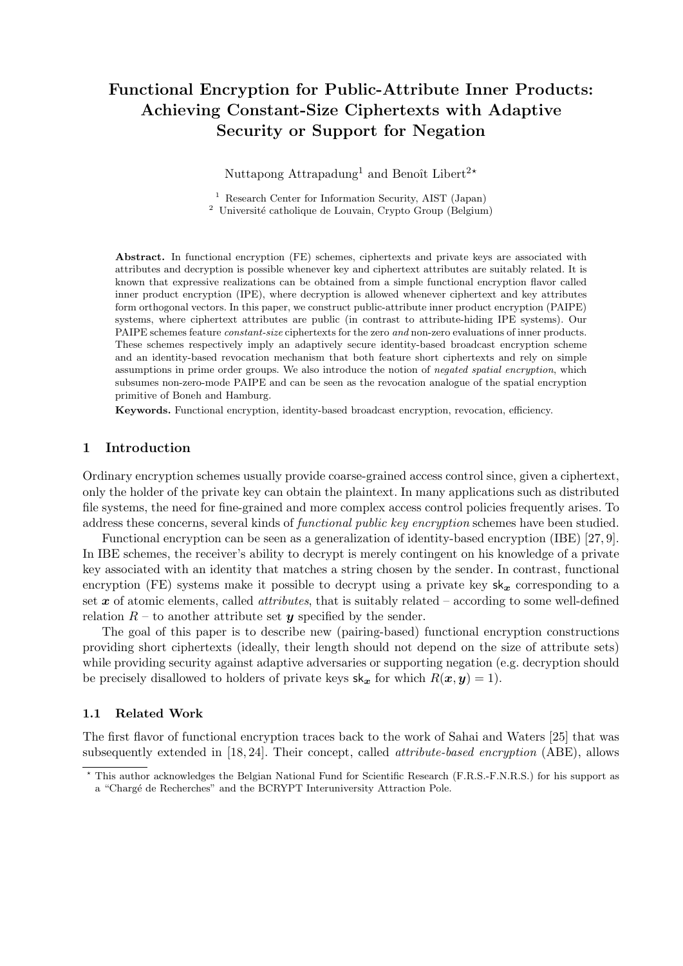# Functional Encryption for Public-Attribute Inner Products: Achieving Constant-Size Ciphertexts with Adaptive Security or Support for Negation

Nuttapong Attrapadung<sup>1</sup> and Benoît Libert<sup>2\*</sup>

<sup>1</sup> Research Center for Information Security, AIST (Japan) <sup>2</sup> Université catholique de Louvain, Crypto Group (Belgium)

Abstract. In functional encryption (FE) schemes, ciphertexts and private keys are associated with attributes and decryption is possible whenever key and ciphertext attributes are suitably related. It is known that expressive realizations can be obtained from a simple functional encryption flavor called inner product encryption (IPE), where decryption is allowed whenever ciphertext and key attributes form orthogonal vectors. In this paper, we construct public-attribute inner product encryption (PAIPE) systems, where ciphertext attributes are public (in contrast to attribute-hiding IPE systems). Our PAIPE schemes feature *constant-size* ciphertexts for the zero and non-zero evaluations of inner products. These schemes respectively imply an adaptively secure identity-based broadcast encryption scheme and an identity-based revocation mechanism that both feature short ciphertexts and rely on simple assumptions in prime order groups. We also introduce the notion of negated spatial encryption, which subsumes non-zero-mode PAIPE and can be seen as the revocation analogue of the spatial encryption primitive of Boneh and Hamburg.

Keywords. Functional encryption, identity-based broadcast encryption, revocation, efficiency.

## 1 Introduction

Ordinary encryption schemes usually provide coarse-grained access control since, given a ciphertext, only the holder of the private key can obtain the plaintext. In many applications such as distributed file systems, the need for fine-grained and more complex access control policies frequently arises. To address these concerns, several kinds of functional public key encryption schemes have been studied.

Functional encryption can be seen as a generalization of identity-based encryption (IBE) [27, 9]. In IBE schemes, the receiver's ability to decrypt is merely contingent on his knowledge of a private key associated with an identity that matches a string chosen by the sender. In contrast, functional encryption (FE) systems make it possible to decrypt using a private key  $sk_x$  corresponding to a set x of atomic elements, called *attributes*, that is suitably related – according to some well-defined relation  $R$  – to another attribute set y specified by the sender.

The goal of this paper is to describe new (pairing-based) functional encryption constructions providing short ciphertexts (ideally, their length should not depend on the size of attribute sets) while providing security against adaptive adversaries or supporting negation (e.g. decryption should be precisely disallowed to holders of private keys  $sk_x$  for which  $R(x, y) = 1$ .

## 1.1 Related Work

The first flavor of functional encryption traces back to the work of Sahai and Waters [25] that was subsequently extended in [18, 24]. Their concept, called attribute-based encryption (ABE), allows

<sup>?</sup> This author acknowledges the Belgian National Fund for Scientific Research (F.R.S.-F.N.R.S.) for his support as

a "Chargé de Recherches" and the BCRYPT Interuniversity Attraction Pole.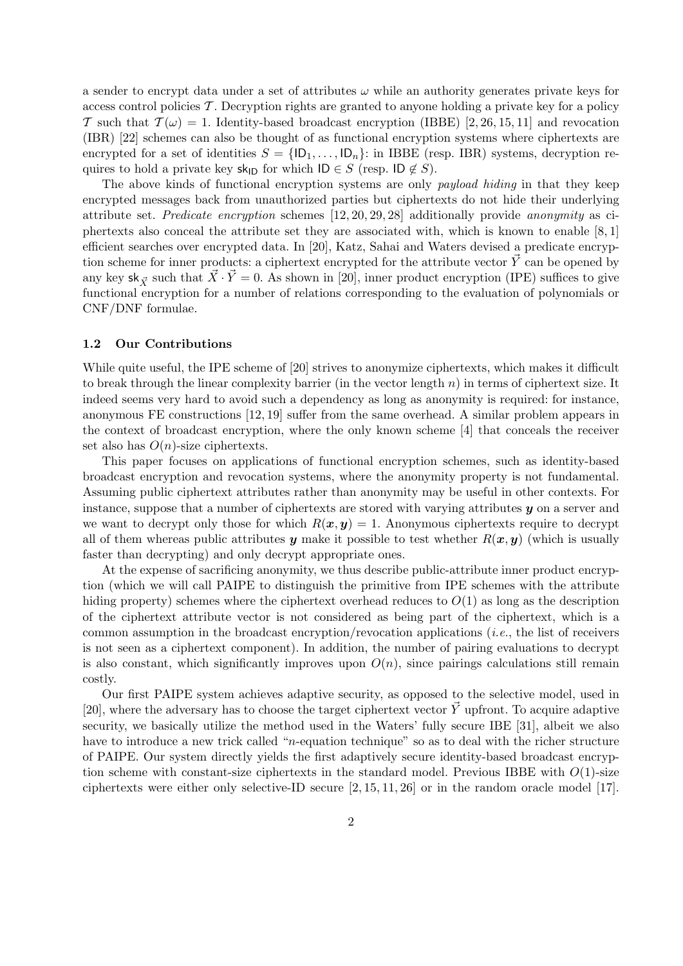a sender to encrypt data under a set of attributes  $\omega$  while an authority generates private keys for access control policies  $\mathcal T$ . Decryption rights are granted to anyone holding a private key for a policy T such that  $\mathcal{T}(\omega) = 1$ . Identity-based broadcast encryption (IBBE) [2, 26, 15, 11] and revocation (IBR) [22] schemes can also be thought of as functional encryption systems where ciphertexts are encrypted for a set of identities  $S = \{ \mathsf{ID}_1, \ldots, \mathsf{ID}_n \}$ : in IBBE (resp. IBR) systems, decryption requires to hold a private key sk<sub>ID</sub> for which  $ID \in S$  (resp. ID  $\notin S$ ).

The above kinds of functional encryption systems are only payload hiding in that they keep encrypted messages back from unauthorized parties but ciphertexts do not hide their underlying attribute set. Predicate encryption schemes [12, 20, 29, 28] additionally provide anonymity as ciphertexts also conceal the attribute set they are associated with, which is known to enable [8, 1] efficient searches over encrypted data. In [20], Katz, Sahai and Waters devised a predicate encryption scheme for inner products: a ciphertext encrypted for the attribute vector  $\vec{Y}$  can be opened by any key sk<sub> $\vec{Y}$ </sub> such that  $\vec{X} \cdot \vec{Y} = 0$ . As shown in [20], inner product encryption (IPE) suffices to give functional encryption for a number of relations corresponding to the evaluation of polynomials or CNF/DNF formulae.

## 1.2 Our Contributions

While quite useful, the IPE scheme of [20] strives to anonymize ciphertexts, which makes it difficult to break through the linear complexity barrier (in the vector length  $n$ ) in terms of ciphertext size. It indeed seems very hard to avoid such a dependency as long as anonymity is required: for instance, anonymous FE constructions [12, 19] suffer from the same overhead. A similar problem appears in the context of broadcast encryption, where the only known scheme [4] that conceals the receiver set also has  $O(n)$ -size ciphertexts.

This paper focuses on applications of functional encryption schemes, such as identity-based broadcast encryption and revocation systems, where the anonymity property is not fundamental. Assuming public ciphertext attributes rather than anonymity may be useful in other contexts. For instance, suppose that a number of ciphertexts are stored with varying attributes  $y$  on a server and we want to decrypt only those for which  $R(x, y) = 1$ . Anonymous ciphertexts require to decrypt all of them whereas public attributes y make it possible to test whether  $R(x, y)$  (which is usually faster than decrypting) and only decrypt appropriate ones.

At the expense of sacrificing anonymity, we thus describe public-attribute inner product encryption (which we will call PAIPE to distinguish the primitive from IPE schemes with the attribute hiding property) schemes where the ciphertext overhead reduces to  $O(1)$  as long as the description of the ciphertext attribute vector is not considered as being part of the ciphertext, which is a common assumption in the broadcast encryption/revocation applications (i.e., the list of receivers is not seen as a ciphertext component). In addition, the number of pairing evaluations to decrypt is also constant, which significantly improves upon  $O(n)$ , since pairings calculations still remain costly.

Our first PAIPE system achieves adaptive security, as opposed to the selective model, used in [20], where the adversary has to choose the target ciphertext vector  $\vec{Y}$  upfront. To acquire adaptive security, we basically utilize the method used in the Waters' fully secure IBE [31], albeit we also have to introduce a new trick called "*n*-equation technique" so as to deal with the richer structure of PAIPE. Our system directly yields the first adaptively secure identity-based broadcast encryption scheme with constant-size ciphertexts in the standard model. Previous IBBE with  $O(1)$ -size ciphertexts were either only selective-ID secure [2, 15, 11, 26] or in the random oracle model [17].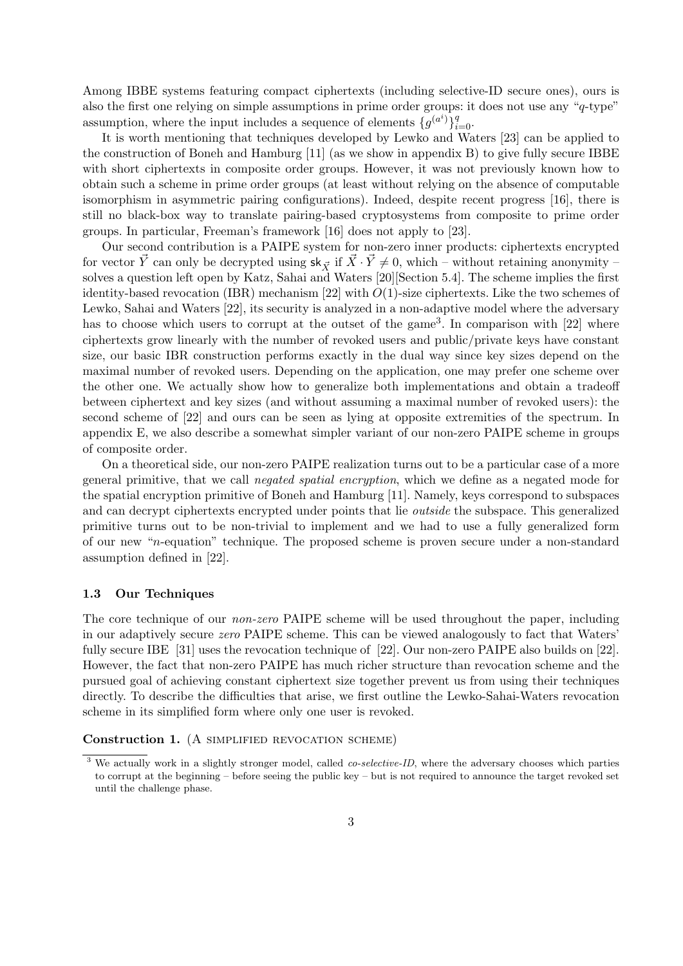Among IBBE systems featuring compact ciphertexts (including selective-ID secure ones), ours is also the first one relying on simple assumptions in prime order groups: it does not use any "q-type" assumption, where the input includes a sequence of elements  $\{g^{(a^i)}\}_{i=0}^q$ .

It is worth mentioning that techniques developed by Lewko and Waters [23] can be applied to the construction of Boneh and Hamburg [11] (as we show in appendix B) to give fully secure IBBE with short ciphertexts in composite order groups. However, it was not previously known how to obtain such a scheme in prime order groups (at least without relying on the absence of computable isomorphism in asymmetric pairing configurations). Indeed, despite recent progress [16], there is still no black-box way to translate pairing-based cryptosystems from composite to prime order groups. In particular, Freeman's framework [16] does not apply to [23].

Our second contribution is a PAIPE system for non-zero inner products: ciphertexts encrypted for vector  $\vec{Y}$  can only be decrypted using  $sk_{\vec{X}}$  if  $\vec{X} \cdot \vec{Y} \neq 0$ , which – without retaining anonymity – solves a question left open by Katz, Sahai and Waters [20][Section 5.4]. The scheme implies the first identity-based revocation (IBR) mechanism [22] with  $O(1)$ -size ciphertexts. Like the two schemes of Lewko, Sahai and Waters [22], its security is analyzed in a non-adaptive model where the adversary has to choose which users to corrupt at the outset of the game<sup>3</sup>. In comparison with [22] where ciphertexts grow linearly with the number of revoked users and public/private keys have constant size, our basic IBR construction performs exactly in the dual way since key sizes depend on the maximal number of revoked users. Depending on the application, one may prefer one scheme over the other one. We actually show how to generalize both implementations and obtain a tradeoff between ciphertext and key sizes (and without assuming a maximal number of revoked users): the second scheme of [22] and ours can be seen as lying at opposite extremities of the spectrum. In appendix E, we also describe a somewhat simpler variant of our non-zero PAIPE scheme in groups of composite order.

On a theoretical side, our non-zero PAIPE realization turns out to be a particular case of a more general primitive, that we call negated spatial encryption, which we define as a negated mode for the spatial encryption primitive of Boneh and Hamburg [11]. Namely, keys correspond to subspaces and can decrypt ciphertexts encrypted under points that lie outside the subspace. This generalized primitive turns out to be non-trivial to implement and we had to use a fully generalized form of our new "n-equation" technique. The proposed scheme is proven secure under a non-standard assumption defined in [22].

#### 1.3 Our Techniques

The core technique of our non-zero PAIPE scheme will be used throughout the paper, including in our adaptively secure zero PAIPE scheme. This can be viewed analogously to fact that Waters' fully secure IBE [31] uses the revocation technique of [22]. Our non-zero PAIPE also builds on [22]. However, the fact that non-zero PAIPE has much richer structure than revocation scheme and the pursued goal of achieving constant ciphertext size together prevent us from using their techniques directly. To describe the difficulties that arise, we first outline the Lewko-Sahai-Waters revocation scheme in its simplified form where only one user is revoked.

#### Construction 1. (A SIMPLIFIED REVOCATION SCHEME)

 $3$  We actually work in a slightly stronger model, called *co-selective-ID*, where the adversary chooses which parties to corrupt at the beginning – before seeing the public key – but is not required to announce the target revoked set until the challenge phase.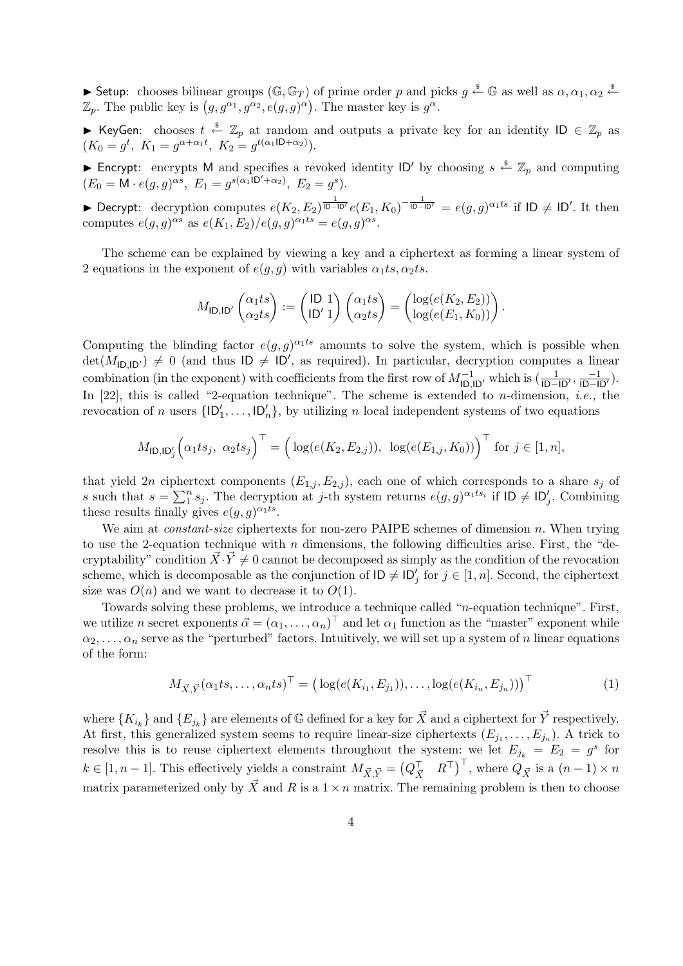► Setup: chooses bilinear groups  $(\mathbb{G}, \mathbb{G}_T)$  of prime order p and picks  $g \stackrel{\$}{\leftarrow} \mathbb{G}$  as well as  $\alpha, \alpha_1, \alpha_2 \stackrel{\$}{\leftarrow}$  $\mathbb{Z}_p$ . The public key is  $(g, g^{\alpha_1}, g^{\alpha_2}, e(g, g)^{\alpha})$ . The master key is  $g^{\alpha}$ .

► KeyGen: chooses  $t \stackrel{\$}{\leftarrow} \mathbb{Z}_p$  at random and outputs a private key for an identity  $ID \in \mathbb{Z}_p$  as  $(K_0 = g^t, K_1 = g^{\alpha + \alpha_1 t}, K_2 = g^{t(\alpha_1 \mathsf{ID} + \alpha_2)}).$ 

► Encrypt: encrypts M and specifies a revoked identity ID' by choosing  $s \stackrel{\$}{\leftarrow} \mathbb{Z}_p$  and computing  $(E_0 = M \cdot e(g, g)^{\alpha s}, E_1 = g^{s(\alpha_1 \overline{D'} + \alpha_2)}, E_2 = g^s).$ 

Decrypt: decryption computes  $e(K_2, E_2) \frac{1}{10-10'} e(E_1, K_0)^{-\frac{1}{10-10'}} = e(g, g)^{\alpha_1 ts}$  if  $ID \neq ID'$ . It then computes  $e(g, g)^{\alpha s}$  as  $e(K_1, E_2)/e(g, g)^{\alpha_1 ts} = e(g, g)^{\alpha s}$ .

The scheme can be explained by viewing a key and a ciphertext as forming a linear system of 2 equations in the exponent of  $e(g, g)$  with variables  $\alpha_1 t s, \alpha_2 t s$ .

$$
M_{\mathsf{ID},\mathsf{ID}'}\begin{pmatrix} \alpha_1 ts \\ \alpha_2 ts \end{pmatrix} := \begin{pmatrix} \mathsf{ID} & 1 \\ \mathsf{ID'} & 1 \end{pmatrix} \begin{pmatrix} \alpha_1 ts \\ \alpha_2 ts \end{pmatrix} = \begin{pmatrix} \log(e(K_2, E_2)) \\ \log(e(E_1, K_0)) \end{pmatrix}.
$$

Computing the blinding factor  $e(g, g)^{\alpha_1 t s}$  amounts to solve the system, which is possible when  $\det(M_{\mathsf{ID},\mathsf{ID'}}) \neq 0$  (and thus  $\mathsf{ID} \neq \mathsf{ID'}$ , as required). In particular, decryption computes a linear combination (in the exponent) with coefficients from the first row of  $M_{\text{ID,ID'}}^{-1}$  which is  $(\frac{1}{\text{ID-ID'}}, \frac{-1}{\text{ID-ID'}})$ . In [22], this is called "2-equation technique". The scheme is extended to *n*-dimension, *i.e.*, the revocation of n users  $\{ |D'_1, \ldots, D'_n\}$ , by utilizing n local independent systems of two equations

$$
M_{\mathsf{ID},\mathsf{ID}_j'}\Big(\alpha_1 t s_j, \ \alpha_2 t s_j\Big)^\top = \Big(\log(e(K_2,E_{2,j})), \ \log(e(E_{1,j},K_0))\Big)^\top \text{ for } j \in [1,n],
$$

that yield 2n ciphertext components  $(E_{1,j}, E_{2,j})$ , each one of which corresponds to a share  $s_j$  of s such that  $s = \sum_{i=1}^{n} s_i$ . The decryption at j-th system returns  $e(g, g)^{\alpha_1 ts_i}$  if  $ID \neq ID'_j$ . Combining these results finally gives  $e(g, g)^{\alpha_1 ts}$ .

We aim at *constant-size* ciphertexts for non-zero PAIPE schemes of dimension  $n$ . When trying to use the 2-equation technique with  $n$  dimensions, the following difficulties arise. First, the "decryptability" condition  $\vec{X}\cdot\vec{Y}\neq 0$  cannot be decomposed as simply as the condition of the revocation scheme, which is decomposable as the conjunction of  $ID \neq ID'_j$  for  $j \in [1, n]$ . Second, the ciphertext size was  $O(n)$  and we want to decrease it to  $O(1)$ .

Towards solving these problems, we introduce a technique called "n-equation technique". First, we utilize n secret exponents  $\vec{\alpha} = (\alpha_1, \ldots, \alpha_n)^\top$  and let  $\alpha_1$  function as the "master" exponent while  $\alpha_2, \ldots, \alpha_n$  serve as the "perturbed" factors. Intuitively, we will set up a system of n linear equations of the form:

$$
M_{\vec{X}, \vec{Y}}(\alpha_1 t s, \dots, \alpha_n t s)^\top = \left(\log(e(K_{i_1}, E_{j_1})), \dots, \log(e(K_{i_n}, E_{j_n}))\right)^\top
$$
\n(1)

where  $\{K_{i_k}\}$  and  $\{E_{j_k}\}$  are elements of G defined for a key for  $\vec{X}$  and a ciphertext for  $\vec{Y}$  respectively. At first, this generalized system seems to require linear-size ciphertexts  $(E_{j_1},...,E_{j_n})$ . A trick to resolve this is to reuse ciphertext elements throughout the system: we let  $E_{j_k} = E_2 = g^s$  for  $k \in [1, n-1]$ . This effectively yields a constraint  $M_{\vec{X}, \vec{Y}} = (Q_{\vec{X}}^\top \quad R^\top)^\top$ , where  $Q_{\vec{X}}$  is a  $(n-1) \times n$ matrix parameterized only by  $\vec{X}$  and R is a  $1\times n$  matrix. The remaining problem is then to choose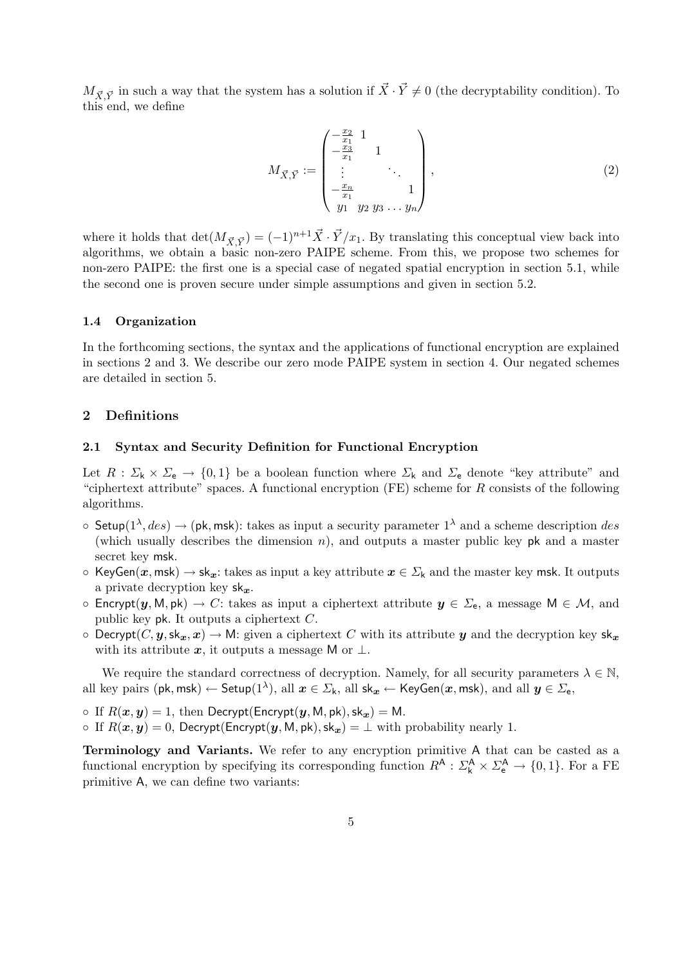$M_{\vec{Y}}\vec{Y}$  in such a way that the system has a solution if  $\vec{X}\cdot\vec{Y}\neq 0$  (the decryptability condition). To this end, we define

$$
M_{\vec{X}, \vec{Y}} := \begin{pmatrix} -\frac{x_2}{x_1} & 1 & & \\ -\frac{x_3}{x_1} & 1 & & \\ \vdots & & \ddots & \\ -\frac{x_n}{x_1} & & 1 & \\ y_1 & y_2 & y_3 & \dots & y_n \end{pmatrix},
$$
 (2)

where it holds that  $\det(M_{\vec{X}, \vec{Y}}) = (-1)^{n+1} \vec{X} \cdot \vec{Y}/x_1$ . By translating this conceptual view back into algorithms, we obtain a basic non-zero PAIPE scheme. From this, we propose two schemes for non-zero PAIPE: the first one is a special case of negated spatial encryption in section 5.1, while the second one is proven secure under simple assumptions and given in section 5.2.

#### 1.4 Organization

In the forthcoming sections, the syntax and the applications of functional encryption are explained in sections 2 and 3. We describe our zero mode PAIPE system in section 4. Our negated schemes are detailed in section 5.

## 2 Definitions

#### 2.1 Syntax and Security Definition for Functional Encryption

Let  $R : \Sigma_{\mathsf{k}} \times \Sigma_{\mathsf{e}} \to \{0,1\}$  be a boolean function where  $\Sigma_{\mathsf{k}}$  and  $\Sigma_{\mathsf{e}}$  denote "key attribute" and "ciphertext attribute" spaces. A functional encryption  $(FE)$  scheme for  $R$  consists of the following algorithms.

- $\circ$  Setup( $1^{\lambda}, des$ )  $\rightarrow$  (pk, msk): takes as input a security parameter  $1^{\lambda}$  and a scheme description des (which usually describes the dimension  $n$ ), and outputs a master public key pk and a master secret key msk.
- KeyGen( $x, \text{msk}) \rightarrow \text{sk}_x$ : takes as input a key attribute  $x \in \Sigma_k$  and the master key msk. It outputs a private decryption key  $sk_x$ .
- $\circ$  Encrypt $(y, M, pk) \rightarrow C$ : takes as input a ciphertext attribute  $y \in \Sigma_e$ , a message  $M \in \mathcal{M}$ , and public key pk. It outputs a ciphertext C.
- $\circ$  Decrypt $(C, y, sk_x, x) \to M$ : given a ciphertext C with its attribute y and the decryption key sk<sub>x</sub> with its attribute  $x$ , it outputs a message M or  $\perp$ .

We require the standard correctness of decryption. Namely, for all security parameters  $\lambda \in \mathbb{N}$ , all key pairs (pk, msk)  $\leftarrow$  Setup $(1^{\lambda})$ , all  $\boldsymbol{x}\in \varSigma_{\mathsf{k}},$  all sk $\boldsymbol{x}\leftarrow$  KeyGen $(\boldsymbol{x},$  msk), and all  $\boldsymbol{y}\in \varSigma_{\mathsf{e}},$ 

- $\circ$  If  $R(x, y) = 1$ , then Decrypt(Encrypt(y, M, pk), sk<sub>x</sub>) = M.
- $\circ$  If  $R(\mathbf{x}, \mathbf{y}) = 0$ , Decrypt(Encrypt(y, M, pk), sk<sub>n</sub>) = ⊥ with probability nearly 1.

Terminology and Variants. We refer to any encryption primitive A that can be casted as a functional encryption by specifying its corresponding function  $R^{\mathsf{A}}: \Sigma_{\mathsf{k}}^{\mathsf{A}} \times \Sigma_{\mathsf{e}}^{\mathsf{A}} \to \{0,1\}$ . For a FE primitive A, we can define two variants: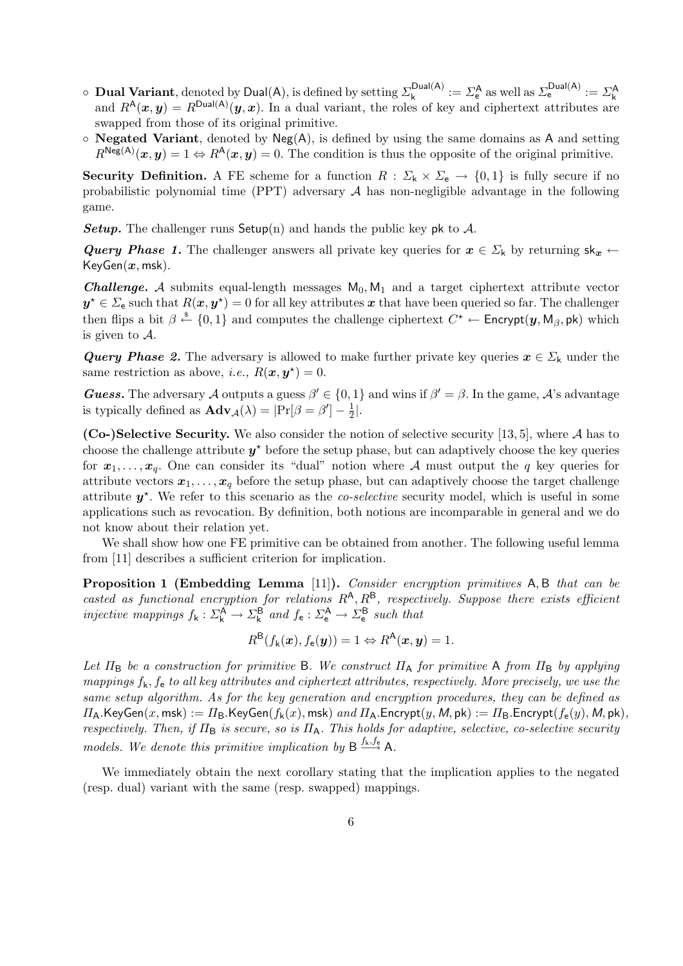- **O** Dual Variant, denoted by Dual(A), is defined by setting  $\sum_{k}^{\text{Dual}(A)}$  $k_{\mathsf{k}}^{\mathsf{Dual}(\mathsf{A})} := \varSigma_{\mathsf{e}}^{\mathsf{A}}$  as well as  $\varSigma_{\mathsf{e}}^{\mathsf{Dual}(\mathsf{A})} := \varSigma_{\mathsf{k}}^{\mathsf{A}}$ and  $R^{A}(x, y) = R^{\text{Dual}(A)}(y, x)$ . In a dual variant, the roles of key and ciphertext attributes are swapped from those of its original primitive.
- $\circ$  Negated Variant, denoted by Neg(A), is defined by using the same domains as A and setting  $R^{\mathsf{Neg}(A)}(x,y) = 1 \Leftrightarrow R^{\mathsf{A}}(x,y) = 0.$  The condition is thus the opposite of the original primitive.

**Security Definition.** A FE scheme for a function  $R : \Sigma_k \times \Sigma_e \to \{0, 1\}$  is fully secure if no probabilistic polynomial time (PPT) adversary  $A$  has non-negligible advantage in the following game.

**Setup.** The challenger runs  $\mathsf{Setup}(n)$  and hands the public key pk to A.

**Query Phase 1.** The challenger answers all private key queries for  $x \in \Sigma_k$  by returning  $sk_x \leftarrow$  $KeyGen(x, msk)$ .

**Challenge.** A submits equal-length messages  $M_0$ ,  $M_1$  and a target ciphertext attribute vector  $y^* \in \Sigma_e$  such that  $R(x, y^*) = 0$  for all key attributes x that have been queried so far. The challenger then flips a bit  $\beta \stackrel{\$}{\leftarrow} \{0,1\}$  and computes the challenge ciphertext  $C^{\star} \leftarrow$  Encrypt $(y, M_{\beta}, \mathsf{pk})$  which is given to A.

**Query Phase 2.** The adversary is allowed to make further private key queries  $x \in \Sigma_k$  under the same restriction as above, *i.e.*,  $R(\mathbf{x}, \mathbf{y}^*) = 0$ .

**Guess.** The adversary A outputs a guess  $\beta' \in \{0,1\}$  and wins if  $\beta' = \beta$ . In the game, A's advantage is typically defined as  $\mathbf{Adv}_{\mathcal{A}}(\lambda) = |\Pr[\beta = \beta'] - \frac{1}{2}$  $\frac{1}{2}$ .

**(Co-)Selective Security.** We also consider the notion of selective security [13, 5], where  $\mathcal{A}$  has to choose the challenge attribute  $y^*$  before the setup phase, but can adaptively choose the key queries for  $x_1, \ldots, x_q$ . One can consider its "dual" notion where A must output the q key queries for attribute vectors  $x_1, \ldots, x_q$  before the setup phase, but can adaptively choose the target challenge attribute  $y^*$ . We refer to this scenario as the *co-selective* security model, which is useful in some applications such as revocation. By definition, both notions are incomparable in general and we do not know about their relation yet.

We shall show how one FE primitive can be obtained from another. The following useful lemma from [11] describes a sufficient criterion for implication.

Proposition 1 (Embedding Lemma [11]). Consider encryption primitives A, B that can be casted as functional encryption for relations  $R^{A}, R^{B}$ , respectively. Suppose there exists efficient injective mappings  $f_k : \Sigma_k^A \to \Sigma_k^B$  and  $f_e : \Sigma_e^A \to \Sigma_e^B$  such that

$$
R^{\mathsf{B}}(f_{\mathsf{k}}(\boldsymbol{x}), f_{\mathsf{e}}(\boldsymbol{y})) = 1 \Leftrightarrow R^{\mathsf{A}}(\boldsymbol{x}, \boldsymbol{y}) = 1.
$$

Let  $\Pi_B$  be a construction for primitive B. We construct  $\Pi_A$  for primitive A from  $\Pi_B$  by applying mappings  $f_k$ ,  $f_e$  to all key attributes and ciphertext attributes, respectively. More precisely, we use the same setup algorithm. As for the key generation and encryption procedures, they can be defined as  $\Pi_A$ .KeyGen(x, msk) :=  $\Pi_B$ .KeyGen( $f_k(x)$ , msk) and  $\Pi_A$ .Encrypt(y, M, pk) :=  $\Pi_B$ .Encrypt( $f_e(y)$ , M, pk), respectively. Then, if  $\Pi_B$  is secure, so is  $\Pi_A$ . This holds for adaptive, selective, co-selective security models. We denote this primitive implication by  $B \xrightarrow{f_k, f_e} A$ .

We immediately obtain the next corollary stating that the implication applies to the negated (resp. dual) variant with the same (resp. swapped) mappings.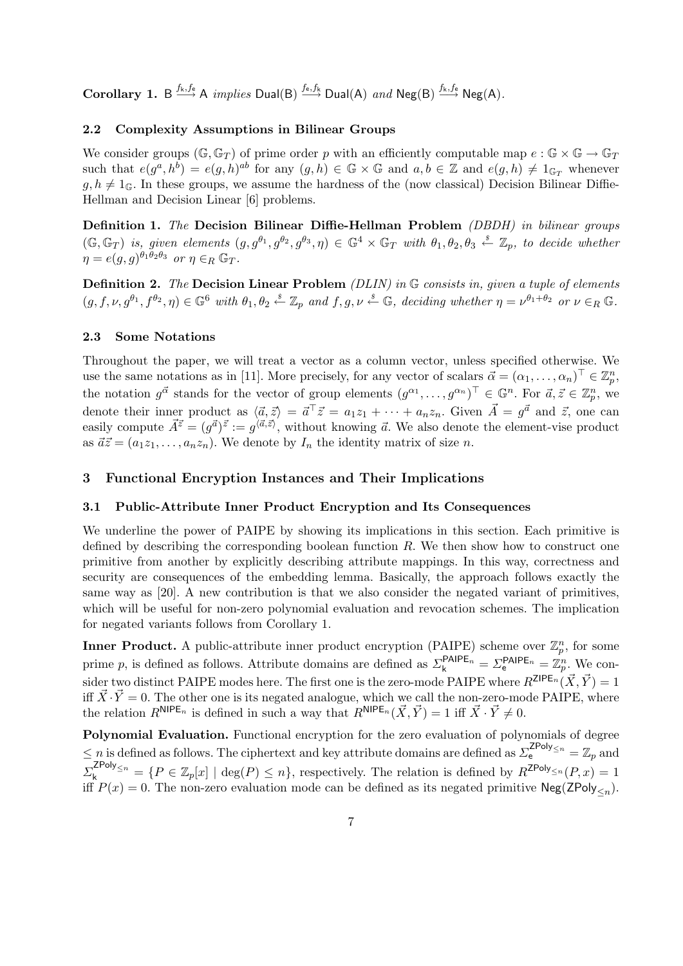Corollary 1. B  $\xrightarrow{f_k, f_e}$  A *implies* Dual(B)  $\xrightarrow{f_e, f_k}$  Dual(A) and Neg(B)  $\xrightarrow{f_k, f_e}$  Neg(A).

## 2.2 Complexity Assumptions in Bilinear Groups

We consider groups  $(\mathbb{G}, \mathbb{G}_T)$  of prime order p with an efficiently computable map  $e : \mathbb{G} \times \mathbb{G} \to \mathbb{G}_T$ such that  $e(g^a, h^b) = e(g, h)^{ab}$  for any  $(g, h) \in \mathbb{G} \times \mathbb{G}$  and  $a, b \in \mathbb{Z}$  and  $e(g, h) \neq 1_{\mathbb{G}_T}$  whenever  $g, h \neq 1_G$ . In these groups, we assume the hardness of the (now classical) Decision Bilinear Diffie-Hellman and Decision Linear [6] problems.

Definition 1. The Decision Bilinear Diffie-Hellman Problem (DBDH) in bilinear groups  $(\mathbb{G}, \mathbb{G}_T)$  is, given elements  $(g, g^{\theta_1}, g^{\theta_2}, g^{\theta_3}, \eta) \in \mathbb{G}^4 \times \mathbb{G}_T$  with  $\theta_1, \theta_2, \theta_3 \stackrel{\hspace{0.1em}\mathcal{S}}{\leftarrow} \mathbb{Z}_p$ , to decide whether  $\eta = e(g, g)^{\theta_1 \theta_2 \theta_3}$  or  $\eta \in_R \mathbb{G}_T$ .

**Definition 2.** The Decision Linear Problem (DLIN) in  $\mathbb{G}$  consists in, given a tuple of elements  $(g, f, \nu, g^{\theta_1}, f^{\theta_2}, \eta) \in \mathbb{G}^6$  with  $\theta_1, \theta_2 \stackrel{s}{\leftarrow} \mathbb{Z}_p$  and  $f, g, \nu \stackrel{s}{\leftarrow} \mathbb{G}$ , deciding whether  $\eta = \nu^{\theta_1 + \theta_2}$  or  $\nu \in_R \mathbb{G}$ .

#### 2.3 Some Notations

Throughout the paper, we will treat a vector as a column vector, unless specified otherwise. We use the same notations as in [11]. More precisely, for any vector of scalars  $\vec{\alpha} = (\alpha_1, \dots, \alpha_n)^\top \in \mathbb{Z}_p^n$ , the notation  $g^{\vec{\alpha}}$  stands for the vector of group elements  $(g^{\alpha_1}, \ldots, g^{\alpha_n})^{\top} \in \mathbb{G}^n$ . For  $\vec{a}, \vec{z} \in \mathbb{Z}_p^n$ , we denote their inner product as  $\langle \vec{a}, \vec{z} \rangle = \vec{a}^\top \vec{z} = a_1 z_1 + \cdots + a_n z_n$ . Given  $\vec{A} = g^{\vec{a}}$  and  $\vec{z}$ , one can easily compute  $\vec{A}^{\vec{z}} = (g^{\vec{a}})^{\vec{z}} := g^{\langle \vec{a}, \vec{z} \rangle}$ , without knowing  $\vec{a}$ . We also denote the element-vise product as  $\vec{a}\vec{z} = (a_1z_1, \ldots, a_nz_n)$ . We denote by  $I_n$  the identity matrix of size n.

#### 3 Functional Encryption Instances and Their Implications

#### 3.1 Public-Attribute Inner Product Encryption and Its Consequences

We underline the power of PAIPE by showing its implications in this section. Each primitive is defined by describing the corresponding boolean function  $R$ . We then show how to construct one primitive from another by explicitly describing attribute mappings. In this way, correctness and security are consequences of the embedding lemma. Basically, the approach follows exactly the same way as [20]. A new contribution is that we also consider the negated variant of primitives, which will be useful for non-zero polynomial evaluation and revocation schemes. The implication for negated variants follows from Corollary 1.

**Inner Product.** A public-attribute inner product encryption (PAIPE) scheme over  $\mathbb{Z}_p^n$ , for some prime p, is defined as follows. Attribute domains are defined as  $\Sigma_k^{\text{PAIPE}_n} = \Sigma_e^{\text{PAIPE}_n} = \mathbb{Z}_p^n$ . We consider two distinct PAIPE modes here. The first one is the zero-mode PAIPE where  $R^{\text{ZIPE}_n}(\vec{X}, \vec{Y}) = 1$ iff  $\vec{X} \cdot \vec{Y} = 0$ . The other one is its negated analogue, which we call the non-zero-mode PAIPE, where the relation  $R^{\text{NIPE}_n}$  is defined in such a way that  $R^{\text{NIPE}_n}(\vec{X}, \vec{Y}) = 1$  iff  $\vec{X} \cdot \vec{Y} \neq 0$ .

Polynomial Evaluation. Functional encryption for the zero evaluation of polynomials of degree  $\leq n$  is defined as follows. The ciphertext and key attribute domains are defined as  $\sum_{e}^{ZPoly \leq n} = \mathbb{Z}_p$  and  $\Sigma_{\mathsf{k}}^{\mathsf{ZPoly}_{\leq n}} = \{P \in \mathbb{Z}_p[x] \mid \deg(P) \leq n\},\$ respectively. The relation is defined by  $R^{\mathsf{ZPoly}_{\leq n}}(P,x) = 1$ iff  $P(x) = 0$ . The non-zero evaluation mode can be defined as its negated primitive  $\mathsf{Neg}(\mathsf{ZPoly}_{\leq n})$ .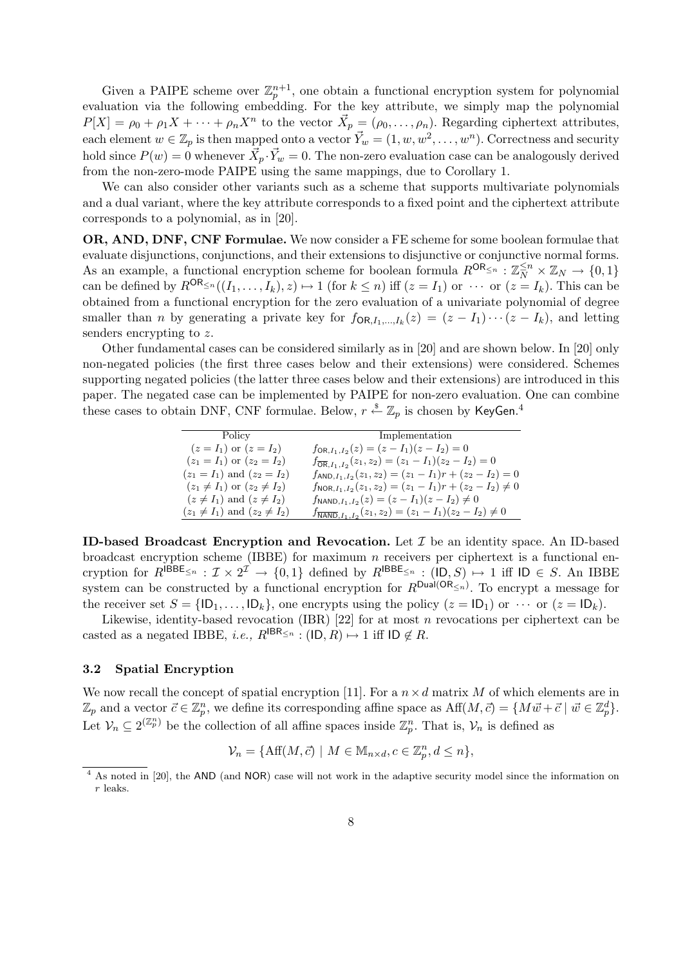Given a PAIPE scheme over  $\mathbb{Z}_p^{n+1}$ , one obtain a functional encryption system for polynomial evaluation via the following embedding. For the key attribute, we simply map the polynomial  $P[X] = \rho_0 + \rho_1 X + \cdots + \rho_n X^n$  to the vector  $\vec{X}_p = (\rho_0, \ldots, \rho_n)$ . Regarding ciphertext attributes, each element  $w \in \mathbb{Z}_p$  is then mapped onto a vector  $\vec{Y}_w = (1, w, w^2, \dots, w^n)$ . Correctness and security hold since  $P(w) = 0$  whenever  $\vec{X}_p \cdot \vec{Y}_w = 0$ . The non-zero evaluation case can be analogously derived from the non-zero-mode PAIPE using the same mappings, due to Corollary 1.

We can also consider other variants such as a scheme that supports multivariate polynomials and a dual variant, where the key attribute corresponds to a fixed point and the ciphertext attribute corresponds to a polynomial, as in [20].

OR, AND, DNF, CNF Formulae. We now consider a FE scheme for some boolean formulae that evaluate disjunctions, conjunctions, and their extensions to disjunctive or conjunctive normal forms. As an example, a functional encryption scheme for boolean formula  $R^{OR_{\leq n}} : \mathbb{Z}_N^{\leq n} \times \mathbb{Z}_N \to \{0,1\}$ can be defined by  $R^{OR_{\leq n}}((I_1,\ldots,I_k),z) \mapsto 1$  (for  $k \leq n$ ) iff  $(z = I_1)$  or  $\cdots$  or  $(z = I_k)$ . This can be obtained from a functional encryption for the zero evaluation of a univariate polynomial of degree smaller than n by generating a private key for  $f_{OR,I_1,...,I_k}(z) = (z - I_1) \cdots (z - I_k)$ , and letting senders encrypting to z.

Other fundamental cases can be considered similarly as in [20] and are shown below. In [20] only non-negated policies (the first three cases below and their extensions) were considered. Schemes supporting negated policies (the latter three cases below and their extensions) are introduced in this paper. The negated case can be implemented by PAIPE for non-zero evaluation. One can combine these cases to obtain DNF, CNF formulae. Below,  $r \stackrel{\$}{\leftarrow} \mathbb{Z}_p$  is chosen by KeyGen.<sup>4</sup>

| Policy                                | Implementation                                                                   |
|---------------------------------------|----------------------------------------------------------------------------------|
| $(z = I_1)$ or $(z = I_2)$            | $f_{OR,I_1,I_2}(z) = (z - I_1)(z - I_2) = 0$                                     |
| $(z_1 = I_1)$ or $(z_2 = I_2)$        | $f_{\overline{OR},I_1,I_2}(z_1,z_2)=(z_1-I_1)(z_2-I_2)=0$                        |
| $(z_1 = I_1)$ and $(z_2 = I_2)$       | $f_{\text{AND},I_1,I_2}(z_1,z_2)=(z_1-I_1)r+(z_2-I_2)=0$                         |
| $(z_1 \neq I_1)$ or $(z_2 \neq I_2)$  | $f_{\text{NOR},I_1,I_2}(z_1,z_2)=(z_1-I_1)r+(z_2-I_2)\neq 0$                     |
| $(z \neq I_1)$ and $(z \neq I_2)$     | $f_{\text{NAND}, I_1, I_2}(z) = (z - I_1)(z - I_2) \neq 0$                       |
| $(z_1 \neq I_1)$ and $(z_2 \neq I_2)$ | $f_{\overline{\text{NAND}}, I_1, I_2}(z_1, z_2) = (z_1 - I_1)(z_2 - I_2) \neq 0$ |

ID-based Broadcast Encryption and Revocation. Let  $\mathcal I$  be an identity space. An ID-based broadcast encryption scheme (IBBE) for maximum  $n$  receivers per ciphertext is a functional encryption for  $R^{IBBE_{\leq n}}: \mathcal{I} \times 2^{\mathcal{I}} \to \{0,1\}$  defined by  $R^{IBBE_{\leq n}}: (\mathsf{ID}, S) \mapsto 1$  iff  $\mathsf{ID} \in S$ . An IBBE system can be constructed by a functional encryption for  $R^{\text{Dual}(\text{OR}_{\leq n})}$ . To encrypt a message for the receiver set  $S = \{ \mathsf{ID}_1, \ldots, \mathsf{ID}_k \}$ , one encrypts using the policy  $(z = \mathsf{ID}_1)$  or  $\cdots$  or  $(z = \mathsf{ID}_k)$ .

Likewise, identity-based revocation (IBR)  $[22]$  for at most n revocations per ciphertext can be casted as a negated IBBE, *i.e.*,  $R^{IBR_{\leq n}}$  :  $(ID, R) \mapsto 1$  iff  $ID \notin R$ .

## 3.2 Spatial Encryption

We now recall the concept of spatial encryption [11]. For a  $n \times d$  matrix M of which elements are in  $\mathbb{Z}_p$  and a vector  $\vec{c} \in \mathbb{Z}_p^n$ , we define its corresponding affine space as  $\text{Aff}(M, \vec{c}) = \{M\vec{w} + \vec{c} \mid \vec{w} \in \mathbb{Z}_p^d\}.$ Let  $\mathcal{V}_n \subseteq 2^{(\mathbb{Z}_p^n)}$  be the collection of all affine spaces inside  $\mathbb{Z}_p^n$ . That is,  $\mathcal{V}_n$  is defined as

$$
\mathcal{V}_n = \{ \text{Aff}(M, \vec{c}) \mid M \in \mathbb{M}_{n \times d}, c \in \mathbb{Z}_p^n, d \le n \},
$$

 $\frac{4}{4}$  As noted in [20], the AND (and NOR) case will not work in the adaptive security model since the information on r leaks.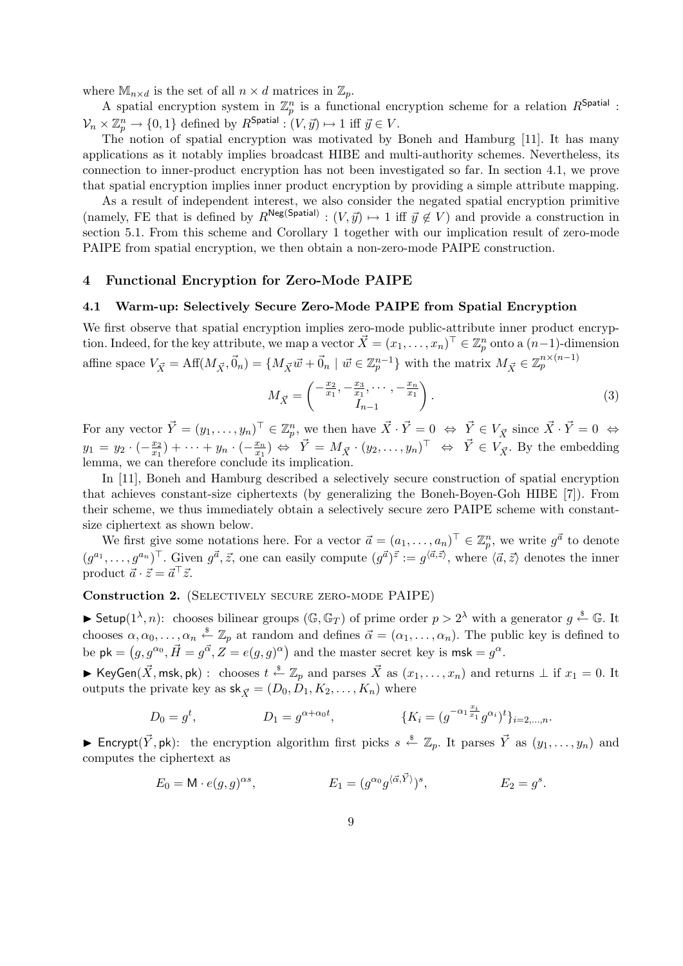where  $\mathbb{M}_{n\times d}$  is the set of all  $n \times d$  matrices in  $\mathbb{Z}_p$ .

A spatial encryption system in  $\mathbb{Z}_p^n$  is a functional encryption scheme for a relation  $R^{\text{Spatial}}$ :  $\mathcal{V}_n \times \mathbb{Z}_p^n \to \{0,1\}$  defined by  $R^{\mathsf{Spatial}} : (V, \vec{y}) \mapsto 1$  iff  $\vec{y} \in V$ .

The notion of spatial encryption was motivated by Boneh and Hamburg [11]. It has many applications as it notably implies broadcast HIBE and multi-authority schemes. Nevertheless, its connection to inner-product encryption has not been investigated so far. In section 4.1, we prove that spatial encryption implies inner product encryption by providing a simple attribute mapping.

As a result of independent interest, we also consider the negated spatial encryption primitive (namely, FE that is defined by  $R^{\text{Neg(Spatial)}} : (V, \vec{y}) \mapsto 1$  iff  $\vec{y} \notin V$ ) and provide a construction in section 5.1. From this scheme and Corollary 1 together with our implication result of zero-mode PAIPE from spatial encryption, we then obtain a non-zero-mode PAIPE construction.

#### 4 Functional Encryption for Zero-Mode PAIPE

## 4.1 Warm-up: Selectively Secure Zero-Mode PAIPE from Spatial Encryption

We first observe that spatial encryption implies zero-mode public-attribute inner product encryption. Indeed, for the key attribute, we map a vector  $\vec{X} = (x_1, \ldots, x_n)^\top \in \mathbb{Z}_p^n$  onto a  $(n-1)$ -dimension affine space  $V_{\vec{X}} = \text{Aff}(M_{\vec{X}}, \vec{0}_n) = \{M_{\vec{X}}\vec{w} + \vec{0}_n \mid \vec{w} \in \mathbb{Z}_p^{n-1}\}\$  with the matrix  $M_{\vec{X}} \in \mathbb{Z}_p^{n \times (n-1)}$ 

$$
M_{\vec{X}} = \begin{pmatrix} -\frac{x_2}{x_1}, -\frac{x_3}{x_1}, \cdots, -\frac{x_n}{x_1} \\ I_{n-1} \end{pmatrix} . \tag{3}
$$

For any vector  $\vec{Y} = (y_1, \ldots, y_n)^\top \in \mathbb{Z}_p^n$ , we then have  $\vec{X} \cdot \vec{Y} = 0 \Leftrightarrow \vec{Y} \in V_{\vec{X}}$  since  $\vec{X} \cdot \vec{Y} = 0 \Leftrightarrow$  $y_1 = y_2 \cdot \left(-\frac{x_2}{x_1}\right)$  $\frac{x_2}{x_1}$ ) +  $\cdots$  +  $y_n$   $\cdot$  (- $\frac{x_n}{x_1}$  $\overline{x}_n^{\overline{x}_1}$   $\Leftrightarrow$   $\overrightarrow{Y} = M_{\overrightarrow{X}} \cdot (y_2, \ldots, y_n)^\top \Leftrightarrow \overrightarrow{Y} \in V_{\overrightarrow{X}}$ . By the embedding lemma, we can therefore conclude its implication.

In [11], Boneh and Hamburg described a selectively secure construction of spatial encryption that achieves constant-size ciphertexts (by generalizing the Boneh-Boyen-Goh HIBE [7]). From their scheme, we thus immediately obtain a selectively secure zero PAIPE scheme with constantsize ciphertext as shown below.

We first give some notations here. For a vector  $\vec{a} = (a_1, \ldots, a_n)^\top \in \mathbb{Z}_p^n$ , we write  $g^{\vec{a}}$  to denote  $(g^{a_1},\ldots,g^{a_n})^{\top}$ . Given  $g^{\vec{a}},\vec{z}$ , one can easily compute  $(g^{\vec{a}})^{\vec{z}}:=g^{\langle\vec{a},\vec{z}\rangle}$ , where  $\langle\vec{a},\vec{z}\rangle$  denotes the inner product  $\vec{a} \cdot \vec{z} = \vec{a}^\top \vec{z}$ .

## Construction 2. (SELECTIVELY SECURE ZERO-MODE PAIPE)

► Setup( $1^{\lambda}, n$ ): chooses bilinear groups ( $\mathbb{G}, \mathbb{G}_T$ ) of prime order  $p > 2^{\lambda}$  with a generator  $g \stackrel{\$}{\leftarrow} \mathbb{G}$ . It chooses  $\alpha, \alpha_0, \ldots, \alpha_n \stackrel{\$}{\leftarrow} \mathbb{Z}_p$  at random and defines  $\vec{\alpha} = (\alpha_1, \ldots, \alpha_n)$ . The public key is defined to be  $pk = (g, g^{\alpha_0}, \vec{H} = g^{\vec{\alpha}}, Z = e(g, g)^{\alpha})$  and the master secret key is  $msk = g^{\alpha}$ .

► KeyGen( $\vec{X}$ , msk, pk): chooses  $t \stackrel{\$}{\leftarrow} \mathbb{Z}_p$  and parses  $\vec{X}$  as  $(x_1,\ldots,x_n)$  and returns  $\bot$  if  $x_1 = 0$ . It outputs the private key as  $\mathsf{sk}_{\vec{X}} = (D_0, D_1, K_2, \ldots, K_n)$  where

$$
D_0 = g^t, \qquad D_1 = g^{\alpha + \alpha_0 t}, \qquad \{K_i = (g^{-\alpha_1 \frac{x_i}{x_1}} g^{\alpha_i})^t\}_{i=2,\dots,n}.
$$

► Encrypt( $\vec{Y}$ , pk): the encryption algorithm first picks  $s \stackrel{\$}{\leftarrow} \mathbb{Z}_p$ . It parses  $\vec{Y}$  as  $(y_1, \ldots, y_n)$  and computes the ciphertext as

$$
E_0 = \mathsf{M} \cdot e(g, g)^{\alpha s}, \qquad E_1 = (g^{\alpha_0} g^{\langle \vec{\alpha}, \vec{Y} \rangle})^s, \qquad E_2 = g^s.
$$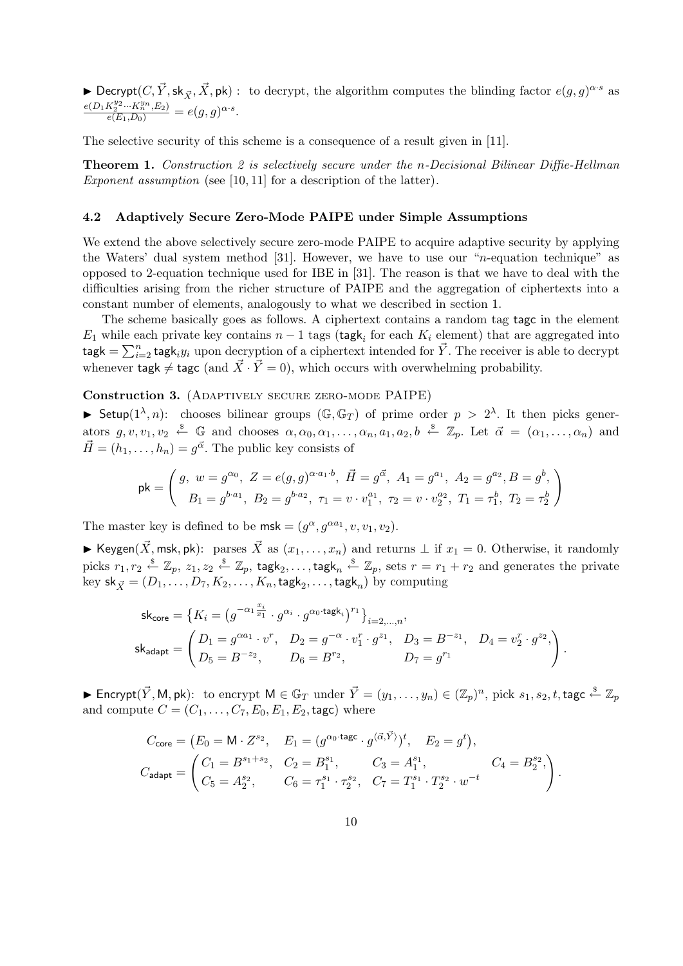Decrypt $(C, \vec{Y}, sk_{\vec{X}}, \vec{X}, pk)$ : to decrypt, the algorithm computes the blinding factor  $e(g, g)^{\alpha \cdot s}$  as  $\frac{e(D_1K_2^{y_2} \cdot \cdot \cdot K_n^{y_n}, E_2)}{e(E_1, D_0)} = e(g, g)^{\alpha \cdot s}.$ 

The selective security of this scheme is a consequence of a result given in [11].

Theorem 1. Construction 2 is selectively secure under the n-Decisional Bilinear Diffie-Hellman Exponent assumption (see [10, 11] for a description of the latter).

#### 4.2 Adaptively Secure Zero-Mode PAIPE under Simple Assumptions

We extend the above selectively secure zero-mode PAIPE to acquire adaptive security by applying the Waters' dual system method [31]. However, we have to use our "n-equation technique" as opposed to 2-equation technique used for IBE in [31]. The reason is that we have to deal with the difficulties arising from the richer structure of PAIPE and the aggregation of ciphertexts into a constant number of elements, analogously to what we described in section 1.

The scheme basically goes as follows. A ciphertext contains a random tag tagc in the element  $E_1$  while each private key contains  $n-1$  tags (tagk<sub>i</sub> for each  $K_i$  element) that are aggregated into tagk  $=\sum_{i=2}^n$ tagk $_i y_i$  upon decryption of a ciphertext intended for  $\vec{Y}$ . The receiver is able to decrypt whenever tagk  $\neq$  tagc (and  $\vec{X}\cdot\vec{Y}=0$ ), which occurs with overwhelming probability.

Construction 3. (ADAPTIVELY SECURE ZERO-MODE PAIPE)

Setup( $1^{\lambda}, n$ ): chooses bilinear groups ( $\mathbb{G}, \mathbb{G}_T$ ) of prime order  $p > 2^{\lambda}$ . It then picks generators  $g, v, v_1, v_2 \stackrel{\$}{\leftarrow} \mathbb{G}$  and chooses  $\alpha, \alpha_0, \alpha_1, \ldots, \alpha_n, a_1, a_2, b \stackrel{\$}{\leftarrow} \mathbb{Z}_p$ . Let  $\vec{\alpha} = (\alpha_1, \ldots, \alpha_n)$  and  $\vec{H} = (h_1, \ldots, h_n) = g^{\vec{\alpha}}$ . The public key consists of

$$
\mathsf{pk} = \begin{pmatrix} g, \ w = g^{\alpha_0}, \ Z = e(g, g)^{\alpha \cdot a_1 \cdot b}, \ \vec{H} = g^{\vec{\alpha}}, \ A_1 = g^{a_1}, \ A_2 = g^{a_2}, B = g^b, \\ B_1 = g^{b \cdot a_1}, \ B_2 = g^{b \cdot a_2}, \ \tau_1 = v \cdot v_1^{a_1}, \ \tau_2 = v \cdot v_2^{a_2}, \ T_1 = \tau_1^b, \ T_2 = \tau_2^b \end{pmatrix}
$$

The master key is defined to be  $\text{msk} = (g^{\alpha}, g^{\alpha a_1}, v, v_1, v_2).$ 

► Keygen( $\vec{X}$ , msk, pk): parses  $\vec{X}$  as  $(x_1, \ldots, x_n)$  and returns  $\bot$  if  $x_1 = 0$ . Otherwise, it randomly picks  $r_1, r_2 \stackrel{\$}{\leftarrow} \mathbb{Z}_p$ ,  $z_1, z_2 \stackrel{\$}{\leftarrow} \mathbb{Z}_p$ ,  $\text{tagk}_2, \ldots, \text{tagk}_n \stackrel{\$}{\leftarrow} \mathbb{Z}_p$ , sets  $r = r_1 + r_2$  and generates the private key sk $_{\vec{X}} = (D_1, \ldots, D_7, K_2, \ldots, K_n, \mathsf{tagk}_2, \ldots, \mathsf{tagk}_n)$  by computing

$$
\mathsf{sk}_{\mathsf{core}} = \left\{ K_i = \left( g^{-\alpha_1 \frac{x_i}{x_1}} \cdot g^{\alpha_i} \cdot g^{\alpha_0 \cdot \mathsf{tagk}_i} \right)^{r_1} \right\}_{i=2,\dots,n},
$$
\n
$$
\mathsf{sk}_{\mathsf{adapt}} = \begin{pmatrix} D_1 = g^{\alpha a_1} \cdot v^r, & D_2 = g^{-\alpha} \cdot v_1^r \cdot g^{z_1}, & D_3 = B^{-z_1}, & D_4 = v_2^r \cdot g^{z_2}, \\ D_5 = B^{-z_2}, & D_6 = B^{r_2}, & D_7 = g^{r_1} \end{pmatrix}.
$$

► Encrypt( $\vec{Y}$ , M, pk): to encrypt  $M \in \mathbb{G}_T$  under  $\vec{Y} = (y_1, \ldots, y_n) \in (\mathbb{Z}_p)^n$ , pick  $s_1, s_2, t$ , tage  $\stackrel{\$}{\leftarrow} \mathbb{Z}_p$ and compute  $C = (C_1, ..., C_7, E_0, E_1, E_2, \text{tagc})$  where

$$
C_{\text{core}} = (E_0 = \mathsf{M} \cdot Z^{s_2}, \quad E_1 = (g^{\alpha_0 \cdot \text{tage}} \cdot g^{\langle \vec{\alpha}, \vec{Y} \rangle})^t, \quad E_2 = g^t),
$$
  
\n
$$
C_{\text{adapt}} = \begin{pmatrix} C_1 = B^{s_1 + s_2}, & C_2 = B_1^{s_1}, & C_3 = A_1^{s_1}, & C_4 = B_2^{s_2}, \\ C_5 = A_2^{s_2}, & C_6 = \tau_1^{s_1} \cdot \tau_2^{s_2}, & C_7 = T_1^{s_1} \cdot T_2^{s_2} \cdot w^{-t} \end{pmatrix}.
$$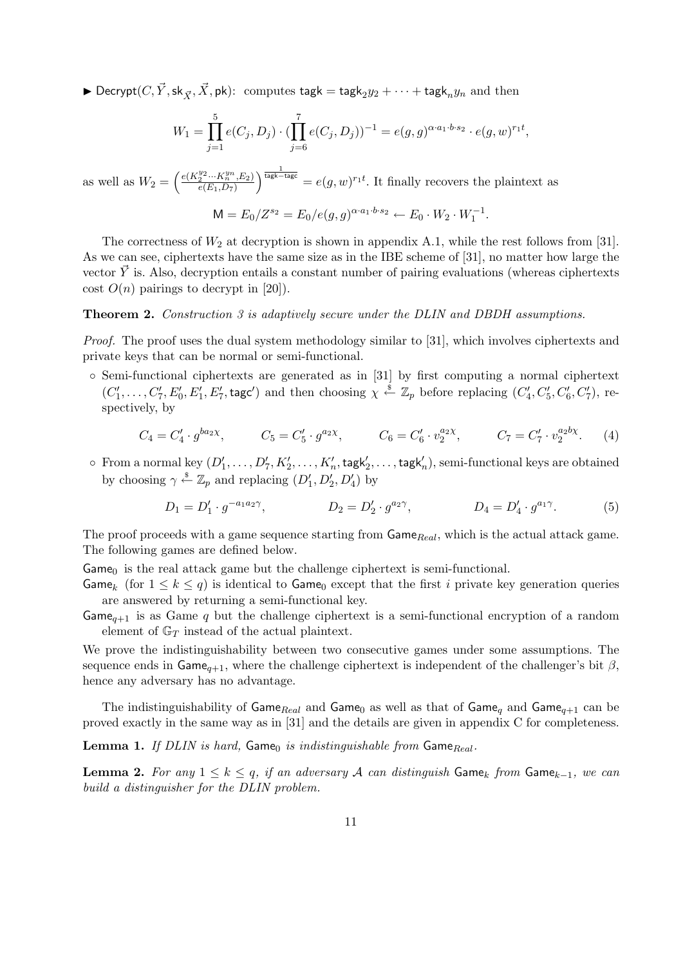Decrypt(C,  $\vec{Y}$ , sk $_{\vec{Y}}$ ,  $\vec{X}$ , pk): computes tagk = tagk<sub>2</sub>y<sub>2</sub> + · · · + tagk<sub>n</sub>y<sub>n</sub> and then

$$
W_1 = \prod_{j=1}^5 e(C_j, D_j) \cdot (\prod_{j=6}^7 e(C_j, D_j))^{-1} = e(g, g)^{\alpha \cdot a_1 \cdot b \cdot s_2} \cdot e(g, w)^{r_1 t},
$$

as well as  $W_2 = \left(\frac{e(K_2^{y_2} \cdots K_n^{y_n}, E_2)}{e(K_1, D_2)}\right)$  $e(E_1,D_7)$  $\int_{\frac{1}{\text{tagk}-\text{tagc}}}^{\frac{1}{\text{tagk}-\text{tagc}}} = e(g,w)^{r_1t}$ . It finally recovers the plaintext as

$$
M = E_0/Z^{s_2} = E_0/e(g, g)^{\alpha \cdot a_1 \cdot b \cdot s_2} \leftarrow E_0 \cdot W_2 \cdot W_1^{-1}.
$$

The correctness of  $W_2$  at decryption is shown in appendix A.1, while the rest follows from [31]. As we can see, ciphertexts have the same size as in the IBE scheme of [31], no matter how large the vector  $\vec{Y}$  is. Also, decryption entails a constant number of pairing evaluations (whereas ciphertexts cost  $O(n)$  pairings to decrypt in [20]).

#### Theorem 2. Construction 3 is adaptively secure under the DLIN and DBDH assumptions.

Proof. The proof uses the dual system methodology similar to [31], which involves ciphertexts and private keys that can be normal or semi-functional.

◦ Semi-functional ciphertexts are generated as in [31] by first computing a normal ciphertext  $(C'_1,\ldots,C'_7,E'_0,E'_1,E'_7, \text{tagc}')$  and then choosing  $\chi \stackrel{\$}{\leftarrow} \mathbb{Z}_p$  before replacing  $(C'_4,C'_5,C'_6,C'_7)$ , respectively, by

$$
C_4 = C'_4 \cdot g^{ba_2 \chi}, \qquad C_5 = C'_5 \cdot g^{a_2 \chi}, \qquad C_6 = C'_6 \cdot v_2^{a_2 \chi}, \qquad C_7 = C'_7 \cdot v_2^{a_2 b \chi}. \tag{4}
$$

 $\circ$  From a normal key  $(D'_1,\ldots,D'_7,K'_2,\ldots,K'_n,\mathsf{tagk}'_2,\ldots,\mathsf{tagk}'_n)$ , semi-functional keys are obtained by choosing  $\gamma \stackrel{\$}{\leftarrow} \mathbb{Z}_p$  and replacing  $(D'_1, D'_2, D'_4)$  by

$$
D_1 = D'_1 \cdot g^{-a_1 a_2 \gamma}, \qquad D_2 = D'_2 \cdot g^{a_2 \gamma}, \qquad D_4 = D'_4 \cdot g^{a_1 \gamma}.
$$
 (5)

The proof proceeds with a game sequence starting from  $Game_{Real}$ , which is the actual attack game. The following games are defined below.

 $Game<sub>0</sub>$  is the real attack game but the challenge ciphertext is semi-functional.

Game<sub>k</sub> (for  $1 \leq k \leq q$ ) is identical to Game<sub>0</sub> except that the first i private key generation queries are answered by returning a semi-functional key.

Game<sub>q+1</sub> is as Game q but the challenge ciphertext is a semi-functional encryption of a random element of  $\mathbb{G}_T$  instead of the actual plaintext.

We prove the indistinguishability between two consecutive games under some assumptions. The sequence ends in  $\mathsf{Game}_{q+1}$ , where the challenge ciphertext is independent of the challenger's bit  $\beta$ , hence any adversary has no advantage.

The indistinguishability of  $\textsf{Game}_{Real}$  and  $\textsf{Game}_0$  as well as that of  $\textsf{Game}_q$  and  $\textsf{Game}_{q+1}$  can be proved exactly in the same way as in [31] and the details are given in appendix C for completeness.

**Lemma 1.** If DLIN is hard, Game<sub>0</sub> is indistinguishable from Game $_{Real}$ .

Lemma 2. For any  $1 \leq k \leq q$ , if an adversary A can distinguish Game<sub>k</sub> from Game<sub>k-1</sub>, we can build a distinguisher for the DLIN problem.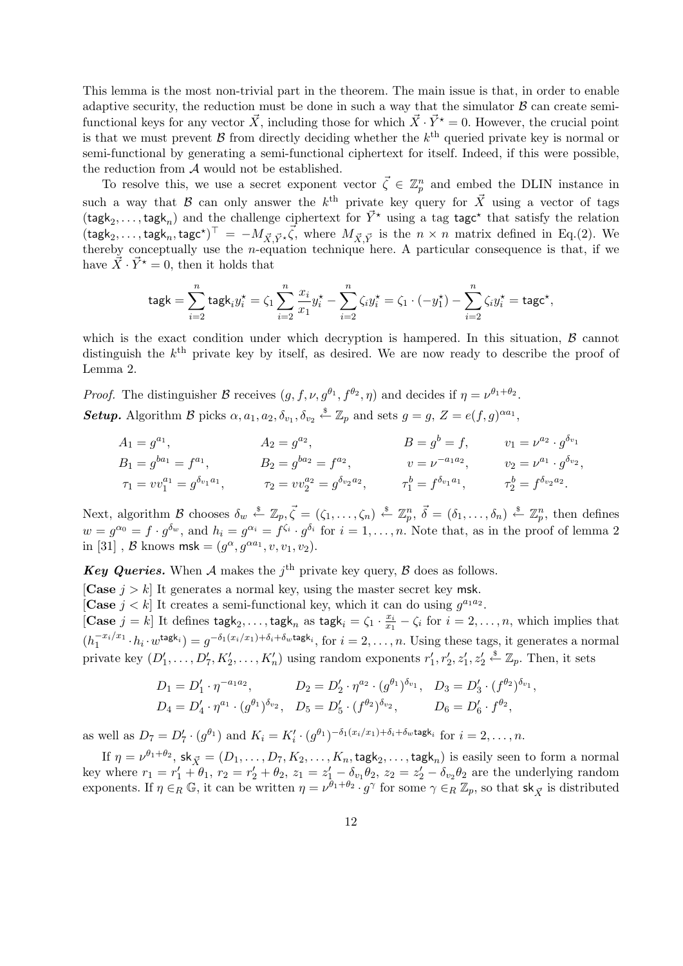This lemma is the most non-trivial part in the theorem. The main issue is that, in order to enable adaptive security, the reduction must be done in such a way that the simulator  $\beta$  can create semifunctional keys for any vector  $\vec{X}$ , including those for which  $\vec{X} \cdot \vec{Y}^* = 0$ . However, the crucial point is that we must prevent  $\beta$  from directly deciding whether the  $k^{\text{th}}$  queried private key is normal or semi-functional by generating a semi-functional ciphertext for itself. Indeed, if this were possible, the reduction from  $A$  would not be established.

To resolve this, we use a secret exponent vector  $\vec{\zeta} \in \mathbb{Z}_p^n$  and embed the DLIN instance in such a way that  $\mathcal B$  can only answer the  $k^{\text{th}}$  private key query for  $\vec X$  using a vector of tags  $(\text{tagk}_2,\ldots,\text{tagk}_n)$  and the challenge ciphertext for  $\vec{Y}^{\star}$  using a tag tagc<sup>\*</sup> that satisfy the relation  $(\mathsf{tagk}_2, \ldots, \mathsf{tagk}_n, \mathsf{tagc}^*)^\top = -M_{\vec{X}, \vec{Y}} \cdot \vec{\zeta}$ , where  $M_{\vec{X}, \vec{Y}}$  is the  $n \times n$  matrix defined in Eq.(2). We thereby conceptually use the *n*-equation technique here. A particular consequence is that, if we have  $\vec{X} \cdot \vec{Y}^* = 0$ , then it holds that

$$
\mathsf{tagk} = \sum_{i=2}^n \mathsf{tagk}_i y_i^\star = \zeta_1 \sum_{i=2}^n \frac{x_i}{x_1} y_i^\star - \sum_{i=2}^n \zeta_i y_i^\star = \zeta_1 \cdot (-y_1^\star) - \sum_{i=2}^n \zeta_i y_i^\star = \mathsf{tagc}^\star,
$$

which is the exact condition under which decryption is hampered. In this situation,  $\beta$  cannot distinguish the  $k<sup>th</sup>$  private key by itself, as desired. We are now ready to describe the proof of Lemma 2.

*Proof.* The distinguisher B receives  $(g, f, \nu, g^{\theta_1}, f^{\theta_2}, \eta)$  and decides if  $\eta = \nu^{\theta_1 + \theta_2}$ . **Setup.** Algorithm B picks  $\alpha, a_1, a_2, \delta_{v_1}, \delta_{v_2} \stackrel{\$}{\leftarrow} \mathbb{Z}_p$  and sets  $g = g, Z = e(f, g)^{\alpha a_1},$ 

$$
A_1 = g^{a_1}, \t A_2 = g^{a_2}, \t B_3 = g^b = f, \t v_1 = \nu^{a_2} \cdot g^{\delta v_1}
$$
  
\n
$$
B_1 = g^{ba_1} = f^{a_1}, \t B_2 = g^{ba_2} = f^{a_2}, \t v = \nu^{-a_1 a_2}, \t v_2 = \nu^{a_1} \cdot g^{\delta v_2},
$$
  
\n
$$
\tau_1 = v v_1^{a_1} = g^{\delta v_1 a_1}, \t \tau_2 = v v_2^{a_2} = g^{\delta v_2 a_2}, \t \tau_1^b = f^{\delta v_1 a_1}, \t \tau_2^b = f^{\delta v_2 a_2}.
$$

Next, algorithm B chooses  $\delta_w \stackrel{\$}{\leftarrow} \mathbb{Z}_p, \vec{\zeta} = (\zeta_1, \ldots, \zeta_n) \stackrel{\$}{\leftarrow} \mathbb{Z}_p^n, \vec{\delta} = (\delta_1, \ldots, \delta_n) \stackrel{\$}{\leftarrow} \mathbb{Z}_p^n$ , then defines  $w = g^{\alpha_0} = f \cdot g^{\delta_w}$ , and  $h_i = g^{\alpha_i} = f^{\zeta_i} \cdot g^{\delta_i}$  for  $i = 1, \ldots, n$ . Note that, as in the proof of lemma 2 in [31],  $\beta$  knows msk =  $(g^{\alpha}, g^{\alpha a_1}, v, v_1, v_2)$ .

**Key Queries.** When A makes the j<sup>th</sup> private key query, B does as follows.

[Case  $j > k$ ] It generates a normal key, using the master secret key msk.

[Case  $j < k$ ] It creates a semi-functional key, which it can do using  $g^{a_1 a_2}$ .

[Case  $j = k$ ] It defines tagk<sub>2</sub>,..., tagk<sub>n</sub> as tagk<sub>i</sub> =  $\zeta_1 \cdot \frac{x_i}{x_1}$  $\frac{x_i}{x_1} - \zeta_i$  for  $i = 2, \ldots, n$ , which implies that  $(h_1^{-x_i/x_1})$  $\int_1^{-x_i/x_1} \cdot h_i \cdot w^{\text{tagk}_i} = g^{-\delta_1(x_i/x_1) + \delta_i + \delta_w \text{tagk}_i}$ , for  $i = 2, \ldots, n$ . Using these tags, it generates a normal private key  $(D'_1,\ldots,D'_7,K'_2,\ldots,K'_n)$  using random exponents  $r'_1,r'_2,z'_1,z'_2 \stackrel{\$}{\leftarrow} \mathbb{Z}_p$ . Then, it sets

$$
D_1 = D'_1 \cdot \eta^{-a_1 a_2}, \qquad D_2 = D'_2 \cdot \eta^{a_2} \cdot (g^{\theta_1})^{\delta_{v_1}}, \quad D_3 = D'_3 \cdot (f^{\theta_2})^{\delta_{v_1}},
$$
  

$$
D_4 = D'_4 \cdot \eta^{a_1} \cdot (g^{\theta_1})^{\delta_{v_2}}, \qquad D_5 = D'_5 \cdot (f^{\theta_2})^{\delta_{v_2}}, \qquad D_6 = D'_6 \cdot f^{\theta_2},
$$

as well as  $D_7 = D'_7 \cdot (g^{\theta_1})$  and  $K_i = K'_i \cdot (g^{\theta_1})^{-\delta_1(x_i/x_1) + \delta_i + \delta_w \text{tagk}}$  for  $i = 2, \ldots, n$ .

If  $\eta = \nu^{\theta_1+\theta_2}$ ,  $\mathsf{sk}_{\vec{X}} = (D_1, \ldots, D_7, K_2, \ldots, K_n, \mathsf{tagk}_2, \ldots, \mathsf{tagk}_n)$  is easily seen to form a normal key where  $r_1 = r_1' + \theta_1$ ,  $r_2 = r_2' + \theta_2$ ,  $z_1 = z_1' - \delta_{v_1} \theta_2$ ,  $z_2 = z_2' - \delta_{v_2} \theta_2$  are the underlying random exponents. If  $\eta \in_R \mathbb{G}$ , it can be written  $\eta = \nu^{\theta_1 + \theta_2} \cdot g^\gamma$  for some  $\gamma \in_R \mathbb{Z}_p$ , so that  $sk_{\vec{X}}$  is distributed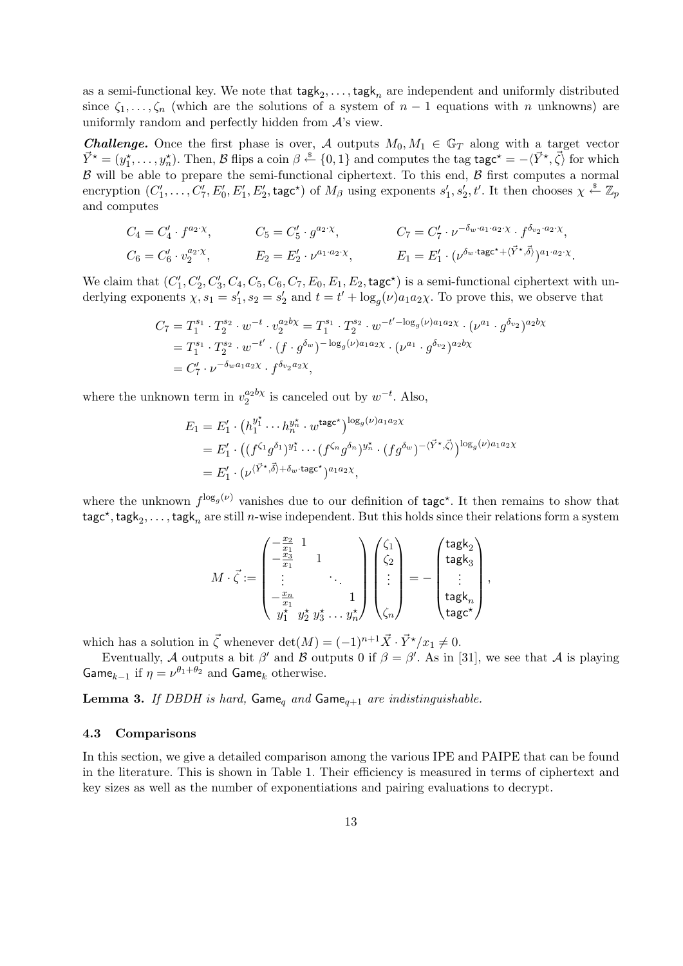as a semi-functional key. We note that  $\text{tag}k_2, \ldots, \text{tag}k_n$  are independent and uniformly distributed since  $\zeta_1, \ldots, \zeta_n$  (which are the solutions of a system of  $n-1$  equations with n unknowns) are uniformly random and perfectly hidden from  $A$ 's view.

**Challenge.** Once the first phase is over, A outputs  $M_0, M_1 \in \mathbb{G}_T$  along with a target vector  $\vec{Y}^{\star} = (y_1^{\star}, \dots, y_n^{\star})$ . Then,  $\mathcal{B}$  flips a coin  $\beta \stackrel{\$}{\leftarrow} \{0, 1\}$  and computes the tag tagc<sup>\*</sup> =  $-\langle \vec{Y}^{\star}, \vec{\zeta} \rangle$  for which  $\beta$  will be able to prepare the semi-functional ciphertext. To this end,  $\beta$  first computes a normal encryption  $(C'_1,\ldots,C'_7,E'_0,E'_1,E'_2, \text{tage*})$  of  $M_\beta$  using exponents  $s'_1,s'_2,t'$ . It then chooses  $\chi \stackrel{\$}{\leftarrow} \mathbb{Z}_p$ and computes

$$
C_4 = C'_4 \cdot f^{a_2 \cdot \chi}, \t C_5 = C'_5 \cdot g^{a_2 \cdot \chi}, \t C_7 = C'_7 \cdot \nu^{-\delta_w \cdot a_1 \cdot a_2 \cdot \chi} \cdot f^{\delta_{v_2} \cdot a_2 \cdot \chi},
$$
  
\n
$$
C_6 = C'_6 \cdot v_2^{a_2 \cdot \chi}, \t E_2 = E'_2 \cdot \nu^{a_1 \cdot a_2 \cdot \chi}, \t E_1 = E'_1 \cdot (\nu^{\delta_w \cdot \text{tagc*} + \langle \vec{Y}^{\star}, \vec{\delta} \rangle})^{a_1 \cdot a_2 \cdot \chi}.
$$

We claim that  $(C'_1, C'_2, C'_3, C_4, C_5, C_6, C_7, E_0, E_1, E_2, \text{tage}^{\star})$  is a semi-functional ciphertext with underlying exponents  $\chi$ ,  $s_1 = s'_1$ ,  $s_2 = s'_2$  and  $t = t' + \log_g(\nu)a_1a_2\chi$ . To prove this, we observe that

$$
C_7 = T_1^{s_1} \cdot T_2^{s_2} \cdot w^{-t} \cdot v_2^{a_2 b \chi} = T_1^{s_1} \cdot T_2^{s_2} \cdot w^{-t' - \log_g(\nu) a_1 a_2 \chi} \cdot (\nu^{a_1} \cdot g^{\delta_{v_2}})^{a_2 b \chi}
$$
  
=  $T_1^{s_1} \cdot T_2^{s_2} \cdot w^{-t'} \cdot (f \cdot g^{\delta_w})^{-\log_g(\nu) a_1 a_2 \chi} \cdot (\nu^{a_1} \cdot g^{\delta_{v_2}})^{a_2 b \chi}$   
=  $C_7' \cdot \nu^{-\delta_w a_1 a_2 \chi} \cdot f^{\delta_{v_2} a_2 \chi}$ ,

where the unknown term in  $v_2^{a_2b\chi}$  is canceled out by  $w^{-t}$ . Also,

$$
E_1 = E'_1 \cdot \left( h_1^{y_1^*} \cdots h_n^{y_n^*} \cdot w^{\text{tagc}*} \right)^{\log_g(\nu) a_1 a_2 \chi}
$$
  
=  $E'_1 \cdot \left( (f^{\zeta_1} g^{\delta_1})^{y_1^*} \cdots (f^{\zeta_n} g^{\delta_n})^{y_n^*} \cdot (fg^{\delta_w})^{-(\vec{Y}^*, \vec{\zeta})} \right)^{\log_g(\nu) a_1 a_2 \chi}$   
=  $E'_1 \cdot (\nu^{\langle \vec{Y}^*, \vec{\delta} \rangle + \delta_w \cdot \text{tagc}*} )^{a_1 a_2 \chi},$ 

where the unknown  $f^{\log_g(\nu)}$  vanishes due to our definition of tagc<sup>\*</sup>. It then remains to show that  $\mathsf{tagc}^\star, \mathsf{tagk}_2, \ldots, \mathsf{tagk}_n$  are still n-wise independent. But this holds since their relations form a system

$$
M\cdot\vec{\zeta}:=\begin{pmatrix}-\frac{x_2}{x_1} & 1 & & \\ -\frac{x_3}{x_1} & 1 & & \\ \vdots & & \ddots & \\ -\frac{x_n}{x_1} & & 1 \\ y_1^{\star} & y_2^{\star} & y_3^{\star} \dots y_n^{\star} \end{pmatrix}\begin{pmatrix} \zeta_1 \\ \zeta_2 \\ \vdots \\ \zeta_n \end{pmatrix}=-\begin{pmatrix} \mathrm{tagk}_2 \\ \mathrm{tagk}_3 \\ \vdots \\ \mathrm{tagk} \end{pmatrix},
$$

which has a solution in  $\vec{\zeta}$  whenever  $\det(M) = (-1)^{n+1} \vec{X} \cdot \vec{Y}^* / x_1 \neq 0$ .

Eventually, A outputs a bit  $\beta'$  and B outputs 0 if  $\beta = \beta'$ . As in [31], we see that A is playing Game<sub>k-1</sub> if  $\eta = \nu^{\theta_1 + \theta_2}$  and Game<sub>k</sub> otherwise.

**Lemma 3.** If DBDH is hard, Game<sub>q</sub> and Game<sub>q+1</sub> are indistinguishable.

## 4.3 Comparisons

In this section, we give a detailed comparison among the various IPE and PAIPE that can be found in the literature. This is shown in Table 1. Their efficiency is measured in terms of ciphertext and key sizes as well as the number of exponentiations and pairing evaluations to decrypt.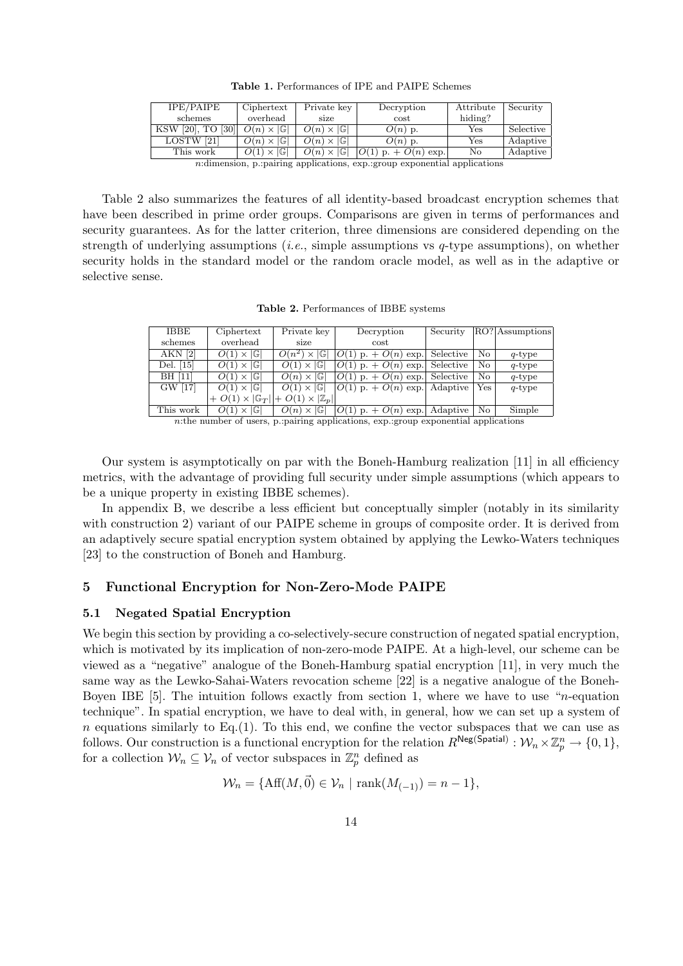| IPE/PAIPE                                                                                                       | Ciphertext                 | Private key                | Decryption               | Attribute | Security  |
|-----------------------------------------------------------------------------------------------------------------|----------------------------|----------------------------|--------------------------|-----------|-----------|
| schemes                                                                                                         | overhead                   | size                       | cost                     | hiding?   |           |
| KSW [20], TO [30]                                                                                               | $O(n) \times  \mathbb{G} $ | $O(n) \times  \mathbb{G} $ | $O(n)$ p.                | Yes       | Selective |
| $LOSTW$ [21]                                                                                                    | $O(n) \times  \mathbb{G} $ | $O(n) \times  \mathbb{G} $ | $O(n)$ p.                | Yes       | Adaptive  |
| This work                                                                                                       | $O(1) \times  \mathbb{G} $ | $O(n) \times  \mathbb{G} $ | $ O(1)$ p. + $O(n)$ exp. | No        | Adaptive  |
| the contract of the contract of the contract of the contract of the contract of the contract of the contract of |                            |                            |                          |           |           |

Table 1. Performances of IPE and PAIPE Schemes

n:dimension, p.:pairing applications, exp.:group exponential applications

Table 2 also summarizes the features of all identity-based broadcast encryption schemes that have been described in prime order groups. Comparisons are given in terms of performances and security guarantees. As for the latter criterion, three dimensions are considered depending on the strength of underlying assumptions (*i.e.*, simple assumptions vs  $q$ -type assumptions), on whether security holds in the standard model or the random oracle model, as well as in the adaptive or selective sense.

Table 2. Performances of IBBE systems

| IBBE           | Ciphertext                     | Private key                  | Decryption                        | Security  |     | RO? Assumptions |
|----------------|--------------------------------|------------------------------|-----------------------------------|-----------|-----|-----------------|
| schemes        | overhead                       | size                         | cost                              |           |     |                 |
| $AKN$ [2]      | $O(1) \times  \mathbb{G} $     | G <br>$O(n^2)$ $\times$      | $ O(1)$ p. + $O(n)$ exp.          | Selective | No  | $q$ -type       |
| Del. [15]      | G <br>$O(1) \times$            | $O(1) \times  \mathbb{G} $   | $ O(1)$ p. + $O(n)$ exp.          | Selective | No  | $q$ -type       |
| <b>BH</b> [11] | $O(1) \times  \mathbb{G} $     | $O(n) \times  \mathbb{G} $   | $ O(1)$ p. + $O(n)$ exp.          | Selective | No  | $q$ -type       |
| GW [17]        | $O(1) \times  \mathbb{G} $     | $O(1) \times  \mathbb{G} $   | $ O(1)$ p. + $O(n)$ exp. Adaptive |           | Yes | $q$ -type       |
|                | $+ O(1) \times  \mathbb{G}_T $ | $O(1) \times  \mathbb{Z}_p $ |                                   |           |     |                 |
| This work      | G <br>$O(1) \times$            | $O(n) \times  \mathbb{G} $   | $ O(1)$ p. + $O(n)$ exp. Adaptive |           | No  | Simple          |
|                |                                |                              |                                   |           |     |                 |

n:the number of users, p.:pairing applications, exp.:group exponential applications

Our system is asymptotically on par with the Boneh-Hamburg realization [11] in all efficiency metrics, with the advantage of providing full security under simple assumptions (which appears to be a unique property in existing IBBE schemes).

In appendix B, we describe a less efficient but conceptually simpler (notably in its similarity with construction 2) variant of our PAIPE scheme in groups of composite order. It is derived from an adaptively secure spatial encryption system obtained by applying the Lewko-Waters techniques [23] to the construction of Boneh and Hamburg.

## 5 Functional Encryption for Non-Zero-Mode PAIPE

#### 5.1 Negated Spatial Encryption

We begin this section by providing a co-selectively-secure construction of negated spatial encryption, which is motivated by its implication of non-zero-mode PAIPE. At a high-level, our scheme can be viewed as a "negative" analogue of the Boneh-Hamburg spatial encryption [11], in very much the same way as the Lewko-Sahai-Waters revocation scheme [22] is a negative analogue of the Boneh-Boyen IBE [5]. The intuition follows exactly from section 1, where we have to use "*n*-equation technique". In spatial encryption, we have to deal with, in general, how we can set up a system of n equations similarly to Eq.(1). To this end, we confine the vector subspaces that we can use as follows. Our construction is a functional encryption for the relation  $R^{\text{Neg(Spatial)}}: \mathcal{W}_n \times \mathbb{Z}_p^n \to \{0, 1\}$ , for a collection  $\mathcal{W}_n \subseteq \mathcal{V}_n$  of vector subspaces in  $\mathbb{Z}_p^n$  defined as

$$
\mathcal{W}_n = \{ \text{Aff}(M, \vec{0}) \in \mathcal{V}_n \mid \text{rank}(M_{(-1)}) = n - 1 \},
$$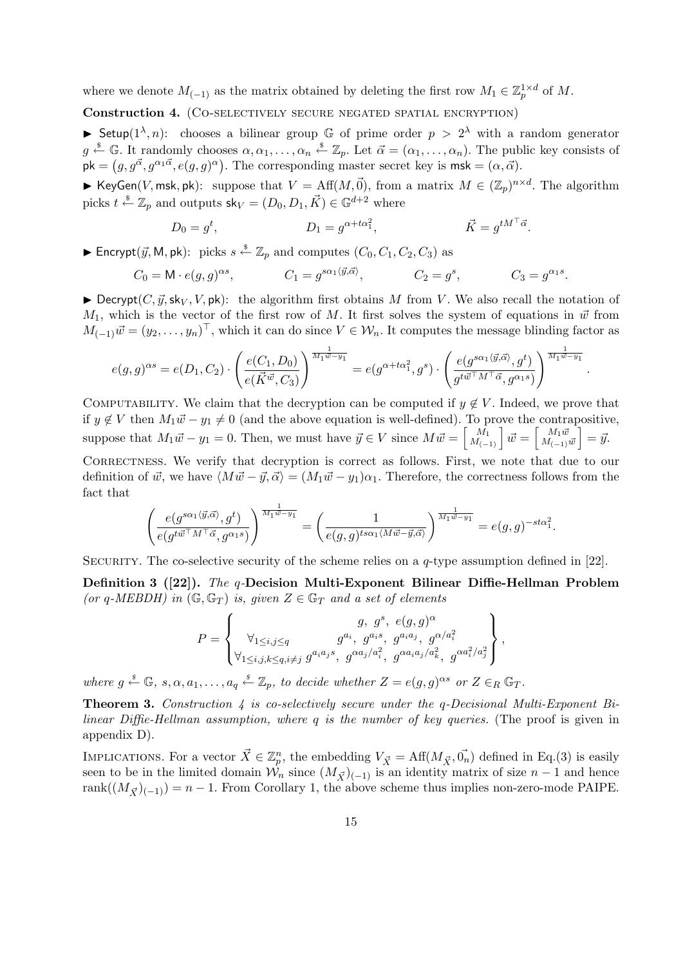where we denote  $M_{(-1)}$  as the matrix obtained by deleting the first row  $M_1 \in \mathbb{Z}_p^{1 \times d}$  of M.

Construction 4. (Co-selectively secure negated spatial encryption)

Setup( $1^{\lambda}, n$ ): chooses a bilinear group G of prime order  $p > 2^{\lambda}$  with a random generator  $g \stackrel{\$}{\leftarrow} \mathbb{G}$ . It randomly chooses  $\alpha, \alpha_1, \ldots, \alpha_n \stackrel{\$}{\leftarrow} \mathbb{Z}_p$ . Let  $\vec{\alpha} = (\alpha_1, \ldots, \alpha_n)$ . The public key consists of  $\mathsf{pk} = (g, g^{\vec{\alpha}}, g^{\alpha_1 \vec{\alpha}}, e(g, g)^{\alpha})$ . The corresponding master secret key is  $\mathsf{msk} = (\alpha, \vec{\alpha})$ .

► KeyGen(V, msk, pk): suppose that  $V = Aff(M, \vec{0})$ , from a matrix  $M \in (\mathbb{Z}_p)^{n \times d}$ . The algorithm picks  $t \stackrel{\$}{\leftarrow} \mathbb{Z}_p$  and outputs  $\mathsf{sk}_V = (D_0, D_1, \vec{K}) \in \mathbb{G}^{d+2}$  where

$$
D_0 = g^t, \qquad D_1 = g^{\alpha + t\alpha_1^2}, \qquad \tilde{K} = g^{tM^\top \vec{\alpha}}.
$$

► Encrypt( $\vec{y}$ , M, pk): picks  $s \stackrel{\$}{\leftarrow} \mathbb{Z}_p$  and computes  $(C_0, C_1, C_2, C_3)$  as

$$
C_0 = \mathsf{M} \cdot e(g, g)^{\alpha s},
$$
  $C_1 = g^{s \alpha_1 \langle \vec{y}, \vec{\alpha} \rangle},$   $C_2 = g^s,$   $C_3 = g^{\alpha_1 s}.$ 

 $\blacktriangleright$  Decrypt(C,  $\vec{y}$ , sk<sub>V</sub>, V, pk): the algorithm first obtains M from V. We also recall the notation of  $M_1$ , which is the vector of the first row of M. It first solves the system of equations in  $\vec{w}$  from  $M_{(-1)}\vec{w} = (y_2,\ldots,y_n)^\top$ , which it can do since  $V \in \mathcal{W}_n$ . It computes the message blinding factor as

$$
e(g,g)^{\alpha s}=e(D_1,C_2)\cdot\left(\frac{e(C_1,D_0)}{e(\vec{K}^{\vec{w}},C_3)}\right)^{\frac{1}{M_1\vec{w}-y_1}}=e(g^{\alpha+t\alpha_1^2},g^s)\cdot\left(\frac{e(g^{s\alpha_1\langle \vec{y},\vec{\alpha}\rangle},g^t)}{g^{t\vec{w}^\top M^\top\vec{\alpha}},g^{\alpha_1s})}\right)^{\frac{1}{M_1\vec{w}-y_1}}
$$

.

COMPUTABILITY. We claim that the decryption can be computed if  $y \notin V$ . Indeed, we prove that if  $y \notin V$  then  $M_1 \vec{w} - y_1 \neq 0$  (and the above equation is well-defined). To prove the contrapositive, suppose that  $M_1 \vec{w} - y_1 = 0$ . Then, we must have  $\vec{y} \in V$  since  $M \vec{w} = \begin{bmatrix} M_1 \\ M_{(-1)} \end{bmatrix} \vec{w} = \begin{bmatrix} M_1 \vec{w} \\ M_{(-1)} \end{bmatrix}$  $\begin{bmatrix} M_1\vec{w} \\ M_{(-1)}\vec{w} \end{bmatrix} = \vec{y}.$ 

CORRECTNESS. We verify that decryption is correct as follows. First, we note that due to our definition of  $\vec{w}$ , we have  $\langle M\vec{w} - \vec{y}, \vec{\alpha} \rangle = (M_1 \vec{w} - y_1)\alpha_1$ . Therefore, the correctness follows from the fact that

$$
\left(\frac{e(g^{s\alpha_1\langle \vec{y},\vec{\alpha}\rangle},g^t)}{e(g^{t\vec{w}^\top M^\top \vec{\alpha}},g^{\alpha_1 s})}\right)^{\frac{1}{M_1\vec{w}-y_1}} = \left(\frac{1}{e(g,g)^{ts\alpha_1\langle M\vec{w}-\vec{y},\vec{\alpha}\rangle}}\right)^{\frac{1}{M_1\vec{w}-y_1}} = e(g,g)^{-st\alpha_1^2}.
$$

SECURITY. The co-selective security of the scheme relies on a  $q$ -type assumption defined in [22].

Definition 3 ([22]). The q-Decision Multi-Exponent Bilinear Diffie-Hellman Problem (or q-MEBDH) in  $(\mathbb{G}, \mathbb{G}_T)$  is, given  $Z \in \mathbb{G}_T$  and a set of elements

$$
P = \begin{Bmatrix} g, g^s, e(g, g)^{\alpha} \\ \forall_{1 \le i,j \le q} & g^{a_i}, g^{a_i s}, g^{a_i a_j}, g^{\alpha/a_i^2} \\ \forall_{1 \le i,j,k \le q, i \ne j} g^{a_i a_j s}, g^{\alpha a_j/a_i^2}, g^{\alpha a_i a_j/a_k^2}, g^{\alpha a_i^2/a_j^2} \end{Bmatrix},
$$

where  $g \stackrel{\$}{\leftarrow} \mathbb{G}$ ,  $s, \alpha, a_1, \ldots, a_q \stackrel{\$}{\leftarrow} \mathbb{Z}_p$ , to decide whether  $Z = e(g, g)^{\alpha s}$  or  $Z \in_R \mathbb{G}_T$ .

**Theorem 3.** Construction 4 is co-selectively secure under the q-Decisional Multi-Exponent Bilinear Diffie-Hellman assumption, where q is the number of key queries. (The proof is given in appendix D).

IMPLICATIONS. For a vector  $\vec{X} \in \mathbb{Z}_p^n$ , the embedding  $V_{\vec{X}} = \text{Aff}(M_{\vec{X}}, \vec{0_n})$  defined in Eq.(3) is easily seen to be in the limited domain  $\mathcal{W}_n$  since  $(M_{\vec{X}})_{(-1)}$  is an identity matrix of size  $n-1$  and hence rank $((M_{\vec{X}})_{(-1)}) = n - 1$ . From Corollary 1, the above scheme thus implies non-zero-mode PAIPE.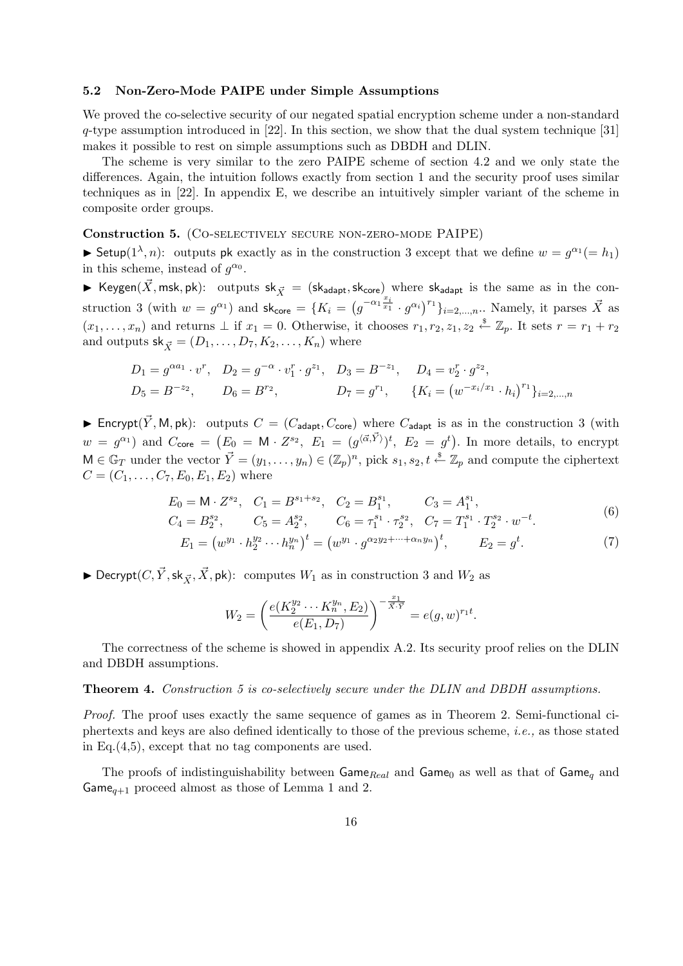#### 5.2 Non-Zero-Mode PAIPE under Simple Assumptions

We proved the co-selective security of our negated spatial encryption scheme under a non-standard q-type assumption introduced in [22]. In this section, we show that the dual system technique [31] makes it possible to rest on simple assumptions such as DBDH and DLIN.

The scheme is very similar to the zero PAIPE scheme of section 4.2 and we only state the differences. Again, the intuition follows exactly from section 1 and the security proof uses similar techniques as in [22]. In appendix E, we describe an intuitively simpler variant of the scheme in composite order groups.

#### Construction 5. (Co-selectively secure non-zero-mode PAIPE)

Setup( $1^{\lambda}, n$ ): outputs pk exactly as in the construction 3 except that we define  $w = g^{\alpha_1} (= h_1)$ in this scheme, instead of  $g^{\alpha_0}$ .

Exercise Keygen( $\vec{X}$ , msk, pk): outputs sk $\vec{X}$  = (sk<sub>adapt</sub>, sk<sub>core</sub>) where sk<sub>adapt</sub> is the same as in the construction 3 (with  $w = g^{\alpha_1}$ ) and  $sk_{core} = \{K_i = (g^{-\alpha_1} \frac{x_i}{x_1} \cdot g^{\alpha_i})^{r_1}\}_{i=2,\dots,n}$ . Namely, it parses  $\vec{X}$  as  $(x_1,\ldots,x_n)$  and returns  $\perp$  if  $x_1=0$ . Otherwise, it chooses  $r_1,r_2,z_1,z_2 \stackrel{\hspace{0.1em}\mathsf{\scriptscriptstyle\$}}{\leftarrow} \mathbb{Z}_p$ . It sets  $r=r_1+r_2$ and outputs  $\mathsf{sk}_{\vec{X}} = (D_1, \ldots, D_7, K_2, \ldots, K_n)$  where

$$
D_1 = g^{\alpha a_1} \cdot v^r, \quad D_2 = g^{-\alpha} \cdot v_1^r \cdot g^{z_1}, \quad D_3 = B^{-z_1}, \quad D_4 = v_2^r \cdot g^{z_2},
$$
  
\n
$$
D_5 = B^{-z_2}, \qquad D_6 = B^{r_2}, \qquad D_7 = g^{r_1}, \qquad \{K_i = (w^{-x_i/x_1} \cdot h_i)^{r_1}\}_{i=2,\dots,n}
$$

**Encrypt**( $\vec{Y}$ , M, pk): outputs  $C = (C_{\text{adapt}}, C_{\text{core}})$  where  $C_{\text{adapt}}$  is as in the construction 3 (with  $w = g^{\alpha_1}$  and  $C_{\text{core}} = (E_0 = M \cdot Z^{s_2}, E_1 = (g^{\langle \vec{\alpha}, \vec{Y} \rangle})^t, E_2 = g^t)$ . In more details, to encrypt  $M \in \mathbb{G}_T$  under the vector  $\vec{Y} = (y_1, \ldots, y_n) \in (\mathbb{Z}_p)^n$ , pick  $s_1, s_2, t \stackrel{\$}{\leftarrow} \mathbb{Z}_p$  and compute the ciphertext  $C = (C_1, \ldots, C_7, E_0, E_1, E_2)$  where

$$
E_0 = \mathsf{M} \cdot Z^{s_2}, \quad C_1 = B^{s_1 + s_2}, \quad C_2 = B_1^{s_1}, \quad C_3 = A_1^{s_1}, C_4 = B_2^{s_2}, \quad C_5 = A_2^{s_2}, \quad C_6 = \tau_1^{s_1} \cdot \tau_2^{s_2}, \quad C_7 = T_1^{s_1} \cdot T_2^{s_2} \cdot w^{-t}.
$$
 (6)

$$
E_1 = (w^{y_1} \cdot h_2^{y_2} \cdots h_n^{y_n})^t = (w^{y_1} \cdot g^{\alpha_2 y_2 + \cdots + \alpha_n y_n})^t, \qquad E_2 = g^t.
$$
 (7)

 $\blacktriangleright$  Decrypt(C,  $\vec{Y}$ , sk<sub> $\vec{Y}$ </sub>,  $\vec{X}$ , pk): computes  $W_1$  as in construction 3 and  $W_2$  as

$$
W_2 = \left(\frac{e(K_2^{y_2} \cdots K_n^{y_n}, E_2)}{e(E_1, D_7)}\right)^{-\frac{x_1}{\overline{X} \cdot \overline{Y}}} = e(g, w)^{r_1 t}.
$$

The correctness of the scheme is showed in appendix A.2. Its security proof relies on the DLIN and DBDH assumptions.

#### Theorem 4. Construction 5 is co-selectively secure under the DLIN and DBDH assumptions.

Proof. The proof uses exactly the same sequence of games as in Theorem 2. Semi-functional ciphertexts and keys are also defined identically to those of the previous scheme, i.e., as those stated in Eq.(4,5), except that no tag components are used.

The proofs of indistinguishability between  $\text{Game}_{Real}$  and  $\text{Game}_0$  as well as that of  $\text{Game}_q$  and  $Game_{q+1}$  proceed almost as those of Lemma 1 and 2.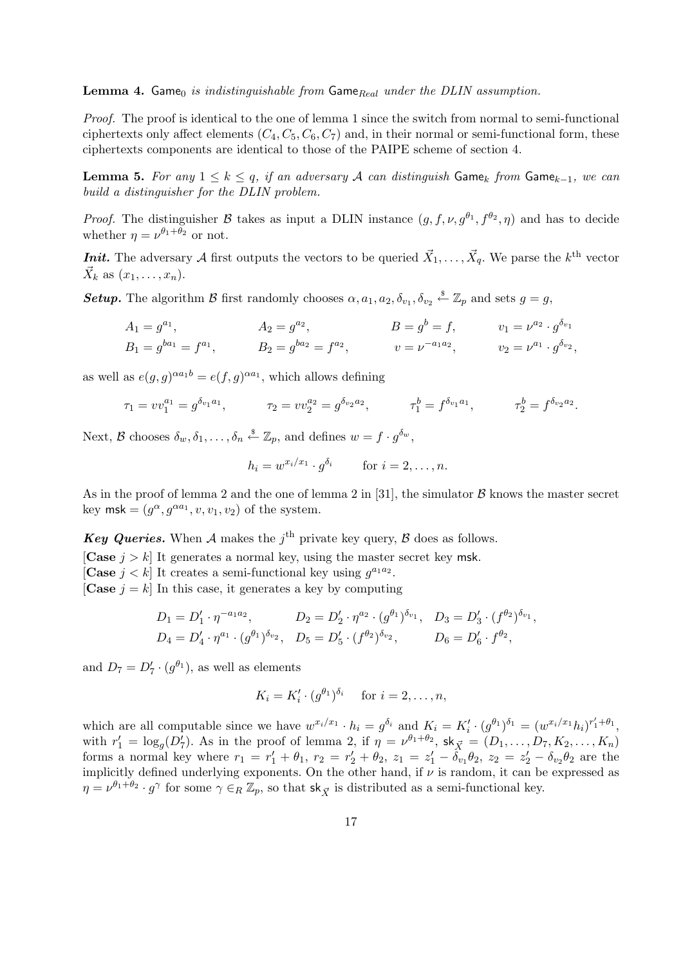#### **Lemma 4.** Game<sub>0</sub> is indistinguishable from  $\text{Game}_{Real}$  under the DLIN assumption.

Proof. The proof is identical to the one of lemma 1 since the switch from normal to semi-functional ciphertexts only affect elements  $(C_4, C_5, C_6, C_7)$  and, in their normal or semi-functional form, these ciphertexts components are identical to those of the PAIPE scheme of section 4.

**Lemma 5.** For any  $1 \leq k \leq q$ , if an adversary A can distinguish Game<sub>k</sub> from Game<sub>k-1</sub>, we can build a distinguisher for the DLIN problem.

*Proof.* The distinguisher B takes as input a DLIN instance  $(g, f, \nu, g^{\theta_1}, f^{\theta_2}, \eta)$  and has to decide whether  $\eta = \nu^{\theta_1 + \theta_2}$  or not.

**Init.** The adversary A first outputs the vectors to be queried  $\vec{X}_1, \ldots, \vec{X}_q$ . We parse the  $k^{\text{th}}$  vector  $\vec{X}_k$  as  $(x_1, \ldots, x_n)$ .

**Setup.** The algorithm B first randomly chooses  $\alpha, a_1, a_2, \delta_{v_1}, \delta_{v_2} \stackrel{\$}{\leftarrow} \mathbb{Z}_p$  and sets  $g = g$ ,

$$
A_1 = g^{a_1}
$$
,  $A_2 = g^{a_2}$ ,  $B = g^b = f$ ,  $v_1 = v^{a_2} \cdot g^{\delta_{v_1}}$   
\n $B_1 = g^{ba_1} = f^{a_1}$ ,  $B_2 = g^{ba_2} = f^{a_2}$ ,  $v = v^{-a_1 a_2}$ ,  $v_2 = v^{a_1} \cdot g^{\delta_{v_2}}$ 

as well as  $e(g, g)^{\alpha a_1 b} = e(f, g)^{\alpha a_1}$ , which allows defining

$$
\tau_1 = v v_1^{a_1} = g^{\delta_{v_1} a_1}, \qquad \tau_2 = v v_2^{a_2} = g^{\delta_{v_2} a_2}, \qquad \tau_1^b = f^{\delta_{v_1} a_1}, \qquad \tau_2^b = f^{\delta_{v_2} a_2}.
$$

Next, B chooses  $\delta_w, \delta_1, \ldots, \delta_n \stackrel{\$}{\leftarrow} \mathbb{Z}_p$ , and defines  $w = f \cdot g^{\delta_w}$ ,

$$
h_i = w^{x_i/x_1} \cdot g^{\delta_i} \qquad \text{for } i = 2, \dots, n.
$$

As in the proof of lemma 2 and the one of lemma 2 in [31], the simulator  $\beta$  knows the master secret key msk =  $(g^{\alpha}, g^{\alpha a_1}, v, v_1, v_2)$  of the system.

**Key Queries.** When A makes the  $j^{\text{th}}$  private key query, B does as follows.

[Case  $j > k$ ] It generates a normal key, using the master secret key msk. [Case  $j < k$ ] It creates a semi-functional key using  $g^{a_1 a_2}$ .

[Case  $j = k$ ] In this case, it generates a key by computing

$$
D_1 = D'_1 \cdot \eta^{-a_1 a_2}, \qquad D_2 = D'_2 \cdot \eta^{a_2} \cdot (g^{\theta_1})^{\delta_{v_1}}, \quad D_3 = D'_3 \cdot (f^{\theta_2})^{\delta_{v_1}},
$$
  

$$
D_4 = D'_4 \cdot \eta^{a_1} \cdot (g^{\theta_1})^{\delta_{v_2}}, \qquad D_5 = D'_5 \cdot (f^{\theta_2})^{\delta_{v_2}}, \qquad D_6 = D'_6 \cdot f^{\theta_2},
$$

and  $D_7 = D'_7 \cdot (g^{\theta_1})$ , as well as elements

$$
K_i = K'_i \cdot (g^{\theta_1})^{\delta_i} \quad \text{for } i = 2, \dots, n,
$$

which are all computable since we have  $w^{x_i/x_1} \cdot h_i = g^{\delta_i}$  and  $K_i = K'_i \cdot (g^{\theta_1})^{\delta_1} = (w^{x_i/x_1}h_i)^{r'_1 + \theta_1}$ , with  $r'_1 = \log_g(D'_7)$ . As in the proof of lemma 2, if  $\eta = \nu^{\theta_1 + \theta_2}$ ,  $\mathsf{sk}_{\vec{X}} = (D_1, \ldots, D_7, K_2, \ldots, K_n)$ forms a normal key where  $r_1 = r_1' + \theta_1$ ,  $r_2 = r_2' + \theta_2$ ,  $z_1 = z_1' - \tilde{\delta}_{v_1} \theta_2$ ,  $z_2 = z_2' - \delta_{v_2} \theta_2$  are the implicitly defined underlying exponents. On the other hand, if  $\nu$  is random, it can be expressed as  $\eta = \nu^{\theta_1 + \theta_2} \cdot g^{\gamma}$  for some  $\gamma \in_R \mathbb{Z}_p$ , so that  $sk_{\vec{X}}$  is distributed as a semi-functional key.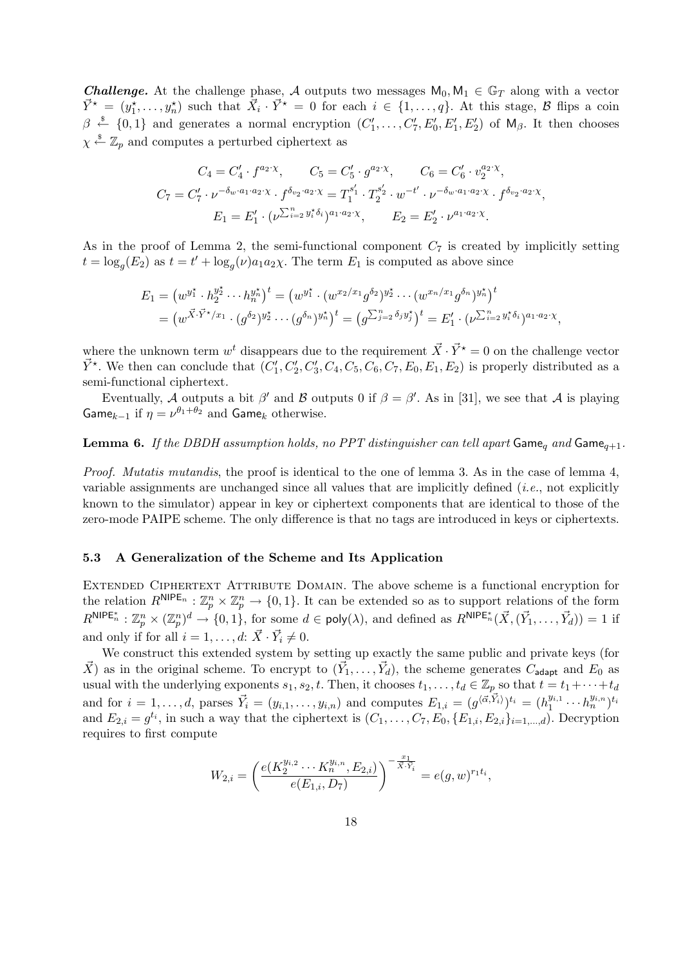**Challenge.** At the challenge phase, A outputs two messages  $M_0, M_1 \in \mathbb{G}_T$  along with a vector  $\vec{Y}^{\star} = (y_1^{\star}, \ldots, y_n^{\star})$  such that  $\vec{X}_i \cdot \vec{Y}^{\star} = 0$  for each  $i \in \{1, \ldots, q\}$ . At this stage, B flips a coin  $\beta \stackrel{\$}{\leftarrow} \{0,1\}$  and generates a normal encryption  $(C'_1,\ldots,C'_7,E'_0,E'_1,E'_2)$  of  $M_{\beta}$ . It then chooses  $\chi \overset{\$}{\leftarrow} \mathbb{Z}_p$  and computes a perturbed ciphertext as

$$
C_4 = C'_4 \cdot f^{a_2 \cdot \chi}, \qquad C_5 = C'_5 \cdot g^{a_2 \cdot \chi}, \qquad C_6 = C'_6 \cdot v_2^{a_2 \cdot \chi},
$$
  

$$
C_7 = C'_7 \cdot \nu^{-\delta_w \cdot a_1 \cdot a_2 \cdot \chi} \cdot f^{\delta_{v_2} \cdot a_2 \cdot \chi} = T_1^{s'_1} \cdot T_2^{s'_2} \cdot w^{-t'} \cdot \nu^{-\delta_w \cdot a_1 \cdot a_2 \cdot \chi} \cdot f^{\delta_{v_2} \cdot a_2 \cdot \chi},
$$
  

$$
E_1 = E'_1 \cdot (\nu^{\sum_{i=2}^n y_i^{\star} \delta_i})^{a_1 \cdot a_2 \cdot \chi}, \qquad E_2 = E'_2 \cdot \nu^{a_1 \cdot a_2 \cdot \chi}.
$$

As in the proof of Lemma 2, the semi-functional component  $C_7$  is created by implicitly setting  $t = \log_g(E_2)$  as  $t = t' + \log_g(\nu)a_1a_2\chi$ . The term  $E_1$  is computed as above since

$$
E_1 = (w^{y_1^*} \cdot h_2^{y_2^*} \cdots h_n^{y_n^*})^t = (w^{y_1^*} \cdot (w^{x_2/x_1} g^{\delta_2})^{y_2^*} \cdots (w^{x_n/x_1} g^{\delta_n})^{y_n^*})^t
$$
  
=  $(w^{\vec{X} \cdot \vec{Y}^{\star}/x_1} \cdot (g^{\delta_2})^{y_2^*} \cdots (g^{\delta_n})^{y_n^*})^t = (g^{\sum_{j=2}^n \delta_j y_j^*})^t = E'_1 \cdot (\nu^{\sum_{i=2}^n y_i^* \delta_i})^{a_1 \cdot a_2 \cdot \chi},$ 

where the unknown term  $w^t$  disappears due to the requirement  $\vec{X} \cdot \vec{Y}^* = 0$  on the challenge vector  $\vec{Y}^*$ . We then can conclude that  $(C'_1, C'_2, C'_3, C_4, C_5, C_6, C_7, E_0, E_1, E_2)$  is properly distributed as a semi-functional ciphertext.

Eventually, A outputs a bit  $\beta'$  and B outputs 0 if  $\beta = \beta'$ . As in [31], we see that A is playing Game<sub>k-1</sub> if  $\eta = \nu^{\theta_1 + \theta_2}$  and Game<sub>k</sub> otherwise.

## Lemma 6. If the DBDH assumption holds, no PPT distinguisher can tell apart Game<sub>q</sub> and Game<sub>q+1</sub>.

Proof. Mutatis mutandis, the proof is identical to the one of lemma 3. As in the case of lemma 4, variable assignments are unchanged since all values that are implicitly defined  $(i.e.,$  not explicitly known to the simulator) appear in key or ciphertext components that are identical to those of the zero-mode PAIPE scheme. The only difference is that no tags are introduced in keys or ciphertexts.

## 5.3 A Generalization of the Scheme and Its Application

Extended Ciphertext Attribute Domain. The above scheme is a functional encryption for the relation  $R^{\text{NIPE}_n} : \mathbb{Z}_p^n \times \mathbb{Z}_p^n \to \{0,1\}$ . It can be extended so as to support relations of the form  $R^{\text{NIPE}_{n}^{*}}:\mathbb{Z}_{p}^{n}\times(\mathbb{Z}_{p}^{n})^{d}\to\{0,1\},$  for some  $d\in \text{poly}(\lambda)$ , and defined as  $R^{\text{NIPE}_{n}^{*}}(\vec{X},(\vec{Y}_{1},\ldots,\vec{Y}_{d}))=1$  if and only if for all  $i = 1, ..., d: \vec{X} \cdot \vec{Y}_i \neq 0$ .

We construct this extended system by setting up exactly the same public and private keys (for  $\vec{X}$  as in the original scheme. To encrypt to  $(\vec{Y}_1, \ldots, \vec{Y}_d)$ , the scheme generates  $C_{\text{adapt}}$  and  $E_0$  as usual with the underlying exponents  $s_1, s_2, t$ . Then, it chooses  $t_1, \ldots, t_d \in \mathbb{Z}_p$  so that  $t = t_1 + \cdots + t_d$ and for  $i = 1, \ldots, d$ , parses  $\vec{Y}_i = (y_{i,1}, \ldots, y_{i,n})$  and computes  $E_{1,i} = (g^{\langle \vec{\alpha}, \vec{Y}_i \rangle})^{t_i} = (h_1^{y_{i,1}})^{t_i}$  $h_1^{y_{i,1}} \cdots h_n^{y_{i,n}}$ )<sup>t<sub>i</sub></sup> and  $E_{2,i} = g^{t_i}$ , in such a way that the ciphertext is  $(C_1, \ldots, C_7, E_0, \{E_{1,i}, E_{2,i}\}_{i=1,\ldots,d})$ . Decryption requires to first compute

$$
W_{2,i} = \left(\frac{e(K_2^{y_{i,2}} \cdots K_n^{y_{i,n}}, E_{2,i})}{e(E_{1,i}, D_7)}\right)^{-\frac{x_1}{\overline{X} \cdot \overline{Y}_i}} = e(g, w)^{r_1 t_i},
$$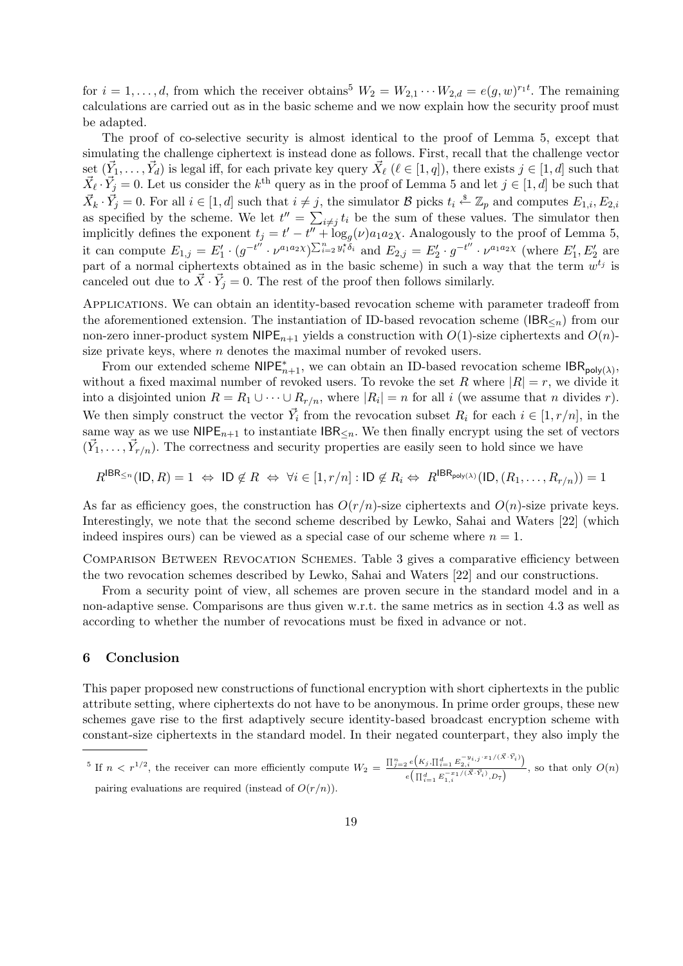for  $i = 1, \ldots, d$ , from which the receiver obtains<sup>5</sup>  $W_2 = W_{2,1} \cdots W_{2,d} = e(g, w)^{r_1 t}$ . The remaining calculations are carried out as in the basic scheme and we now explain how the security proof must be adapted.

The proof of co-selective security is almost identical to the proof of Lemma 5, except that simulating the challenge ciphertext is instead done as follows. First, recall that the challenge vector set  $(\vec{Y}_1,\ldots,\vec{Y}_d)$  is legal iff, for each private key query  $\vec{X}_{\ell}$   $(\ell \in [1,q])$ , there exists  $j \in [1,d]$  such that  $\vec{X}_{\ell} \cdot \vec{Y}_{j} = 0$ . Let us consider the k<sup>th</sup> query as in the proof of Lemma 5 and let  $j \in [1, d]$  be such that  $\vec{X}_k \cdot \vec{Y}_j = 0$ . For all  $i \in [1, d]$  such that  $i \neq j$ , the simulator B picks  $t_i \stackrel{\$}{\leftarrow} \mathbb{Z}_p$  and computes  $E_{1,i}, E_{2,i}$ as specified by the scheme. We let  $t'' = \sum_{i \neq j} t_i$  be the sum of these values. The simulator then implicitly defines the exponent  $t_j = t' - t'' + \log_q(\nu) a_1 a_2 \chi$ . Analogously to the proof of Lemma 5, it can compute  $E_{1,j} = E'_1 \cdot (g^{-t^{j}} \cdot \nu^{a_1 a_2 \chi}) \sum_{i=2}^n y_i^* \delta_i$  and  $E_{2,j} = E'_2 \cdot g^{-t^{i'}} \cdot \nu^{a_1 a_2 \chi}$  (where  $E'_1, E'_2$  are part of a normal ciphertexts obtained as in the basic scheme) in such a way that the term  $w^{t_j}$  is canceled out due to  $\vec{X} \cdot \vec{Y}_j = 0$ . The rest of the proof then follows similarly.

Applications. We can obtain an identity-based revocation scheme with parameter tradeoff from the aforementioned extension. The instantiation of ID-based revocation scheme (IBR $\langle n \rangle$ ) from our non-zero inner-product system  $NIPE_{n+1}$  yields a construction with  $O(1)$ -size ciphertexts and  $O(n)$ size private keys, where *n* denotes the maximal number of revoked users.

From our extended scheme  $NIPE^*_{n+1}$ , we can obtain an ID-based revocation scheme  $IBR_{poly(\lambda)}$ , without a fixed maximal number of revoked users. To revoke the set R where  $|R| = r$ , we divide it into a disjointed union  $R = R_1 \cup \cdots \cup R_{r/n}$ , where  $|R_i| = n$  for all i (we assume that n divides r). We then simply construct the vector  $\vec{Y}_i$  from the revocation subset  $R_i$  for each  $i \in [1, r/n]$ , in the same way as we use  $NIPE_{n+1}$  to instantiate  $IBR_{\leq n}$ . We then finally encrypt using the set of vectors  $(\vec{Y}_1, \ldots, \vec{Y}_{r/n})$ . The correctness and security properties are easily seen to hold since we have

$$
R^{\mathsf{IBR}_{\leq n}}(\mathsf{ID}, R) = 1 \Leftrightarrow \mathsf{ID} \not\in R \Leftrightarrow \forall i \in [1, r/n] : \mathsf{ID} \not\in R_i \Leftrightarrow R^{\mathsf{IBR}_{\mathsf{poly}(\lambda)}}(\mathsf{ID}, (R_1, \ldots, R_{r/n})) = 1
$$

As far as efficiency goes, the construction has  $O(r/n)$ -size ciphertexts and  $O(n)$ -size private keys. Interestingly, we note that the second scheme described by Lewko, Sahai and Waters [22] (which indeed inspires ours) can be viewed as a special case of our scheme where  $n = 1$ .

Comparison Between Revocation Schemes. Table 3 gives a comparative efficiency between the two revocation schemes described by Lewko, Sahai and Waters [22] and our constructions.

From a security point of view, all schemes are proven secure in the standard model and in a non-adaptive sense. Comparisons are thus given w.r.t. the same metrics as in section 4.3 as well as according to whether the number of revocations must be fixed in advance or not.

## 6 Conclusion

This paper proposed new constructions of functional encryption with short ciphertexts in the public attribute setting, where ciphertexts do not have to be anonymous. In prime order groups, these new schemes gave rise to the first adaptively secure identity-based broadcast encryption scheme with constant-size ciphertexts in the standard model. In their negated counterpart, they also imply the

<sup>&</sup>lt;sup>5</sup> If  $n < r^{1/2}$ , the receiver can more efficiently compute  $W_2 = \frac{\prod_{j=2}^n e\left(K_j, \prod_{i=1}^d E_{2,i}^{-y_{i,j}+x_1/(\vec{X}\cdot\vec{Y}_i)}\right)}{f\left(K_j, \prod_{i=1}^d E_{2,i}^{-y_{i,j}+x_1/(\vec{X}\cdot\vec{Y}_i)}\right)}$  $e^{\frac{P(\mathbf{x}_j,\mathbf{1}_i)=1 - 2}{\prod_{i=1}^d E_{1,i}^{-x_1/(\vec{X}\cdot\vec{Y}_i)},D_7}},$  so that only  $O(n)$ pairing evaluations are required (instead of  $O(r/n)$ ).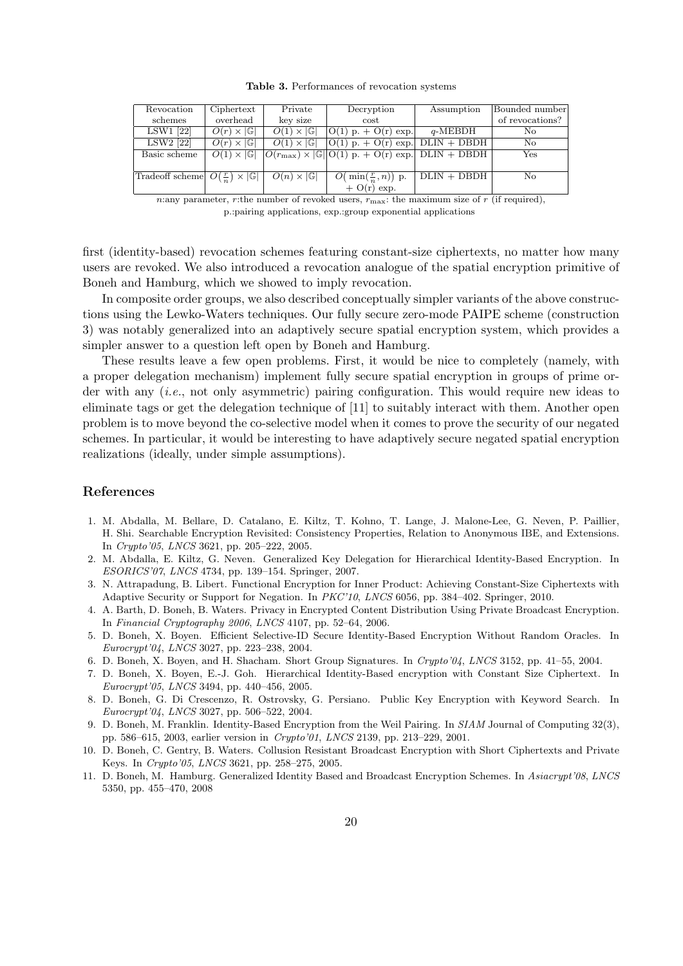| Revocation                       | Ciphertext                 | Private                    | Decryption                                                                                | Assumption    | Bounded number  |
|----------------------------------|----------------------------|----------------------------|-------------------------------------------------------------------------------------------|---------------|-----------------|
| schemes                          | overhead                   | key size                   | cost                                                                                      |               | of revocations? |
| LSW1 $\overline{22}$             | $O(r) \times  \mathbb{G} $ | $O(1) \times  \mathbb{G} $ | $ O(1) p. + O(r) exp.$                                                                    | $q$ -MEBDH    | No              |
| LSW2 [22]                        | $O(r) \times  \mathbb{G} $ | $O(1) \times  \mathbb{G} $ | $ O(1) p. + O(r) exp.$ DLIN + DBDH                                                        |               | No              |
| Basic scheme                     | $O(1) \times  \mathbb{G} $ |                            | $ O(r_{\text{max}}) \times  \mathbb{G}   O(1) \text{ p.} + O(r) \text{ exp.}$ DLIN + DBDH |               | Yes             |
|                                  |                            |                            |                                                                                           |               |                 |
| Tradeoff scheme $O(\frac{r}{n})$ | $\times$  G                | $O(n) \times  \mathbb{G} $ | $O(min(\frac{r}{n}, n))$ p.                                                               | $DLIN + DBDH$ | No              |
|                                  |                            |                            | $+ O(r)$ exp.                                                                             |               |                 |

Table 3. Performances of revocation systems

first (identity-based) revocation schemes featuring constant-size ciphertexts, no matter how many users are revoked. We also introduced a revocation analogue of the spatial encryption primitive of Boneh and Hamburg, which we showed to imply revocation.

In composite order groups, we also described conceptually simpler variants of the above constructions using the Lewko-Waters techniques. Our fully secure zero-mode PAIPE scheme (construction 3) was notably generalized into an adaptively secure spatial encryption system, which provides a simpler answer to a question left open by Boneh and Hamburg.

These results leave a few open problems. First, it would be nice to completely (namely, with a proper delegation mechanism) implement fully secure spatial encryption in groups of prime order with any  $(i.e., not only asymmetric)$  pairing configuration. This would require new ideas to eliminate tags or get the delegation technique of [11] to suitably interact with them. Another open problem is to move beyond the co-selective model when it comes to prove the security of our negated schemes. In particular, it would be interesting to have adaptively secure negated spatial encryption realizations (ideally, under simple assumptions).

## References

- 1. M. Abdalla, M. Bellare, D. Catalano, E. Kiltz, T. Kohno, T. Lange, J. Malone-Lee, G. Neven, P. Paillier, H. Shi. Searchable Encryption Revisited: Consistency Properties, Relation to Anonymous IBE, and Extensions. In Crypto'05, LNCS 3621, pp. 205–222, 2005.
- 2. M. Abdalla, E. Kiltz, G. Neven. Generalized Key Delegation for Hierarchical Identity-Based Encryption. In ESORICS'07, LNCS 4734, pp. 139–154. Springer, 2007.
- 3. N. Attrapadung, B. Libert. Functional Encryption for Inner Product: Achieving Constant-Size Ciphertexts with Adaptive Security or Support for Negation. In PKC'10, LNCS 6056, pp. 384–402. Springer, 2010.
- 4. A. Barth, D. Boneh, B. Waters. Privacy in Encrypted Content Distribution Using Private Broadcast Encryption. In Financial Cryptography 2006, LNCS 4107, pp. 52–64, 2006.
- 5. D. Boneh, X. Boyen. Efficient Selective-ID Secure Identity-Based Encryption Without Random Oracles. In Eurocrypt'04, LNCS 3027, pp. 223–238, 2004.
- 6. D. Boneh, X. Boyen, and H. Shacham. Short Group Signatures. In Crypto'04, LNCS 3152, pp. 41–55, 2004.
- 7. D. Boneh, X. Boyen, E.-J. Goh. Hierarchical Identity-Based encryption with Constant Size Ciphertext. In Eurocrypt'05, LNCS 3494, pp. 440–456, 2005.
- 8. D. Boneh, G. Di Crescenzo, R. Ostrovsky, G. Persiano. Public Key Encryption with Keyword Search. In Eurocrypt'04, LNCS 3027, pp. 506–522, 2004.
- 9. D. Boneh, M. Franklin. Identity-Based Encryption from the Weil Pairing. In SIAM Journal of Computing 32(3), pp. 586–615, 2003, earlier version in Crypto'01, LNCS 2139, pp. 213–229, 2001.
- 10. D. Boneh, C. Gentry, B. Waters. Collusion Resistant Broadcast Encryption with Short Ciphertexts and Private Keys. In Crypto'05, LNCS 3621, pp. 258–275, 2005.
- 11. D. Boneh, M. Hamburg. Generalized Identity Based and Broadcast Encryption Schemes. In Asiacrypt'08, LNCS 5350, pp. 455–470, 2008

n:any parameter, r:the number of revoked users,  $r_{\text{max}}$ : the maximum size of r (if required),

p.:pairing applications, exp.:group exponential applications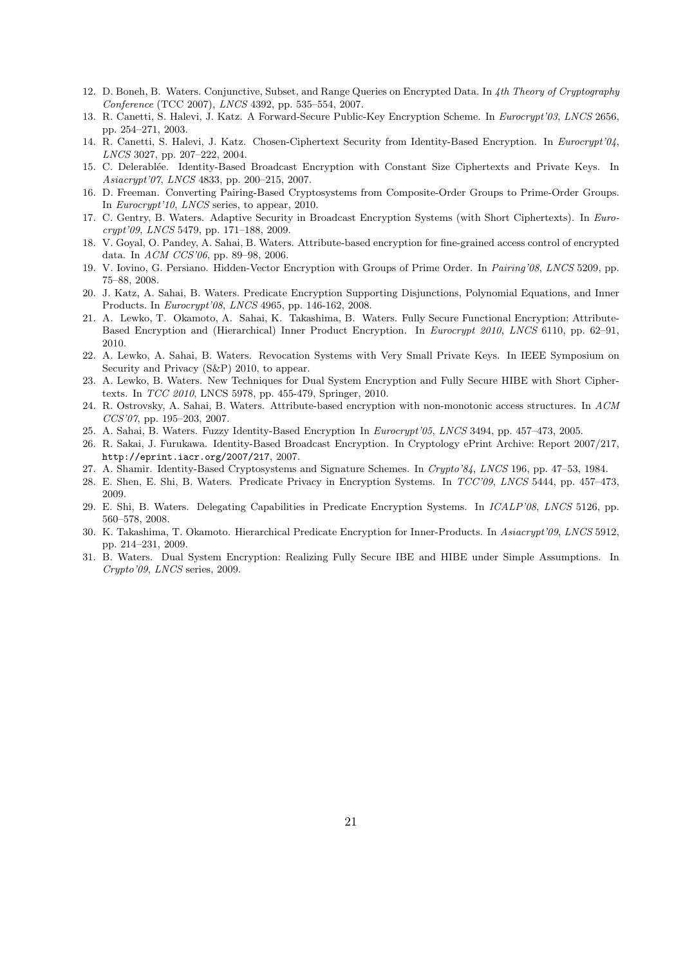- 12. D. Boneh, B. Waters. Conjunctive, Subset, and Range Queries on Encrypted Data. In 4th Theory of Cryptography Conference (TCC 2007), LNCS 4392, pp. 535–554, 2007.
- 13. R. Canetti, S. Halevi, J. Katz. A Forward-Secure Public-Key Encryption Scheme. In Eurocrypt'03, LNCS 2656, pp. 254–271, 2003.
- 14. R. Canetti, S. Halevi, J. Katz. Chosen-Ciphertext Security from Identity-Based Encryption. In Eurocrypt'04, LNCS 3027, pp. 207–222, 2004.
- 15. C. Delerabl´ee. Identity-Based Broadcast Encryption with Constant Size Ciphertexts and Private Keys. In Asiacrypt'07, LNCS 4833, pp. 200–215, 2007.
- 16. D. Freeman. Converting Pairing-Based Cryptosystems from Composite-Order Groups to Prime-Order Groups. In Eurocrypt'10, LNCS series, to appear, 2010.
- 17. C. Gentry, B. Waters. Adaptive Security in Broadcast Encryption Systems (with Short Ciphertexts). In Eurocrypt'09, LNCS 5479, pp. 171–188, 2009.
- 18. V. Goyal, O. Pandey, A. Sahai, B. Waters. Attribute-based encryption for fine-grained access control of encrypted data. In ACM CCS'06, pp. 89–98, 2006.
- 19. V. Iovino, G. Persiano. Hidden-Vector Encryption with Groups of Prime Order. In Pairing'08, LNCS 5209, pp. 75–88, 2008.
- 20. J. Katz, A. Sahai, B. Waters. Predicate Encryption Supporting Disjunctions, Polynomial Equations, and Inner Products. In Eurocrypt'08, LNCS 4965, pp. 146-162, 2008.
- 21. A. Lewko, T. Okamoto, A. Sahai, K. Takashima, B. Waters. Fully Secure Functional Encryption: Attribute-Based Encryption and (Hierarchical) Inner Product Encryption. In Eurocrypt 2010, LNCS 6110, pp. 62–91, 2010.
- 22. A. Lewko, A. Sahai, B. Waters. Revocation Systems with Very Small Private Keys. In IEEE Symposium on Security and Privacy (S&P) 2010, to appear.
- 23. A. Lewko, B. Waters. New Techniques for Dual System Encryption and Fully Secure HIBE with Short Ciphertexts. In TCC 2010, LNCS 5978, pp. 455-479, Springer, 2010.
- 24. R. Ostrovsky, A. Sahai, B. Waters. Attribute-based encryption with non-monotonic access structures. In ACM  $CCS'07$ , pp. 195–203, 2007.
- 25. A. Sahai, B. Waters. Fuzzy Identity-Based Encryption In Eurocrypt'05, LNCS 3494, pp. 457–473, 2005.
- 26. R. Sakai, J. Furukawa. Identity-Based Broadcast Encryption. In Cryptology ePrint Archive: Report 2007/217, http://eprint.iacr.org/2007/217, 2007.
- 27. A. Shamir. Identity-Based Cryptosystems and Signature Schemes. In Crypto'84, LNCS 196, pp. 47–53, 1984.
- 28. E. Shen, E. Shi, B. Waters. Predicate Privacy in Encryption Systems. In TCC'09, LNCS 5444, pp. 457–473, 2009.
- 29. E. Shi, B. Waters. Delegating Capabilities in Predicate Encryption Systems. In ICALP'08, LNCS 5126, pp. 560–578, 2008.
- 30. K. Takashima, T. Okamoto. Hierarchical Predicate Encryption for Inner-Products. In Asiacrypt'09, LNCS 5912, pp. 214–231, 2009.
- 31. B. Waters. Dual System Encryption: Realizing Fully Secure IBE and HIBE under Simple Assumptions. In Crypto'09, LNCS series, 2009.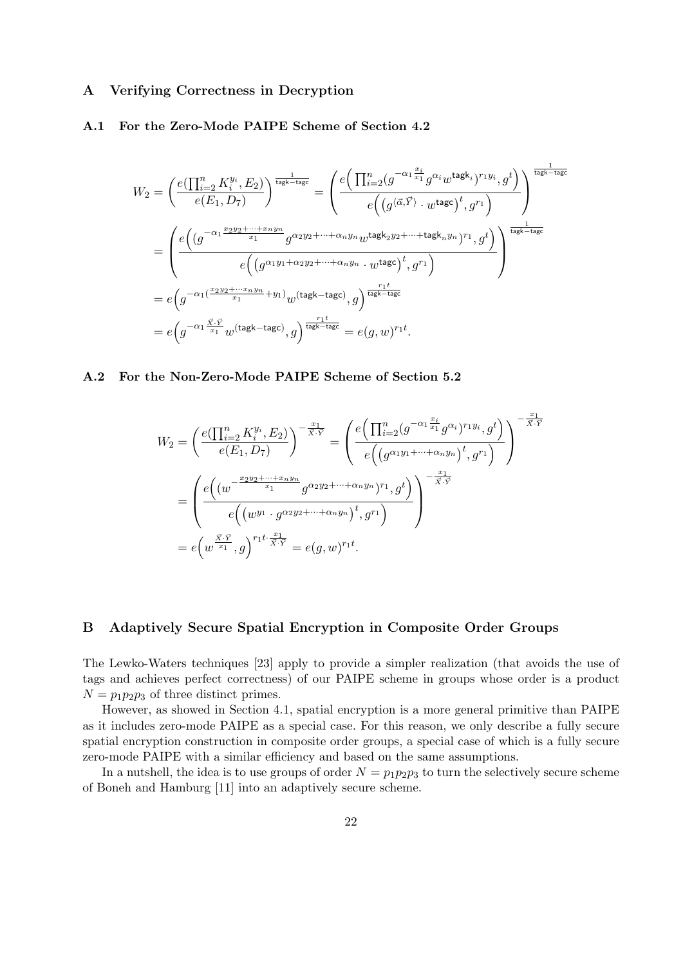## A Verifying Correctness in Decryption

#### A.1 For the Zero-Mode PAIPE Scheme of Section 4.2

$$
W_2 = \left(\frac{e(\prod_{i=2}^n K_i^{y_i}, E_2)}{e(E_1, D_7)}\right)^{\frac{1}{\text{tagk}-\text{tagc}}} = \left(\frac{e\left(\prod_{i=2}^n (g^{-\alpha_1 \frac{x_i}{x_1}} g^{\alpha_i} w^{\text{tagk}})^{r_1 y_i}, g^t\right)}{e\left((g^{(\vec{\alpha}, \vec{Y})} \cdot w^{\text{tagc}})^t, g^{r_1}\right)}\right)^{\frac{1}{\text{tagk}-\text{tagc}}} = \left(\frac{e\left((g^{-\alpha_1 \frac{x_2 y_2 + \dots + x_n y_n}{x_1}} g^{\alpha_2 y_2 + \dots + \alpha_n y_n} w^{\text{tagk}} y_2 + \dots + \text{tagk}_n y_n)^{r_1}, g^t\right)}{e\left((g^{\alpha_1 y_1 + \alpha_2 y_2 + \dots + \alpha_n y_n} \cdot w^{\text{tagc}})^t, g^{r_1}\right)}\right)^{\frac{1}{\text{tagk}-\text{tagc}}} = e\left(g^{-\alpha_1 \frac{x_2 y_2 + \dots + x_n y_n}{x_1}} w^{(\text{tagk}-\text{tagc})}, g\right)^{\frac{r_1 t}{\text{tagk}-\text{tagc}}} = e(g, w)^{r_1 t}.
$$

#### A.2 For the Non-Zero-Mode PAIPE Scheme of Section 5.2

$$
W_2 = \left(\frac{e(\prod_{i=2}^n K_i^{y_i}, E_2)}{e(E_1, D_7)}\right)^{-\frac{x_1}{\overline{X} \cdot \overline{Y}}} = \left(\frac{e(\prod_{i=2}^n (g^{-\alpha_1 \frac{x_i}{x_1}} g^{\alpha_i})^{r_1 y_i}, g^t)}{e((g^{\alpha_1 y_1 + \dots + \alpha_n y_n})^t, g^{r_1})}\right)^{-\frac{x_1}{\overline{X} \cdot \overline{Y}}}
$$
  

$$
= \left(\frac{e((w^{-\frac{x_2 y_2 + \dots + x_n y_n}{x_1}} g^{\alpha_2 y_2 + \dots + \alpha_n y_n})^{r_1}, g^t)}{e((w^{y_1} \cdot g^{\alpha_2 y_2 + \dots + \alpha_n y_n})^t, g^{r_1})}\right)^{-\frac{x_1}{\overline{X} \cdot \overline{Y}}}
$$
  

$$
= e(w^{\frac{\overline{X} \cdot \overline{Y}}{x_1}}, g)^{r_1 t \cdot \frac{x_1}{\overline{X} \cdot \overline{Y}}} = e(g, w)^{r_1 t}.
$$

## B Adaptively Secure Spatial Encryption in Composite Order Groups

The Lewko-Waters techniques [23] apply to provide a simpler realization (that avoids the use of tags and achieves perfect correctness) of our PAIPE scheme in groups whose order is a product  $N = p_1 p_2 p_3$  of three distinct primes.

However, as showed in Section 4.1, spatial encryption is a more general primitive than PAIPE as it includes zero-mode PAIPE as a special case. For this reason, we only describe a fully secure spatial encryption construction in composite order groups, a special case of which is a fully secure zero-mode PAIPE with a similar efficiency and based on the same assumptions.

In a nutshell, the idea is to use groups of order  $N = p_1p_2p_3$  to turn the selectively secure scheme of Boneh and Hamburg [11] into an adaptively secure scheme.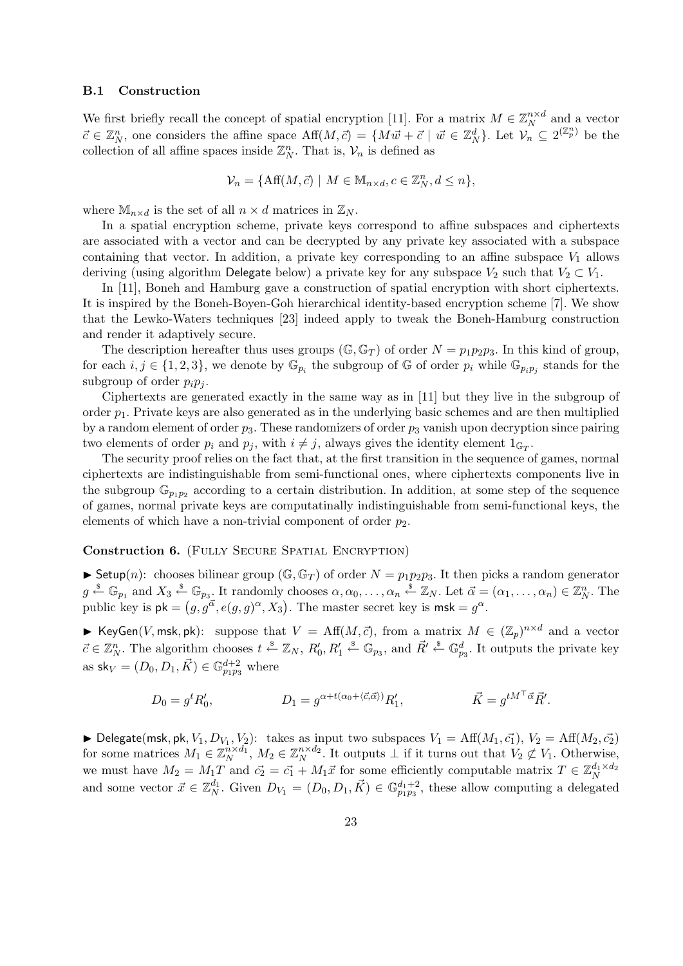#### B.1 Construction

We first briefly recall the concept of spatial encryption [11]. For a matrix  $M \in \mathbb{Z}_N^{n \times d}$  $\int_{N}^{n \times d}$  and a vector  $\vec{c} \in \mathbb{Z}_N^n$ , one considers the affine space  $\text{Aff}(M, \vec{c}) = \{M\vec{w} + \vec{c} \mid \vec{w} \in \mathbb{Z}_N^d\}$ . Let  $\mathcal{V}_n \subseteq 2^{(\mathbb{Z}_p^n)}$  be the collection of all affine spaces inside  $\mathbb{Z}_N^n$ . That is,  $\mathcal{V}_n$  is defined as

$$
\mathcal{V}_n = \{ \text{Aff}(M, \vec{c}) \mid M \in \mathbb{M}_{n \times d}, c \in \mathbb{Z}_N^n, d \leq n \},\
$$

where  $\mathbb{M}_{n\times d}$  is the set of all  $n \times d$  matrices in  $\mathbb{Z}_N$ .

In a spatial encryption scheme, private keys correspond to affine subspaces and ciphertexts are associated with a vector and can be decrypted by any private key associated with a subspace containing that vector. In addition, a private key corresponding to an affine subspace  $V_1$  allows deriving (using algorithm Delegate below) a private key for any subspace  $V_2$  such that  $V_2 \subset V_1$ .

In [11], Boneh and Hamburg gave a construction of spatial encryption with short ciphertexts. It is inspired by the Boneh-Boyen-Goh hierarchical identity-based encryption scheme [7]. We show that the Lewko-Waters techniques [23] indeed apply to tweak the Boneh-Hamburg construction and render it adaptively secure.

The description hereafter thus uses groups  $(\mathbb{G}, \mathbb{G}_T)$  of order  $N = p_1p_2p_3$ . In this kind of group, for each  $i, j \in \{1, 2, 3\}$ , we denote by  $\mathbb{G}_{p_i}$  the subgroup of  $\mathbb{G}$  of order  $p_i$  while  $\mathbb{G}_{p_i p_j}$  stands for the subgroup of order  $p_i p_j$ .

Ciphertexts are generated exactly in the same way as in [11] but they live in the subgroup of order  $p_1$ . Private keys are also generated as in the underlying basic schemes and are then multiplied by a random element of order  $p_3$ . These randomizers of order  $p_3$  vanish upon decryption since pairing two elements of order  $p_i$  and  $p_j$ , with  $i \neq j$ , always gives the identity element  $1_{\mathbb{G}_T}$ .

The security proof relies on the fact that, at the first transition in the sequence of games, normal ciphertexts are indistinguishable from semi-functional ones, where ciphertexts components live in the subgroup  $\mathbb{G}_{p_1p_2}$  according to a certain distribution. In addition, at some step of the sequence of games, normal private keys are computatinally indistinguishable from semi-functional keys, the elements of which have a non-trivial component of order  $p_2$ .

Construction 6. (FULLY SECURE SPATIAL ENCRYPTION)

 $\blacktriangleright$  Setup(n): chooses bilinear group (G, G<sub>T</sub>) of order  $N = p_1p_2p_3$ . It then picks a random generator  $g \stackrel{\$}{\leftarrow} \mathbb{G}_{p_1}$  and  $X_3 \stackrel{\$}{\leftarrow} \mathbb{G}_{p_3}$ . It randomly chooses  $\alpha, \alpha_0, \ldots, \alpha_n \stackrel{\$}{\leftarrow} \mathbb{Z}_N$ . Let  $\vec{\alpha} = (\alpha_1, \ldots, \alpha_n) \in \mathbb{Z}_N^n$ . The public key is  $\mathsf{pk} = (g, g^{\vec{\alpha}}, e(g, g)^{\alpha}, X_3)$ . The master secret key is  $\mathsf{msk} = g^{\alpha}$ .

► KeyGen(V, msk, pk): suppose that  $V = Aff(M, \vec{c})$ , from a matrix  $M \in (\mathbb{Z}_p)^{n \times d}$  and a vector  $\vec{c} \in \mathbb{Z}_N^n$ . The algorithm chooses  $t \stackrel{\$}{\leftarrow} \mathbb{Z}_N$ ,  $R'_0, R'_1 \stackrel{\$}{\leftarrow} \mathbb{G}_{p_3}$ , and  $\vec{R}' \stackrel{\$}{\leftarrow} \mathbb{G}_{p_3}^d$ . It outputs the private key as  $\mathsf{sk}_V = (D_0, D_1, \vec{K}) \in \mathbb{G}_{p_1p_3}^{d+2}$  where

$$
D_0 = g^t R'_0, \qquad D_1 = g^{\alpha + t(\alpha_0 + \langle \vec{c}, \vec{\alpha} \rangle)} R'_1, \qquad \qquad \vec{K} = g^{tM^\top \vec{\alpha}} \vec{R}'.
$$

 $\blacktriangleright$  Delegate(msk, pk,  $V_1, D_{V_1}, V_2$ ): takes as input two subspaces  $V_1 = \text{Aff}(M_1, \vec{c_1})$ ,  $V_2 = \text{Aff}(M_2, \vec{c_2})$ for some matrices  $M_1 \in \mathbb{Z}_N^{n \times d_1}$ ,  $M_2 \in \mathbb{Z}_N^{n \times d_2}$ . It outputs  $\perp$  if it turns out that  $V_2 \not\subset V_1$ . Otherwise, we must have  $M_2 = M_1 T$  and  $\vec{c}_2 = \vec{c}_1 + M_1 \vec{x}$  for some efficiently computable matrix  $T \in \mathbb{Z}_N^{d_1 \times d_2}$ and some vector  $\vec{x} \in \mathbb{Z}_N^{d_1}$ . Given  $D_{V_1} = (D_0, D_1, \vec{K}) \in \mathbb{G}_{p_1p_3}^{d_1+2}$ , these allow computing a delegated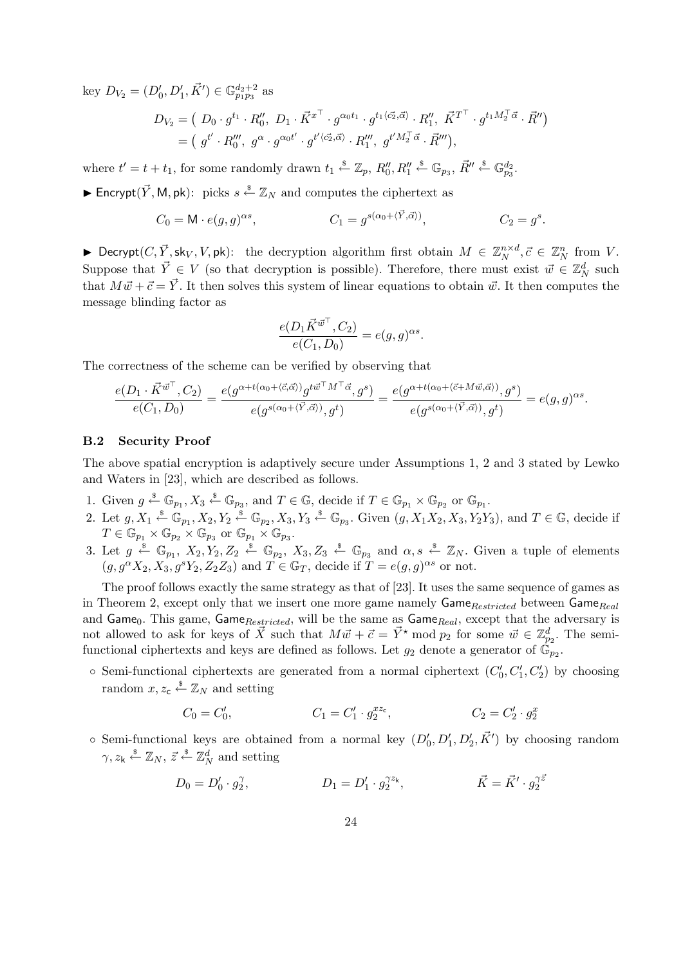key  $D_{V_2} = (D'_0, D'_1, \vec{K}') \in \mathbb{G}_{p_1p_3}^{d_2+2}$  as

$$
D_{V_2} = (D_0 \cdot g^{t_1} \cdot R_0'', D_1 \cdot \vec{K}^{x^{\top}} \cdot g^{\alpha_0 t_1} \cdot g^{t_1 \langle \vec{c_2}, \vec{\alpha} \rangle} \cdot R_1'', \vec{K}^{T^{\top}} \cdot g^{t_1 M_2^{\top} \vec{\alpha}} \cdot \vec{R}''
$$
  
=  $(g^{t'} \cdot R_0''', g^{\alpha} \cdot g^{\alpha_0 t'} \cdot g^{t' \langle \vec{c_2}, \vec{\alpha} \rangle} \cdot R_1''', g^{t' M_2^{\top} \vec{\alpha}} \cdot \vec{R}''')$ ,

where  $t' = t + t_1$ , for some randomly drawn  $t_1 \stackrel{s}{\leftarrow} \mathbb{Z}_p$ ,  $R''_0, R''_1 \stackrel{s}{\leftarrow} \mathbb{G}_{p_3}$ ,  $\vec{R}'' \stackrel{s}{\leftarrow} \mathbb{G}_{p_3}^{d_2}$ .

► Encrypt( $\vec{Y}$ , M, pk): picks  $s \stackrel{\$}{\leftarrow} \mathbb{Z}_N$  and computes the ciphertext as

$$
C_0 = \mathsf{M} \cdot e(g, g)^{\alpha s}, \qquad C_1 = g^{s(\alpha_0 + \langle \vec{Y}, \vec{\alpha} \rangle)}, \qquad C_2 = g^s.
$$

► Decrypt $(C, \vec{Y}, sk_V, V, \text{pk})$ : the decryption algorithm first obtain  $M \in \mathbb{Z}_N^{n \times d}$  $_{N}^{n \times d}, \vec{c} \in \mathbb{Z}_{N}^{n}$  from V. Suppose that  $\vec{Y} \in V$  (so that decryption is possible). Therefore, there must exist  $\vec{w} \in \mathbb{Z}_N^d$  such that  $M \vec{w} + \vec{c} = \vec{Y}$ . It then solves this system of linear equations to obtain  $\vec{w}$ . It then computes the message blinding factor as

$$
\frac{e(D_1 \vec{K}^{\vec{w}^\top}, C_2)}{e(C_1, D_0)} = e(g, g)^{\alpha s}.
$$

The correctness of the scheme can be verified by observing that

$$
\frac{e(D_1 \cdot \vec{K}^{\vec{w}^\top}, C_2)}{e(C_1, D_0)} = \frac{e(g^{\alpha + t(\alpha_0 + \langle \vec{c}, \vec{\alpha} \rangle)} g^{t\vec{w}^\top M^\top \vec{\alpha}}, g^s)}{e(g^{s(\alpha_0 + \langle \vec{Y}, \vec{\alpha} \rangle)}, g^t)} = \frac{e(g^{\alpha + t(\alpha_0 + \langle \vec{c} + M\vec{w}, \vec{\alpha} \rangle)}, g^s)}{e(g^{s(\alpha_0 + \langle \vec{Y}, \vec{\alpha} \rangle)}, g^t)} = e(g, g)^{\alpha s}.
$$

#### B.2 Security Proof

The above spatial encryption is adaptively secure under Assumptions 1, 2 and 3 stated by Lewko and Waters in [23], which are described as follows.

- 1. Given  $g \stackrel{\$}{\leftarrow} \mathbb{G}_{p_1}, X_3 \stackrel{\$}{\leftarrow} \mathbb{G}_{p_3}$ , and  $T \in \mathbb{G}$ , decide if  $T \in \mathbb{G}_{p_1} \times \mathbb{G}_{p_2}$  or  $\mathbb{G}_{p_1}$ .
- 2. Let  $g, X_1 \stackrel{\$}{\leftarrow} \mathbb{G}_{p_1}, X_2, Y_2 \stackrel{\$}{\leftarrow} \mathbb{G}_{p_2}, X_3, Y_3 \stackrel{\$}{\leftarrow} \mathbb{G}_{p_3}$ . Given  $(g, X_1X_2, X_3, Y_2Y_3)$ , and  $T \in \mathbb{G}$ , decide if  $T \in \mathbb{G}_{p_1} \times \mathbb{G}_{p_2} \times \mathbb{G}_{p_3}$  or  $\mathbb{G}_{p_1} \times \mathbb{G}_{p_3}$ .
- 3. Let  $g \stackrel{\$}{\leftarrow} \mathbb{G}_{p_1}, X_2, Y_2, Z_2 \stackrel{\$}{\leftarrow} \mathbb{G}_{p_2}, X_3, Z_3 \stackrel{\$}{\leftarrow} \mathbb{G}_{p_3}$  and  $\alpha, s \stackrel{\$}{\leftarrow} \mathbb{Z}_N$ . Given a tuple of elements  $(g, g^{\alpha} X_2, X_3, g^s Y_2, Z_2 Z_3)$  and  $T \in \mathbb{G}_T$ , decide if  $T = e(g, g)^{\alpha s}$  or not.

The proof follows exactly the same strategy as that of [23]. It uses the same sequence of games as in Theorem 2, except only that we insert one more game namely  $\mathsf{Game}_{Restricted}$  between  $\mathsf{Game}_{Real}$ and Game<sub>0</sub>. This game, Game $_{Restricted}$ , will be the same as Game $_{Real}$ , except that the adversary is not allowed to ask for keys of  $\vec{X}$  such that  $M \vec{w} + \vec{c} = \vec{Y}^{\star}$  mod  $p_2$  for some  $\vec{w} \in \mathbb{Z}_{p_2}^d$ . The semifunctional ciphertexts and keys are defined as follows. Let  $g_2$  denote a generator of  $\mathbb{G}_{p_2}$ .

 $\circ$  Semi-functional ciphertexts are generated from a normal ciphertext  $(C'_0, C'_1, C'_2)$  by choosing random  $x, z_c \stackrel{\$}{\leftarrow} \mathbb{Z}_N$  and setting

$$
C_0 = C'_0, \qquad C_1 = C'_1 \cdot g_2^{xz_c}, \qquad C_2 = C'_2 \cdot g_2^{x}
$$

 $\circ$  Semi-functional keys are obtained from a normal key  $(D'_0, D'_1, D'_2, \vec{K}')$  by choosing random  $\gamma, z_{\mathsf{k}} \stackrel{\$}{\leftarrow} \mathbb{Z}_N, \ \vec{z} \stackrel{\$}{\leftarrow} \mathbb{Z}_N^d$  and setting

$$
D_0 = D'_0 \cdot g_2^{\gamma}, \qquad \qquad D_1 = D'_1 \cdot g_2^{\gamma z_k}, \qquad \qquad \vec{K} = \vec{K}' \cdot g_2^{\gamma \vec{z}}
$$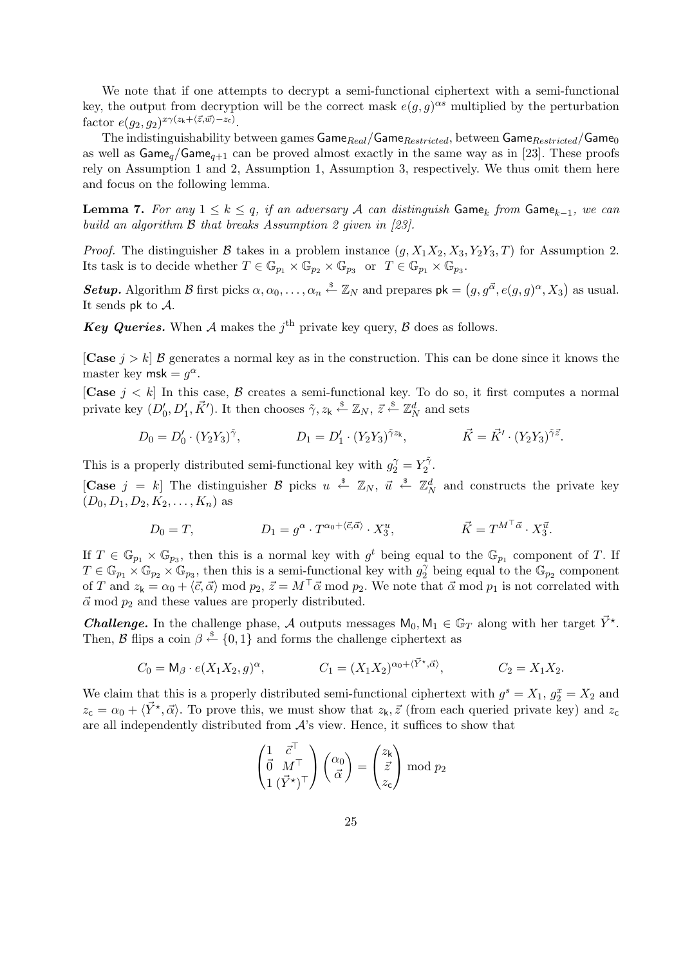We note that if one attempts to decrypt a semi-functional ciphertext with a semi-functional key, the output from decryption will be the correct mask  $e(g, g)^{\alpha s}$  multiplied by the perturbation factor  $e(g_2, g_2)^{x\gamma(z_{\mathsf{k}}+\langle \vec{z}, \vec{w}\rangle-z_{\mathsf{c}})}.$ 

The indistinguishability between games  $\textsf{Game}_{Real}/\textsf{Game}_{Restricted}$ , between  $\textsf{Game}_{Restricted}/\textsf{Game}_0$ as well as  $\text{Game}_q/\text{Game}_{q+1}$  can be proved almost exactly in the same way as in [23]. These proofs rely on Assumption 1 and 2, Assumption 1, Assumption 3, respectively. We thus omit them here and focus on the following lemma.

Lemma 7. For any  $1 \leq k \leq q$ , if an adversary A can distinguish Game<sub>k</sub> from Game<sub>k−1</sub>, we can build an algorithm **B** that breaks Assumption 2 given in [23].

*Proof.* The distinguisher B takes in a problem instance  $(q, X_1X_2, X_3, Y_2Y_3, T)$  for Assumption 2. Its task is to decide whether  $T \in \mathbb{G}_{p_1} \times \mathbb{G}_{p_2} \times \mathbb{G}_{p_3}$  or  $T \in \mathbb{G}_{p_1} \times \mathbb{G}_{p_3}$ .

**Setup.** Algorithm B first picks  $\alpha, \alpha_0, \ldots, \alpha_n \stackrel{\$}{\leftarrow} \mathbb{Z}_N$  and prepares  $\mathsf{pk} = (g, g^{\vec{\alpha}}, e(g, g)^{\alpha}, X_3)$  as usual. It sends pk to  $\mathcal{A}$ .

**Key Queries.** When A makes the  $j^{\text{th}}$  private key query, B does as follows.

[Case  $j > k$ ] B generates a normal key as in the construction. This can be done since it knows the master key  $\mathsf{msk} = g^{\alpha}$ .

[Case  $j < k$ ] In this case,  $\beta$  creates a semi-functional key. To do so, it first computes a normal private key  $(D'_0, D'_1, \vec{K}')$ . It then chooses  $\tilde{\gamma}, z_k \stackrel{\$}{\leftarrow} \mathbb{Z}_N$ ,  $\vec{z} \stackrel{\$}{\leftarrow} \mathbb{Z}_N^d$  and sets

$$
D_0 = D'_0 \cdot (Y_2 Y_3)^{\tilde{\gamma}}, \qquad D_1 = D'_1 \cdot (Y_2 Y_3)^{\tilde{\gamma} z_k}, \qquad \vec{K} = \vec{K}' \cdot (Y_2 Y_3)^{\tilde{\gamma} \vec{z}}.
$$

This is a properly distributed semi-functional key with  $g_2^{\gamma} = Y_2^{\tilde{\gamma}}$  $\frac{1}{2}$ .

[Case  $j = k$ ] The distinguisher B picks  $u \stackrel{s}{\leftarrow} \mathbb{Z}_N$ ,  $\vec{u} \stackrel{s}{\leftarrow} \mathbb{Z}_N^d$  and constructs the private key  $(D_0, D_1, D_2, K_2, \ldots, K_n)$  as

$$
D_0 = T, \qquad D_1 = g^{\alpha} \cdot T^{\alpha_0 + \langle \vec{c}, \vec{\alpha} \rangle} \cdot X_3^u, \qquad \vec{K} = T^{M^\top \vec{\alpha}} \cdot X_3^{\vec{u}}.
$$

If  $T \in \mathbb{G}_{p_1} \times \mathbb{G}_{p_3}$ , then this is a normal key with  $g^t$  being equal to the  $\mathbb{G}_{p_1}$  component of T. If  $T \in \mathbb{G}_{p_1} \times \mathbb{G}_{p_2} \times \mathbb{G}_{p_3}$ , then this is a semi-functional key with  $g_2^{\overline{2}}$  $\mathbb{Q}_2^{\gamma}$  being equal to the  $\mathbb{G}_{p_2}$  component of T and  $z_k = \alpha_0 + \langle \vec{c}, \vec{\alpha} \rangle$  mod  $p_2, \vec{z} = M^\top \vec{\alpha}$  mod  $p_2$ . We note that  $\vec{\alpha}$  mod  $p_1$  is not correlated with  $\vec{\alpha}$  mod  $p_2$  and these values are properly distributed.

**Challenge.** In the challenge phase, A outputs messages  $M_0, M_1 \in \mathbb{G}_T$  along with her target  $\vec{Y}^*$ . Then, B flips a coin  $\beta \stackrel{\$}{\leftarrow} \{0,1\}$  and forms the challenge ciphertext as

$$
C_0 = M_\beta \cdot e(X_1 X_2, g)^\alpha
$$
,  $C_1 = (X_1 X_2)^{\alpha_0 + \langle \vec{Y}^*, \vec{\alpha} \rangle}$ ,  $C_2 = X_1 X_2$ .

We claim that this is a properly distributed semi-functional ciphertext with  $g^s = X_1$ ,  $g_2^x = X_2$  and  $z_c = \alpha_0 + \langle \vec{Y}^*, \vec{\alpha} \rangle$ . To prove this, we must show that  $z_k, \vec{z}$  (from each queried private key) and  $z_c$ are all independently distributed from  $A$ 's view. Hence, it suffices to show that

$$
\begin{pmatrix} 1 & \vec{c}^{\top} \\ \vec{0} & M^{\top} \\ 1 & (\vec{Y}^{\star})^{\top} \end{pmatrix} \begin{pmatrix} \alpha_0 \\ \vec{\alpha} \end{pmatrix} = \begin{pmatrix} z_k \\ \vec{z} \\ z_c \end{pmatrix} \bmod p_2
$$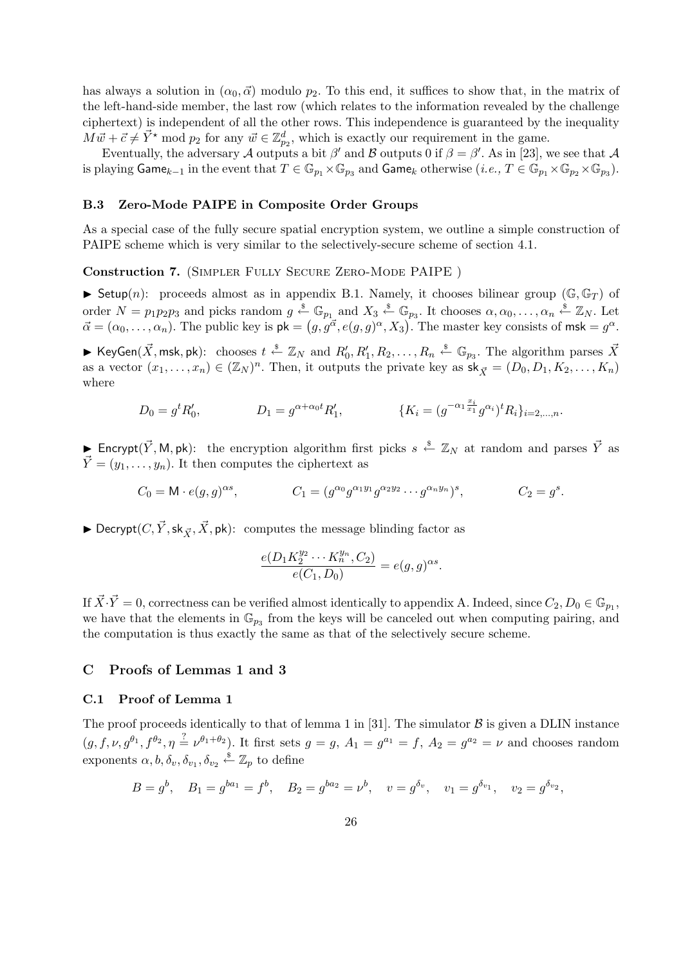has always a solution in  $(\alpha_0, \vec{\alpha})$  modulo  $p_2$ . To this end, it suffices to show that, in the matrix of the left-hand-side member, the last row (which relates to the information revealed by the challenge ciphertext) is independent of all the other rows. This independence is guaranteed by the inequality  $M \vec{w} + \vec{c} \neq \vec{Y}^{\star}$  mod  $p_2$  for any  $\vec{w} \in \mathbb{Z}_{p_2}^d$ , which is exactly our requirement in the game.

Eventually, the adversary A outputs a bit  $\beta'$  and B outputs 0 if  $\beta = \beta'$ . As in [23], we see that A is playing  $\mathsf{Game}_{k-1}$  in the event that  $T \in \mathbb{G}_{p_1} \times \mathbb{G}_{p_3}$  and  $\mathsf{Game}_k$  otherwise  $(i.e., T \in \mathbb{G}_{p_1} \times \mathbb{G}_{p_2} \times \mathbb{G}_{p_3})$ .

#### B.3 Zero-Mode PAIPE in Composite Order Groups

As a special case of the fully secure spatial encryption system, we outline a simple construction of PAIPE scheme which is very similar to the selectively-secure scheme of section 4.1.

Construction 7. (SIMPLER FULLY SECURE ZERO-MODE PAIPE)

 $\blacktriangleright$  Setup(n): proceeds almost as in appendix B.1. Namely, it chooses bilinear group ( $\mathbb{G}, \mathbb{G}_T$ ) of order  $N = p_1p_2p_3$  and picks random  $g \stackrel{\$}{\leftarrow} \mathbb{G}_{p_1}$  and  $X_3 \stackrel{\$}{\leftarrow} \mathbb{G}_{p_3}$ . It chooses  $\alpha, \alpha_0, \ldots, \alpha_n \stackrel{\$}{\leftarrow} \mathbb{Z}_N$ . Let  $\vec{\alpha} = (\alpha_0, \dots, \alpha_n)$ . The public key is  $\mathsf{pk} = (g, g^{\vec{\alpha}}, e(g, g)^{\alpha}, X_3)$ . The master key consists of  $\mathsf{msk} = g^{\alpha}$ .

► KeyGen( $\vec{X}$ , msk, pk): chooses  $t \stackrel{\$} \leftarrow \mathbb{Z}_N$  and  $R'_0, R'_1, R_2, \ldots, R_n \stackrel{\$} \leftarrow \mathbb{G}_{p_3}$ . The algorithm parses  $\vec{X}$ as a vector  $(x_1, \ldots, x_n) \in (\mathbb{Z}_N)^n$ . Then, it outputs the private key as  $\mathsf{sk}_{\vec{X}} = (D_0, D_1, K_2, \ldots, K_n)$ where

$$
D_0 = g^t R'_0, \qquad D_1 = g^{\alpha + \alpha_0 t} R'_1, \qquad \{K_i = (g^{-\alpha_1 \frac{x_i}{x_1}} g^{\alpha_i})^t R_i\}_{i=2,\dots,n}.
$$

**Encrypt**( $\vec{Y}$ , M, pk): the encryption algorithm first picks  $s \stackrel{\$}{\leftarrow} \mathbb{Z}_N$  at random and parses  $\vec{Y}$  as  $\vec{Y} = (y_1, \ldots, y_n)$ . It then computes the ciphertext as

$$
C_0 = \mathsf{M} \cdot e(g, g)^{\alpha s}, \qquad \qquad C_1 = (g^{\alpha_0} g^{\alpha_1 y_1} g^{\alpha_2 y_2} \cdots g^{\alpha_n y_n})^s, \qquad \qquad C_2 = g^s.
$$

 $\blacktriangleright$  Decrypt $(C, \vec{Y}, \text{sk}_{\vec{Y}}, \vec{X}, \text{pk})$ : computes the message blinding factor as

$$
\frac{e(D_1K_2^{y_2}\cdots K_n^{y_n},C_2)}{e(C_1,D_0)}=e(g,g)^{\alpha s}.
$$

If  $\vec{X} \cdot \vec{Y} = 0$ , correctness can be verified almost identically to appendix A. Indeed, since  $C_2, D_0 \in \mathbb{G}_{p_1}$ , we have that the elements in  $\mathbb{G}_{p_3}$  from the keys will be canceled out when computing pairing, and the computation is thus exactly the same as that of the selectively secure scheme.

## C Proofs of Lemmas 1 and 3

#### C.1 Proof of Lemma 1

The proof proceeds identically to that of lemma 1 in [31]. The simulator  $\beta$  is given a DLIN instance  $(g, f, \nu, g^{\theta_1}, f^{\theta_2}, \eta \stackrel{?}{=} \nu^{\theta_1+\theta_2}$ ). It first sets  $g = g$ ,  $A_1 = g^{a_1} = f$ ,  $A_2 = g^{a_2} = \nu$  and chooses random exponents  $\alpha, b, \delta_v, \delta_{v_1}, \delta_{v_2} \stackrel{\$}{\leftarrow} \mathbb{Z}_p$  to define

$$
B = g^{b}
$$
,  $B_1 = g^{ba_1} = f^{b}$ ,  $B_2 = g^{ba_2} = v^{b}$ ,  $v = g^{\delta_v}$ ,  $v_1 = g^{\delta_{v_1}}$ ,  $v_2 = g^{\delta_{v_2}}$ ,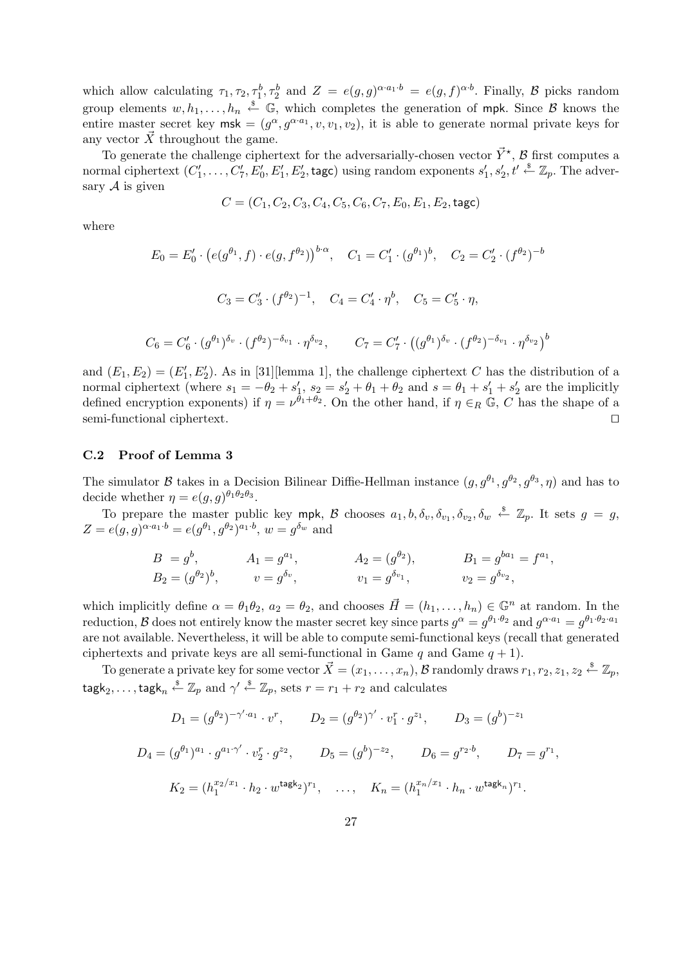which allow calculating  $\tau_1, \tau_2, \tau_1^b, \tau_2^b$  and  $Z = e(g, g)^{\alpha \cdot a_1 \cdot b} = e(g, f)^{\alpha \cdot b}$ . Finally,  $\beta$  picks random group elements  $w, h_1, \ldots, h_n \stackrel{\$}{\leftarrow} \mathbb{G}$ , which completes the generation of mpk. Since  $\mathcal{B}$  knows the entire master secret key  $msk = (g^{\alpha}, g^{\alpha a_1}, v, v_1, v_2)$ , it is able to generate normal private keys for any vector  $\overline{X}$  throughout the game.

To generate the challenge ciphertext for the adversarially-chosen vector  $\vec{Y}^{\star}$ ,  $\beta$  first computes a normal ciphertext  $(C'_1, \ldots, C'_7, E'_0, E'_1, E'_2, \text{tagc})$  using random exponents  $s'_1, s'_2, t' \stackrel{\$}{\leftarrow} \mathbb{Z}_p$ . The adversary  $A$  is given

$$
C=(C_1,C_2,C_3,C_4,C_5,C_6,C_7,E_0,E_1,E_2,\mathsf{tagc})
$$

where

$$
E_0 = E'_0 \cdot (e(g^{\theta_1}, f) \cdot e(g, f^{\theta_2}))^{b \cdot \alpha}, \quad C_1 = C'_1 \cdot (g^{\theta_1})^b, \quad C_2 = C'_2 \cdot (f^{\theta_2})^{-b}
$$

$$
C_3 = C'_3 \cdot (f^{\theta_2})^{-1}, \quad C_4 = C'_4 \cdot \eta^b, \quad C_5 = C'_5 \cdot \eta,
$$

$$
C_6 = C'_6 \cdot (g^{\theta_1})^{\delta_v} \cdot (f^{\theta_2})^{-\delta_{v_1}} \cdot \eta^{\delta_{v_2}}, \qquad C_7 = C'_7 \cdot ((g^{\theta_1})^{\delta_v} \cdot (f^{\theta_2})^{-\delta_{v_1}} \cdot \eta^{\delta_{v_2}})^b
$$

and  $(E_1, E_2) = (E'_1, E'_2)$ . As in [31] [lemma 1], the challenge ciphertext C has the distribution of a normal ciphertext (where  $s_1 = -\theta_2 + s_1'$ ,  $s_2 = s_2' + \theta_1 + \theta_2$  and  $s = \theta_1 + s_1' + s_2'$  are the implicitly defined encryption exponents) if  $\eta = \nu^{\bar{\theta}_1+\theta_2}$ . On the other hand, if  $\eta \in_R \bar{\mathbb{G}}$ , C has the shape of a semi-functional ciphertext.

#### C.2 Proof of Lemma 3

The simulator B takes in a Decision Bilinear Diffie-Hellman instance  $(g, g^{\theta_1}, g^{\theta_2}, g^{\theta_3}, \eta)$  and has to decide whether  $\eta = e(g, g)^{\theta_1 \theta_2 \theta_3}$ .

To prepare the master public key mpk, B chooses  $a_1, b, \delta_v, \delta_{v_1}, \delta_{v_2}, \delta_w \stackrel{\$}{\leftarrow} \mathbb{Z}_p$ . It sets  $g = g$ ,  $Z = e(g, g)^{\alpha \cdot a_1 \cdot b} = e(g^{\theta_1}, g^{\theta_2})^{a_1 \cdot b}, w = g^{\delta_w}$  and

$$
B = g^{b}, \t A_{1} = g^{a_{1}}, \t A_{2} = (g^{\theta_{2}}), \t B_{1} = g^{ba_{1}} = f^{a_{1}},
$$
  
\n
$$
B_{2} = (g^{\theta_{2}})^{b}, \t v = g^{\delta_{v}}, \t v_{1} = g^{\delta_{v_{1}}}, \t v_{2} = g^{\delta_{v_{2}}},
$$

which implicitly define  $\alpha = \theta_1 \theta_2$ ,  $a_2 = \theta_2$ , and chooses  $\vec{H} = (h_1, \ldots, h_n) \in \mathbb{G}^n$  at random. In the reduction, B does not entirely know the master secret key since parts  $g^{\alpha} = g^{\theta_1 \cdot \theta_2}$  and  $g^{\alpha a_1} = g^{\theta_1 \cdot \theta_2 \cdot a_1}$ are not available. Nevertheless, it will be able to compute semi-functional keys (recall that generated ciphertexts and private keys are all semi-functional in Game  $q$  and Game  $q + 1$ .

To generate a private key for some vector  $\vec{X} = (x_1, \ldots, x_n)$ ,  $\mathcal B$  randomly draws  $r_1, r_2, z_1, z_2 \stackrel{\hspace{0.1em}\mathsf{\scriptscriptstyle\$}}{\leftarrow} \mathbb{Z}_p$ ,  $\mathsf{tagk}_2,\ldots,\mathsf{tagk}_n \stackrel{\hspace{0.1em}\mathsf{\scriptscriptstyle\$}}{\leftarrow} \mathbb{Z}_p \text{ and } \gamma' \stackrel{\hspace{0.1em}\mathsf{\scriptscriptstyle\$}}{\leftarrow} \mathbb{Z}_p \text{, sets } r=r_1+r_2 \text{ and calculates}$ 

$$
D_1 = (g^{\theta_2})^{-\gamma' \cdot a_1} \cdot v^r, \qquad D_2 = (g^{\theta_2})^{\gamma'} \cdot v_1^r \cdot g^{z_1}, \qquad D_3 = (g^b)^{-z_1}
$$

$$
D_4 = (g^{\theta_1})^{a_1} \cdot g^{a_1 \cdot \gamma'} \cdot v_2^r \cdot g^{z_2}, \qquad D_5 = (g^b)^{-z_2}, \qquad D_6 = g^{r_2 \cdot b}, \qquad D_7 = g^{r_1},
$$

$$
K_2 = (h_1^{x_2/x_1} \cdot h_2 \cdot w^{\text{tagk}_2})^{r_1}, \qquad \dots, \qquad K_n = (h_1^{x_n/x_1} \cdot h_n \cdot w^{\text{tagk}_n})^{r_1}.
$$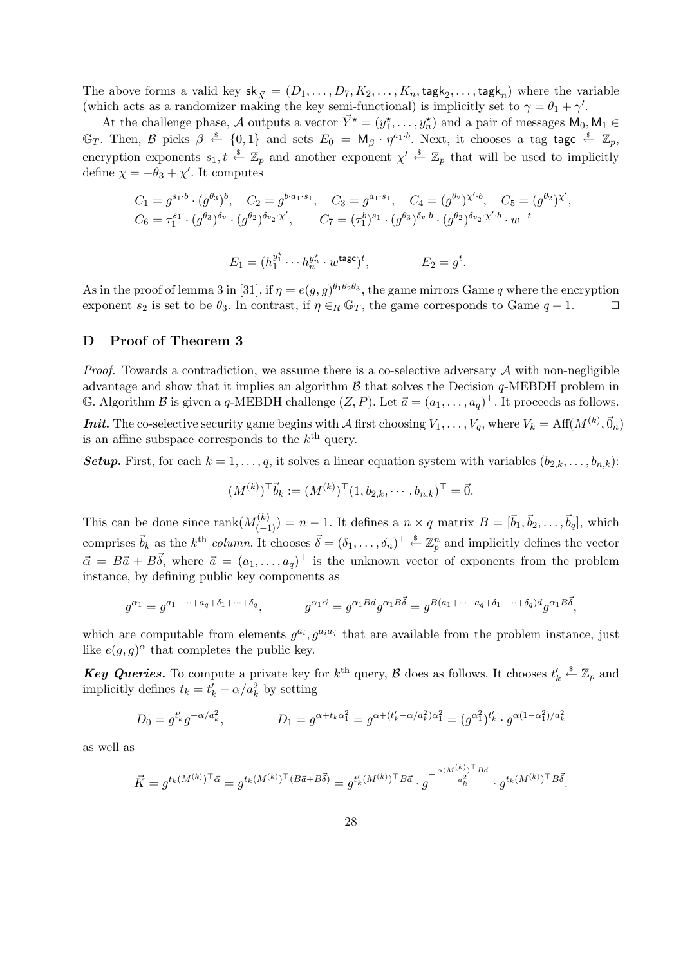The above forms a valid key  $sk_{\vec{X}} = (D_1, \ldots, D_7, K_2, \ldots, K_n, \text{tag}k_2, \ldots, \text{tag}k_n)$  where the variable (which acts as a randomizer making the key semi-functional) is implicitly set to  $\gamma = \theta_1 + \gamma'$ .

At the challenge phase, A outputs a vector  $\vec{Y}^* = (y_1^*, \ldots, y_n^*)$  and a pair of messages  $M_0, M_1 \in$  $\mathbb{G}_T$ . Then, B picks  $\beta \stackrel{\$}{\leftarrow} \{0,1\}$  and sets  $E_0 = \mathsf{M}_{\beta} \cdot \eta^{a_1 \cdot b}$ . Next, it chooses a tag tage  $\stackrel{\$}{\leftarrow} \mathbb{Z}_p$ , encryption exponents  $s_1, t \stackrel{\$}{\leftarrow} \mathbb{Z}_p$  and another exponent  $\chi' \stackrel{\$}{\leftarrow} \mathbb{Z}_p$  that will be used to implicitly define  $\chi = -\theta_3 + \chi'$ . It computes

$$
C_1 = g^{s_1 \cdot b} \cdot (g^{\theta_3})^b, \quad C_2 = g^{b \cdot a_1 \cdot s_1}, \quad C_3 = g^{a_1 \cdot s_1}, \quad C_4 = (g^{\theta_2})^{\chi' \cdot b}, \quad C_5 = (g^{\theta_2})^{\chi'},
$$
  

$$
C_6 = \tau_1^{s_1} \cdot (g^{\theta_3})^{\delta_v} \cdot (g^{\theta_2})^{\delta_{v_2} \cdot \chi'}, \quad C_7 = (\tau_1^{b})^{s_1} \cdot (g^{\theta_3})^{\delta_v \cdot b} \cdot (g^{\theta_2})^{\delta_{v_2} \cdot \chi' \cdot b} \cdot w^{-t}
$$

$$
E_1 = (h_1^{y_1^*} \cdots h_n^{y_n^*} \cdot w^{\text{tagc}})^t, \qquad E_2 = g^t
$$

As in the proof of lemma 3 in [31], if  $\eta = e(g, g)^{\theta_1 \theta_2 \theta_3}$ , the game mirrors Game q where the encryption exponent  $s_2$  is set to be  $\theta_3$ . In contrast, if  $\eta \in_R \mathbb{G}_T$ , the game corresponds to Game  $q + 1$ .

.

## D Proof of Theorem 3

*Proof.* Towards a contradiction, we assume there is a co-selective adversary  $A$  with non-negligible advantage and show that it implies an algorithm  $\beta$  that solves the Decision q-MEBDH problem in G. Algorithm B is given a q-MEBDH challenge  $(Z, P)$ . Let  $\vec{a} = (a_1, \ldots, a_q)^\top$ . It proceeds as follows.

**Init.** The co-selective security game begins with A first choosing  $V_1, \ldots, V_q$ , where  $V_k = \text{Aff}(M^{(k)}, \vec{0}_n)$ is an affine subspace corresponds to the  $k<sup>th</sup>$  query.

**Setup.** First, for each  $k = 1, \ldots, q$ , it solves a linear equation system with variables  $(b_{2,k}, \ldots, b_{n,k})$ :

$$
(M^{(k)})^{\top} \vec{b}_k := (M^{(k)})^{\top} (1, b_{2,k}, \cdots, b_{n,k})^{\top} = \vec{0}.
$$

This can be done since  $\text{rank}(M_{(-1)}^{(k)}) = n - 1$ . It defines a  $n \times q$  matrix  $B = [\vec{b}_1, \vec{b}_2, \dots, \vec{b}_q]$ , which comprises  $\vec{b}_k$  as the k<sup>th</sup> column. It chooses  $\vec{\delta} = (\delta_1, \ldots, \delta_n)^\top \stackrel{\hspace{0.1em}\mathsf{\scriptscriptstyle\$}}{\leftarrow} \mathbb{Z}_p^n$  and implicitly defines the vector  $\vec{\alpha} = B\vec{a} + B\vec{\delta}$ , where  $\vec{a} = (a_1, \ldots, a_q)^\top$  is the unknown vector of exponents from the problem instance, by defining public key components as

$$
g^{\alpha_1} = g^{a_1 + \dots + a_q + \delta_1 + \dots + \delta_q}, \qquad g^{\alpha_1 \vec{\alpha}} = g^{\alpha_1 \vec{\beta} \vec{\alpha}} g^{\alpha_1 \vec{\beta} \vec{\delta}} = g^{B(a_1 + \dots + a_q + \delta_1 + \dots + \delta_q) \vec{a}} g^{\alpha_1 \vec{\beta} \vec{\delta}},
$$

which are computable from elements  $g^{a_i}, g^{a_i a_j}$  that are available from the problem instance, just like  $e(g, g)^\alpha$  that completes the public key.

**Key Queries.** To compute a private key for  $k^{\text{th}}$  query,  $\beta$  does as follows. It chooses  $t'_{k} \stackrel{\$}{\leftarrow} \mathbb{Z}_{p}$  and implicitly defines  $t_k = t'_k - \alpha/a_k^2$  by setting

$$
D_0 = g^{t'_k} g^{-\alpha/a_k^2}, \qquad D_1 = g^{\alpha + t_k \alpha_1^2} = g^{\alpha + (t'_k - \alpha/a_k^2)\alpha_1^2} = (g^{\alpha_1^2})^{t'_k} \cdot g^{\alpha(1 - \alpha_1^2)/a_k^2}
$$

as well as

$$
\vec{K} = g^{t_k(M^{(k)})^\top \vec{\alpha}} = g^{t_k(M^{(k)})^\top (B\vec{a} + B\vec{\delta})} = g^{t'_k(M^{(k)})^\top B\vec{a}} \cdot g^{-\frac{\alpha(M^{(k)})^\top B\vec{a}}{a_k^2}} \cdot g^{t_k(M^{(k)})^\top B\vec{\delta}}.
$$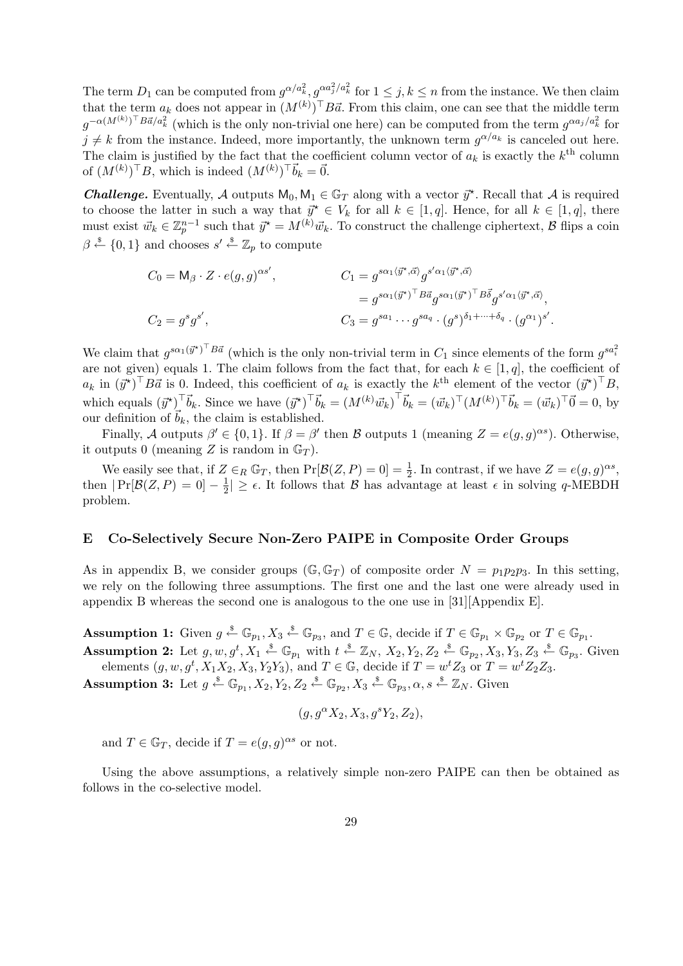The term  $D_1$  can be computed from  $g^{\alpha/a_k^2}$ ,  $g^{\alpha a_j^2/a_k^2}$  for  $1 \le j, k \le n$  from the instance. We then claim that the term  $a_k$  does not appear in  $(M^{(k)})^\top B\vec{a}$ . From this claim, one can see that the middle term  $g^{-\alpha(M^{(k)})^{\top}B\vec{a}/a_k^2}$  (which is the only non-trivial one here) can be computed from the term  $g^{\alpha a_j/a_k^2}$  for  $j \neq k$  from the instance. Indeed, more importantly, the unknown term  $g^{\alpha/a_k}$  is canceled out here. The claim is justified by the fact that the coefficient column vector of  $a_k$  is exactly the  $k^{\text{th}}$  column of  $(M^{(k)})^{\top}B$ , which is indeed  $(M^{(k)})^{\top}\vec{b}_k = \vec{0}$ .

**Challenge.** Eventually, A outputs  $M_0, M_1 \in \mathbb{G}_T$  along with a vector  $\vec{y}^*$ . Recall that A is required to choose the latter in such a way that  $\vec{y}^* \in V_k$  for all  $k \in [1, q]$ . Hence, for all  $k \in [1, q]$ , there must exist  $\vec{w}_k \in \mathbb{Z}_p^{n-1}$  such that  $\vec{y}^* = M^{(k)} \vec{w}_k$ . To construct the challenge ciphertext, B flips a coin  $\beta \stackrel{\$}{\leftarrow} \{0,1\}$  and chooses  $s' \stackrel{\$}{\leftarrow} \mathbb{Z}_p$  to compute

$$
C_0 = \mathsf{M}_{\beta} \cdot Z \cdot e(g, g)^{\alpha s'}, \qquad \qquad C_1 = g^{s\alpha_1 \langle \vec{y}^{\star}, \vec{\alpha} \rangle} g^{s'\alpha_1 \langle \vec{y}^{\star}, \vec{\alpha} \rangle} = g^{s\alpha_1 \langle \vec{y}^{\star} \rangle^\top B \vec{a}} g^{s\alpha_1 \langle \vec{y}^{\star}, \vec{\alpha} \rangle} C_2 = g^s g^{s'}, \qquad \qquad C_3 = g^{s a_1} \cdots g^{s a_q} \cdot (g^s)^{\delta_1 + \cdots + \delta_q} \cdot (g^{\alpha_1})^{s'}.
$$

We claim that  $g^{s\alpha_1(\vec{y}^*)^\top B \vec{a}}$  (which is the only non-trivial term in  $C_1$  since elements of the form  $g^{s\alpha_1^2}$ are not given) equals 1. The claim follows from the fact that, for each  $k \in [1, q]$ , the coefficient of  $a_k$  in  $(\vec{y}^*)^\top B \vec{a}$  is 0. Indeed, this coefficient of  $a_k$  is exactly the k<sup>th</sup> element of the vector  $(\vec{y}^*)^\top B$ , which equals  $(\vec{y}^*)^\top \vec{b}_k$ . Since we have  $(\vec{y}^*)^\top \vec{b}_k = (M^{(k)} \vec{w}_k)^\top \vec{b}_k = (\vec{w}_k)^\top (M^{(k)})^\top \vec{b}_k = (\vec{w}_k)^\top \vec{0} = 0$ , by our definition of  $\vec{b}_k$ , the claim is established.

Finally, A outputs  $\beta' \in \{0,1\}$ . If  $\beta = \beta'$  then B outputs 1 (meaning  $Z = e(g, g)^{\alpha s}$ ). Otherwise, it outputs 0 (meaning Z is random in  $\mathbb{G}_T$ ).

We easily see that, if  $Z \in_R \mathbb{G}_T$ , then  $\Pr[\mathcal{B}(Z, P) = 0] = \frac{1}{2}$ . In contrast, if we have  $Z = e(g, g)^{\alpha s}$ , then  $|\Pr[\mathcal{B}(Z, P) = 0] - \frac{1}{2}$  $\frac{1}{2}$   $\geq$   $\epsilon$ . It follows that  $\beta$  has advantage at least  $\epsilon$  in solving q-MEBDH problem.

#### E Co-Selectively Secure Non-Zero PAIPE in Composite Order Groups

As in appendix B, we consider groups  $(\mathbb{G}, \mathbb{G}_T)$  of composite order  $N = p_1p_2p_3$ . In this setting, we rely on the following three assumptions. The first one and the last one were already used in appendix B whereas the second one is analogous to the one use in [31][Appendix E].

**Assumption 1:** Given  $g \stackrel{\$}{\leftarrow} \mathbb{G}_{p_1}, X_3 \stackrel{\$}{\leftarrow} \mathbb{G}_{p_3}$ , and  $T \in \mathbb{G}$ , decide if  $T \in \mathbb{G}_{p_1} \times \mathbb{G}_{p_2}$  or  $T \in \mathbb{G}_{p_1}$ . **Assumption 2:** Let  $g, w, g^t, X_1 \stackrel{\$}{\leftarrow} \mathbb{G}_{p_1}$  with  $t \stackrel{\$}{\leftarrow} \mathbb{Z}_N$ ,  $X_2, Y_2, Z_2 \stackrel{\$}{\leftarrow} \mathbb{G}_{p_2}, X_3, Y_3, Z_3 \stackrel{\$}{\leftarrow} \mathbb{G}_{p_3}$ . Given

elements  $(g, w, g^t, X_1X_2, X_3, Y_2Y_3)$ , and  $T \in \mathbb{G}$ , decide if  $T = w^t Z_3$  or  $T = w^t Z_2 Z_3$ .

**Assumption 3:** Let  $g \stackrel{\$}{\leftarrow} \mathbb{G}_{p_1}, X_2, Y_2, Z_2 \stackrel{\$}{\leftarrow} \mathbb{G}_{p_2}, X_3 \stackrel{\$}{\leftarrow} \mathbb{G}_{p_3}, \alpha, s \stackrel{\$}{\leftarrow} \mathbb{Z}_N$ . Given

$$
(g, g^{\alpha} X_2, X_3, g^s Y_2, Z_2),
$$

and  $T \in \mathbb{G}_T$ , decide if  $T = e(g, g)^{\alpha s}$  or not.

Using the above assumptions, a relatively simple non-zero PAIPE can then be obtained as follows in the co-selective model.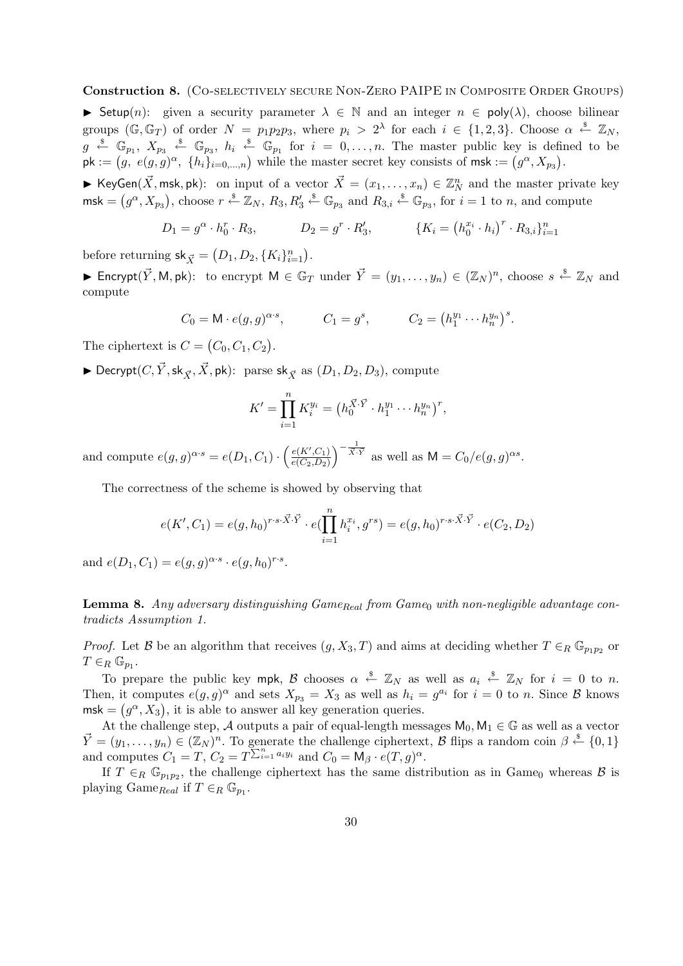#### Construction 8. (Co-selectively secure Non-Zero PAIPE in Composite Order Groups)

**►** Setup(n): given a security parameter  $\lambda \in \mathbb{N}$  and an integer  $n \in \text{poly}(\lambda)$ , choose bilinear groups  $(\mathbb{G}, \mathbb{G}_T)$  of order  $N = p_1p_2p_3$ , where  $p_i > 2^{\lambda}$  for each  $i \in \{1, 2, 3\}$ . Choose  $\alpha \stackrel{\$}{\leftarrow} \mathbb{Z}_N$ ,  $g \stackrel{\$}{\leftarrow} \mathbb{G}_{p_1}, X_{p_3} \stackrel{\$}{\leftarrow} \mathbb{G}_{p_3}, h_i \stackrel{\$}{\leftarrow} \mathbb{G}_{p_1}$  for  $i = 0, \ldots, n$ . The master public key is defined to be  $\mathsf{pk} := (g, e(g, g)^{\alpha}, \{h_i\}_{i=0,\dots,n})$  while the master secret key consists of  $\mathsf{msk} := (g^{\alpha}, X_{p_3})$ .

► KeyGen( $\vec{X}$ , msk, pk): on input of a vector  $\vec{X} = (x_1, \ldots, x_n) \in \mathbb{Z}_N^n$  and the master private key  $\mathsf{msk} = (g^{\alpha}, X_{p_3}),$  choose  $r \stackrel{\$}{\leftarrow} \mathbb{Z}_N$ ,  $R_3, R'_3 \stackrel{\$}{\leftarrow} \mathbb{G}_{p_3}$  and  $R_{3,i} \stackrel{\$}{\leftarrow} \mathbb{G}_{p_3}$ , for  $i = 1$  to n, and compute

$$
D_1 = g^{\alpha} \cdot h_0^r \cdot R_3, \qquad D_2 = g^r \cdot R_3', \qquad \{K_i = (h_0^{x_i} \cdot h_i)^r \cdot R_{3,i}\}_{i=1}^n
$$

before returning  $\mathsf{sk}_{\vec{X}} = (D_1, D_2, \{K_i\}_{i=1}^n)$ .

**►** Encrypt( $\vec{Y}$ , M, pk): to encrypt  $M \in \mathbb{G}_T$  under  $\vec{Y} = (y_1, \ldots, y_n) \in (\mathbb{Z}_N)^n$ , choose  $s \stackrel{\$}{\leftarrow} \mathbb{Z}_N$  and compute

$$
C_0 = M \cdot e(g, g)^{\alpha \cdot s},
$$
  $C_1 = g^s,$   $C_2 = (h_1^{y_1} \cdots h_n^{y_n})^s.$ 

The ciphertext is  $C = (C_0, C_1, C_2)$ .

 $\blacktriangleright$  Decrypt $(C, \vec{Y}, \text{sk}_{\vec{Y}}, \vec{X}, \text{pk})$ : parse sk<sub> $\vec{Y}$ </sub> as  $(D_1, D_2, D_3)$ , compute

$$
K' = \prod_{i=1}^{n} K_i^{y_i} = (h_0^{\vec{X} \cdot \vec{Y}} \cdot h_1^{y_1} \cdots h_n^{y_n})^r,
$$

and compute  $e(g,g)^{\alpha \cdot s} = e(D_1, C_1) \cdot \left( \frac{e(K',C_1)}{e(C_2,D_2)} \right)$  $e(C_2,D_2)$  $\int_{-\frac{1}{\bar{X}\cdot\vec{Y}}}^{\frac{1}{\bar{X}\cdot\vec{Y}}}$  as well as  $M=C_0/e(g,g)^{\alpha s}$ .

The correctness of the scheme is showed by observing that

$$
e(K', C_1) = e(g, h_0)^{r \cdot s \cdot \vec{X} \cdot \vec{Y}} \cdot e(\prod_{i=1}^n h_i^{x_i}, g^{rs}) = e(g, h_0)^{r \cdot s \cdot \vec{X} \cdot \vec{Y}} \cdot e(C_2, D_2)
$$

and  $e(D_1, C_1) = e(g, g)^{\alpha \cdot s} \cdot e(g, h_0)^{r \cdot s}$ .

**Lemma 8.** Any adversary distinguishing Game<sub>Real</sub> from Game<sub>0</sub> with non-negligible advantage contradicts Assumption 1.

*Proof.* Let B be an algorithm that receives  $(g, X_3, T)$  and aims at deciding whether  $T \in_R \mathbb{G}_{p_1p_2}$  or  $T \in_R \mathbb{G}_{p_1}.$ 

To prepare the public key mpk, B chooses  $\alpha \stackrel{\$}{\leftarrow} \mathbb{Z}_N$  as well as  $a_i \stackrel{\$}{\leftarrow} \mathbb{Z}_N$  for  $i = 0$  to n. Then, it computes  $e(g, g)^\alpha$  and sets  $X_{p_3} = X_3$  as well as  $h_i = g^{a_i}$  for  $i = 0$  to n. Since  $\beta$  knows  $\mathsf{msk} = (g^{\alpha}, X_3),$  it is able to answer all key generation queries.

At the challenge step, A outputs a pair of equal-length messages  $M_0, M_1 \in \mathbb{G}$  as well as a vector  $\vec{Y} = (y_1, \ldots, y_n) \in (\mathbb{Z}_N)^n$ . To generate the challenge ciphertext, B flips a random coin  $\beta \stackrel{\$}{\leftarrow} \{0,1\}$ and computes  $C_1 = T$ ,  $C_2 = T^{\sum_{i=1}^{n} a_i y_i}$  and  $C_0 = \mathsf{M}_{\beta} \cdot e(T, g)^{\alpha}$ .

If  $T \in_R \mathbb{G}_{p_1p_2}$ , the challenge ciphertext has the same distribution as in Game<sub>0</sub> whereas  $\beta$  is playing  $\text{Game}_{Real}$  if  $T \in_R \mathbb{G}_{p_1}$ .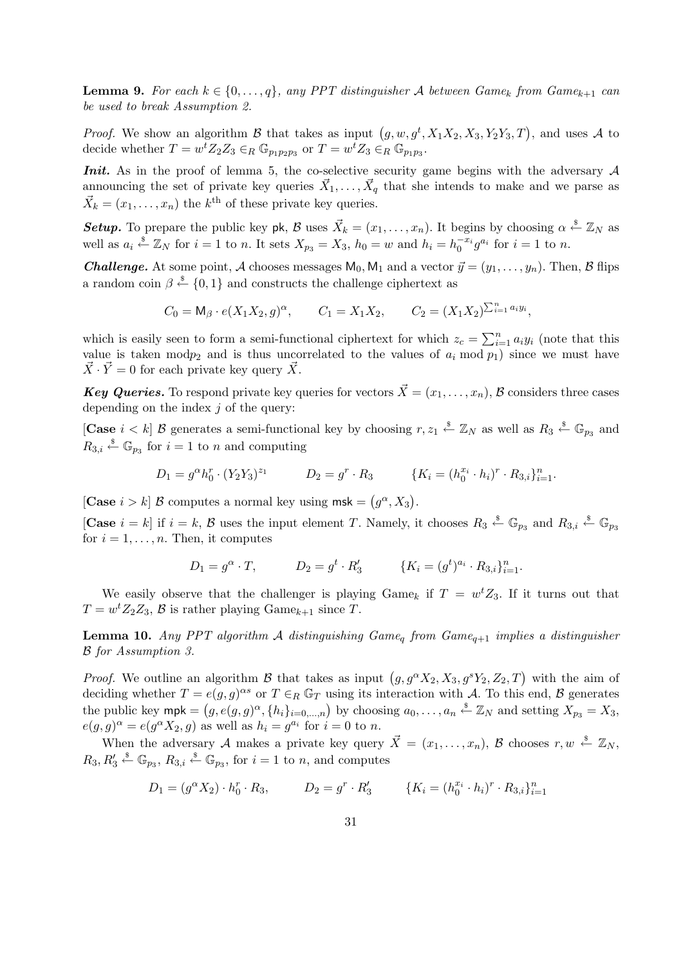**Lemma 9.** For each  $k \in \{0, ..., q\}$ , any PPT distinguisher A between Game<sub>k</sub> from Game<sub>k+1</sub> can be used to break Assumption 2.

*Proof.* We show an algorithm B that takes as input  $(g, w, g^t, X_1X_2, X_3, Y_2Y_3, T)$ , and uses A to decide whether  $T = w^t Z_2 Z_3 \in_R \mathbb{G}_{p_1 p_2 p_3}$  or  $T = w^t Z_3 \in_R \mathbb{G}_{p_1 p_3}$ .

**Init.** As in the proof of lemma 5, the co-selective security game begins with the adversary  $A$ announcing the set of private key queries  $\vec{X}_1, \ldots, \vec{X}_q$  that she intends to make and we parse as  $\vec{X}_k = (x_1, \ldots, x_n)$  the  $k^{\text{th}}$  of these private key queries.

**Setup.** To prepare the public key pk, B uses  $\vec{X}_k = (x_1, \ldots, x_n)$ . It begins by choosing  $\alpha \stackrel{\$}{\leftarrow} \mathbb{Z}_N$  as well as  $a_i \stackrel{\$}{\leftarrow} \mathbb{Z}_N$  for  $i = 1$  to n. It sets  $X_{p_3} = X_3$ ,  $h_0 = w$  and  $h_i = h_0^{-x_i} g^{a_i}$  for  $i = 1$  to n.

**Challenge.** At some point, A chooses messages  $M_0, M_1$  and a vector  $\vec{y} = (y_1, \ldots, y_n)$ . Then, B flips a random coin  $\beta \stackrel{\$}{\leftarrow} \{0,1\}$  and constructs the challenge ciphertext as

 $C_0 = M_\beta \cdot e(X_1 X_2, g)^\alpha$ ,  $C_1 = X_1 X_2$ ,  $C_2 = (X_1 X_2)^{\sum_{i=1}^n a_i y_i}$ ,

which is easily seen to form a semi-functional ciphertext for which  $z_c = \sum_{i=1}^n a_i y_i$  (note that this value is taken mod $p_2$  and is thus uncorrelated to the values of  $a_i \mod p_1$  since we must have  $\vec{X} \cdot \vec{Y} = 0$  for each private key query  $\vec{X}$ .

**Key Queries.** To respond private key queries for vectors  $\vec{X} = (x_1, \ldots, x_n)$ , B considers three cases depending on the index  $j$  of the query:

[Case  $i < k$ ] B generates a semi-functional key by choosing  $r, z_1 \stackrel{\$}{\leftarrow} \mathbb{Z}_N$  as well as  $R_3 \stackrel{\$}{\leftarrow} \mathbb{G}_{p_3}$  and  $R_{3,i} \overset{\$}{\leftarrow} \mathbb{G}_{p_3}$  for  $i = 1$  to n and computing

$$
D_1 = g^{\alpha} h_0^r \cdot (Y_2 Y_3)^{z_1} \qquad D_2 = g^r \cdot R_3 \qquad \{ K_i = (h_0^{x_i} \cdot h_i)^r \cdot R_{3,i} \}_{i=1}^n.
$$

[Case  $i > k$ ] B computes a normal key using  $\mathsf{msk} = (g^{\alpha}, X_3)$ .

[Case  $i = k$ ] if  $i = k$ , B uses the input element T. Namely, it chooses  $R_3 \stackrel{\$}{\leftarrow} \mathbb{G}_{p_3}$  and  $R_{3,i} \stackrel{\$}{\leftarrow} \mathbb{G}_{p_3}$ for  $i = 1, \ldots, n$ . Then, it computes

$$
D_1 = g^{\alpha} \cdot T, \qquad D_2 = g^t \cdot R'_3 \qquad \{K_i = (g^t)^{a_i} \cdot R_{3,i}\}_{i=1}^n.
$$

We easily observe that the challenger is playing Game<sub>k</sub> if  $T = w<sup>t</sup>Z<sub>3</sub>$ . If it turns out that  $T = w^t Z_2 Z_3$ ,  $\beta$  is rather playing Game<sub>k+1</sub> since T.

**Lemma 10.** Any PPT algorithm A distinguishing Game<sub>q</sub> from Game<sub>q+1</sub> implies a distinguisher B for Assumption 3.

*Proof.* We outline an algorithm B that takes as input  $(g, g^{\alpha}X_2, X_3, g^sY_2, Z_2, T)$  with the aim of deciding whether  $T = e(g, g)^{\alpha s}$  or  $T \in_R \mathbb{G}_T$  using its interaction with A. To this end, B generates the public key  $mpk = (g, e(g, g)^{\alpha}, \{h_i\}_{i=0,\dots,n})$  by choosing  $a_0, \dots, a_n \stackrel{\$}{\leftarrow} \mathbb{Z}_N$  and setting  $X_{p_3} = X_3$ ,  $e(g, g)^{\alpha} = e(g^{\alpha} X_2, g)$  as well as  $h_i = g^{a_i}$  for  $i = 0$  to n.

When the adversary A makes a private key query  $\vec{X} = (x_1, \ldots, x_n)$ , B chooses  $r, w \stackrel{\$}{\leftarrow} \mathbb{Z}_N$ ,  $R_3, R'_3 \stackrel{\$}{\leftarrow} \mathbb{G}_{p_3}, R_{3,i} \stackrel{\$}{\leftarrow} \mathbb{G}_{p_3}$ , for  $i = 1$  to n, and computes

$$
D_1 = (g^{\alpha} X_2) \cdot h_0^r \cdot R_3, \qquad D_2 = g^r \cdot R_3' \qquad \{K_i = (h_0^{x_i} \cdot h_i)^r \cdot R_{3,i}\}_{i=1}^n
$$